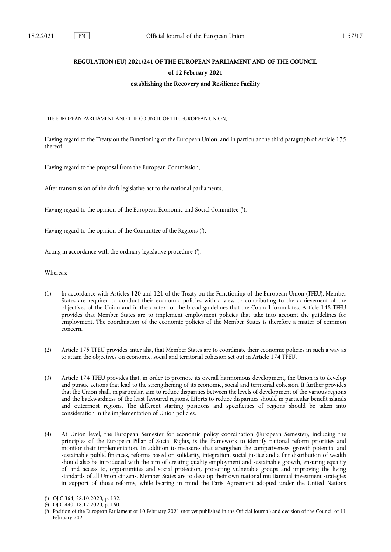# **REGULATION (EU) 2021/241 OF THE EUROPEAN PARLIAMENT AND OF THE COUNCIL of 12 February 2021 establishing the Recovery and Resilience Facility**

THE EUROPEAN PARLIAMENT AND THE COUNCIL OF THE EUROPEAN UNION,

Having regard to the Treaty on the Functioning of the European Union, and in particular the third paragraph of Article 175 thereof,

Having regard to the proposal from the European Commission,

After transmission of the draft legislative act to the national parliaments,

<span id="page-0-3"></span>Having regard to the opinion of the European Economic and Social Committe[e \(1](#page-0-0) ),

<span id="page-0-4"></span>Having regard to the opinion of the Committee of the Region[s \(2](#page-0-1)),

<span id="page-0-5"></span>Acting in accordance with the ordinary legislative procedure [\(3](#page-0-2)),

Whereas:

- (1) In accordance with Articles 120 and 121 of the Treaty on the Functioning of the European Union (TFEU), Member States are required to conduct their economic policies with a view to contributing to the achievement of the objectives of the Union and in the context of the broad guidelines that the Council formulates. Article 148 TFEU provides that Member States are to implement employment policies that take into account the guidelines for employment. The coordination of the economic policies of the Member States is therefore a matter of common concern.
- (2) Article 175 TFEU provides, inter alia, that Member States are to coordinate their economic policies in such a way as to attain the objectives on economic, social and territorial cohesion set out in Article 174 TFEU.
- (3) Article 174 TFEU provides that, in order to promote its overall harmonious development, the Union is to develop and pursue actions that lead to the strengthening of its economic, social and territorial cohesion. It further provides that the Union shall, in particular, aim to reduce disparities between the levels of development of the various regions and the backwardness of the least favoured regions. Efforts to reduce disparities should in particular benefit islands and outermost regions. The different starting positions and specificities of regions should be taken into consideration in the implementation of Union policies.
- (4) At Union level, the European Semester for economic policy coordination (European Semester), including the principles of the European Pillar of Social Rights, is the framework to identify national reform priorities and monitor their implementation. In addition to measures that strengthen the competiveness, growth potential and sustainable public finances, reforms based on solidarity, integration, social justice and a fair distribution of wealth should also be introduced with the aim of creating quality employment and sustainable growth, ensuring equality of, and access to, opportunities and social protection, protecting vulnerable groups and improving the living standards of all Union citizens. Member States are to develop their own national multiannual investment strategies in support of those reforms, while bearing in mind the Paris Agreement adopted under the United Nations

<span id="page-0-0"></span><sup>(</sup> 1 [\) O](#page-0-3)J C 364, 28.10.2020, p. 132.

<span id="page-0-1"></span><sup>(</sup> 2 [\) O](#page-0-4)J C 440, 18.12.2020, p. 160.

<span id="page-0-2"></span><sup>(</sup> 3 [\) P](#page-0-5)osition of the European Parliament of 10 February 2021 (not yet published in the Official Journal) and decision of the Council of 11 February 2021.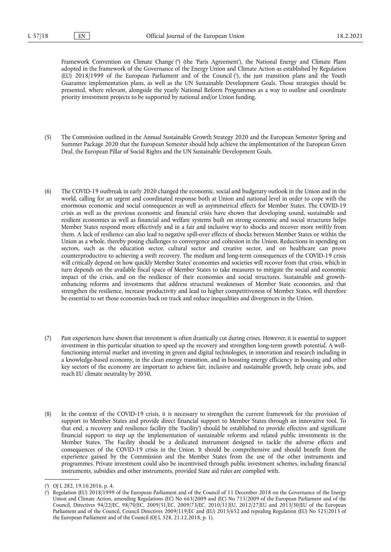<span id="page-1-3"></span><span id="page-1-2"></span>Framework Convention on Climate Chang[e \(4](#page-1-0) ) (the 'Paris Agreement'), the National Energy and Climate Plans adopted in the framework of the Governance of the Energy Union and Climate Action as established by Regulation (EU) 2018/1999 of the European Parliament and of the Counci[l \(5](#page-1-1) ), the just transition plans and the Youth Guarantee implementation plans, as well as the UN Sustainable Development Goals. Those strategies should be presented, where relevant, alongside the yearly National Reform Programmes as a way to outline and coordinate priority investment projects to be supported by national and/or Union funding.

- (5) The Commission outlined in the Annual Sustainable Growth Strategy 2020 and the European Semester Spring and Summer Package 2020 that the European Semester should help achieve the implementation of the European Green Deal, the European Pillar of Social Rights and the UN Sustainable Development Goals.
- (6) The COVID-19 outbreak in early 2020 changed the economic, social and budgetary outlook in the Union and in the world, calling for an urgent and coordinated response both at Union and national level in order to cope with the enormous economic and social consequences as well as asymmetrical effects for Member States. The COVID-19 crisis as well as the previous economic and financial crisis have shown that developing sound, sustainable and resilient economies as well as financial and welfare systems built on strong economic and social structures helps Member States respond more effectively and in a fair and inclusive way to shocks and recover more swiftly from them. A lack of resilience can also lead to negative spill-over effects of shocks between Member States or within the Union as a whole, thereby posing challenges to convergence and cohesion in the Union. Reductions in spending on sectors, such as the education sector, cultural sector and creative sector, and on healthcare can prove counterproductive to achieving a swift recovery. The medium and long-term consequences of the COVID-19 crisis will critically depend on how quickly Member States' economies and societies will recover from that crisis, which in turn depends on the available fiscal space of Member States to take measures to mitigate the social and economic impact of the crisis, and on the resilience of their economies and social structures. Sustainable and growthenhancing reforms and investments that address structural weaknesses of Member State economies, and that strengthen the resilience, increase productivity and lead to higher competitiveness of Member States, will therefore be essential to set those economies back on track and reduce inequalities and divergences in the Union.
- (7) Past experiences have shown that investment is often drastically cut during crises. However, it is essential to support investment in this particular situation to speed up the recovery and strengthen long-term growth potential. A wellfunctioning internal market and investing in green and digital technologies, in innovation and research including in a knowledge-based economy, in the clean energy transition, and in boosting energy efficiency in housing and other key sectors of the economy are important to achieve fair, inclusive and sustainable growth, help create jobs, and reach EU climate neutrality by 2050.
- (8) In the context of the COVID-19 crisis, it is necessary to strengthen the current framework for the provision of support to Member States and provide direct financial support to Member States through an innovative tool. To that end, a recovery and resilience facility (the 'Facility') should be established to provide effective and significant financial support to step up the implementation of sustainable reforms and related public investments in the Member States. The Facility should be a dedicated instrument designed to tackle the adverse effects and consequences of the COVID-19 crisis in the Union. It should be comprehensive and should benefit from the experience gained by the Commission and the Member States from the use of the other instruments and programmes. Private investment could also be incentivised through public investment schemes, including financial instruments, subsidies and other instruments, provided State aid rules are complied with.

<span id="page-1-0"></span><sup>(</sup> 4 [\) O](#page-1-2)J L 282, 19.10.2016, p. 4.

<span id="page-1-1"></span><sup>(</sup> 5 [\) R](#page-1-3)egulation (EU) 2018/1999 of the European Parliament and of the Council of 11 December 2018 on the Governance of the Energy Union and Climate Action, amending Regulations (EC) No 663/2009 and (EC) No 715/2009 of the European Parliament and of the Council, Directives 94/22/EC, 98/70/EC, 2009/31/EC, 2009/73/EC, 2010/31/EU, 2012/27/EU and 2013/30/EU of the European Parliament and of the Council, Council Directives 2009/119/EC and (EU) 2015/652 and repealing Regulation (EU) No 525/2013 of the European Parliament and of the Council (OJ L 328, 21.12.2018, p. 1).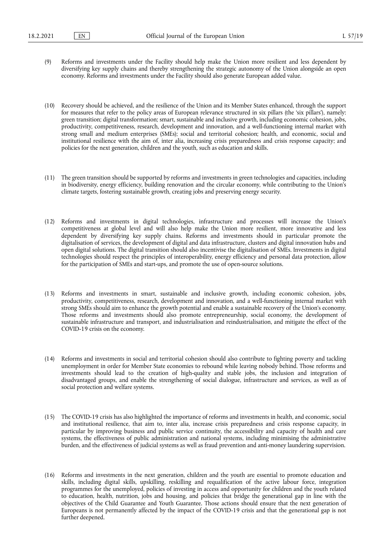- (9) Reforms and investments under the Facility should help make the Union more resilient and less dependent by diversifying key supply chains and thereby strengthening the strategic autonomy of the Union alongside an open economy. Reforms and investments under the Facility should also generate European added value.
- (10) Recovery should be achieved, and the resilience of the Union and its Member States enhanced, through the support for measures that refer to the policy areas of European relevance structured in six pillars (the 'six pillars'), namely: green transition; digital transformation; smart, sustainable and inclusive growth, including economic cohesion, jobs, productivity, competitiveness, research, development and innovation, and a well-functioning internal market with strong small and medium enterprises (SMEs); social and territorial cohesion; health, and economic, social and institutional resilience with the aim of, inter alia, increasing crisis preparedness and crisis response capacity; and policies for the next generation, children and the youth, such as education and skills.
- (11) The green transition should be supported by reforms and investments in green technologies and capacities, including in biodiversity, energy efficiency, building renovation and the circular economy, while contributing to the Union's climate targets, fostering sustainable growth, creating jobs and preserving energy security.
- (12) Reforms and investments in digital technologies, infrastructure and processes will increase the Union's competitiveness at global level and will also help make the Union more resilient, more innovative and less dependent by diversifying key supply chains. Reforms and investments should in particular promote the digitalisation of services, the development of digital and data infrastructure, clusters and digital innovation hubs and open digital solutions. The digital transition should also incentivise the digitalisation of SMEs. Investments in digital technologies should respect the principles of interoperability, energy efficiency and personal data protection, allow for the participation of SMEs and start-ups, and promote the use of open-source solutions.
- (13) Reforms and investments in smart, sustainable and inclusive growth, including economic cohesion, jobs, productivity, competitiveness, research, development and innovation, and a well-functioning internal market with strong SMEs should aim to enhance the growth potential and enable a sustainable recovery of the Union's economy. Those reforms and investments should also promote entrepreneurship, social economy, the development of sustainable infrastructure and transport, and industrialisation and reindustrialisation, and mitigate the effect of the COVID-19 crisis on the economy.
- (14) Reforms and investments in social and territorial cohesion should also contribute to fighting poverty and tackling unemployment in order for Member State economies to rebound while leaving nobody behind. Those reforms and investments should lead to the creation of high-quality and stable jobs, the inclusion and integration of disadvantaged groups, and enable the strengthening of social dialogue, infrastructure and services, as well as of social protection and welfare systems.
- (15) The COVID-19 crisis has also highlighted the importance of reforms and investments in health, and economic, social and institutional resilience, that aim to, inter alia, increase crisis preparedness and crisis response capacity, in particular by improving business and public service continuity, the accessibility and capacity of health and care systems, the effectiveness of public administration and national systems, including minimising the administrative burden, and the effectiveness of judicial systems as well as fraud prevention and anti-money laundering supervision.
- (16) Reforms and investments in the next generation, children and the youth are essential to promote education and skills, including digital skills, upskilling, reskilling and requalification of the active labour force, integration programmes for the unemployed, policies of investing in access and opportunity for children and the youth related to education, health, nutrition, jobs and housing, and policies that bridge the generational gap in line with the objectives of the Child Guarantee and Youth Guarantee. Those actions should ensure that the next generation of Europeans is not permanently affected by the impact of the COVID-19 crisis and that the generational gap is not further deepened.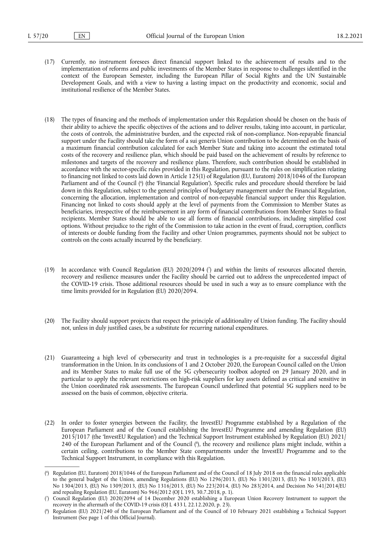- (17) Currently, no instrument foresees direct financial support linked to the achievement of results and to the implementation of reforms and public investments of the Member States in response to challenges identified in the context of the European Semester, including the European Pillar of Social Rights and the UN Sustainable Development Goals, and with a view to having a lasting impact on the productivity and economic, social and institutional resilience of the Member States.
- <span id="page-3-3"></span>(18) The types of financing and the methods of implementation under this Regulation should be chosen on the basis of their ability to achieve the specific objectives of the actions and to deliver results, taking into account, in particular, the costs of controls, the administrative burden, and the expected risk of non-compliance. Non-repayable financial support under the Facility should take the form of a sui generis Union contribution to be determined on the basis of a maximum financial contribution calculated for each Member State and taking into account the estimated total costs of the recovery and resilience plan, which should be paid based on the achievement of results by reference to milestones and targets of the recovery and resilience plans. Therefore, such contribution should be established in accordance with the sector-specific rules provided in this Regulation, pursuant to the rules on simplification relating to financing not linked to costs laid down in Article 125(1) of Regulation (EU, Euratom) 2018/1046 of the European Parliament and of the Council (°) (the 'Financial Regulation'). Specific rules and procedure should therefore be laid down in this Regulation, subject to the general principles of budgetary management under the Financial Regulation, concerning the allocation, implementation and control of non-repayable financial support under this Regulation. Financing not linked to costs should apply at the level of payments from the Commission to Member States as beneficiaries, irrespective of the reimbursement in any form of financial contributions from Member States to final recipients. Member States should be able to use all forms of financial contributions, including simplified cost options. Without prejudice to the right of the Commission to take action in the event of fraud, corruption, conflicts of interests or double funding from the Facility and other Union programmes, payments should not be subject to controls on the costs actually incurred by the beneficiary.
- <span id="page-3-4"></span>(19) In accordance with Council Regulation (EU) 2020/2094 [\(7](#page-3-1) ) and within the limits of resources allocated therein, recovery and resilience measures under the Facility should be carried out to address the unprecedented impact of the COVID-19 crisis. Those additional resources should be used in such a way as to ensure compliance with the time limits provided for in Regulation (EU) 2020/2094.
- (20) The Facility should support projects that respect the principle of additionality of Union funding. The Facility should not, unless in duly justified cases, be a substitute for recurring national expenditures.
- (21) Guaranteeing a high level of cybersecurity and trust in technologies is a pre-requisite for a successful digital transformation in the Union. In its conclusions of 1 and 2 October 2020, the European Council called on the Union and its Member States to make full use of the 5G cybersecurity toolbox adopted on 29 January 2020, and in particular to apply the relevant restrictions on high-risk suppliers for key assets defined as critical and sensitive in the Union coordinated risk assessments. The European Council underlined that potential 5G suppliers need to be assessed on the basis of common, objective criteria.
- <span id="page-3-5"></span>(22) In order to foster synergies between the Facility, the InvestEU Programme established by a Regulation of the European Parliament and of the Council establishing the InvestEU Programme and amending Regulation (EU) 2015/1017 (the 'InvestEU Regulation') and the Technical Support Instrument established by Regulation (EU) 2021/ 240 of the European Parliament and of the Counci[l \(8](#page-3-2) ), the recovery and resilience plans might include, within a certain ceiling, contributions to the Member State compartments under the InvestEU Programme and to the Technical Support Instrument, in compliance with this Regulation.

<span id="page-3-0"></span><sup>(</sup> 6 [\) R](#page-3-3)egulation (EU, Euratom) 2018/1046 of the European Parliament and of the Council of 18 July 2018 on the financial rules applicable to the general budget of the Union, amending Regulations (EU) No 1296/2013, (EU) No 1301/2013, (EU) No 1303/2013, (EU) No 1304/2013, (EU) No 1309/2013, (EU) No 1316/2013, (EU) No 223/2014, (EU) No 283/2014, and Decision No 541/2014/EU and repealing Regulation (EU, Euratom) No 966/2012 (OJ L 193, 30.7.2018, p. 1).

<span id="page-3-1"></span><sup>(</sup> 7 [\) C](#page-3-4)ouncil Regulation (EU) 2020/2094 of 14 December 2020 establishing a European Union Recovery Instrument to support the recovery in the aftermath of the COVID-19 crisis (OJ L 433 I, 22.12.2020, p. 23).

<span id="page-3-2"></span><sup>(</sup> 8 [\) R](#page-3-5)egulation (EU) 2021/240 of the European Parliament and of the Council of 10 February 2021 establishing a Technical Support Instrument (See page 1 of this Official Journal).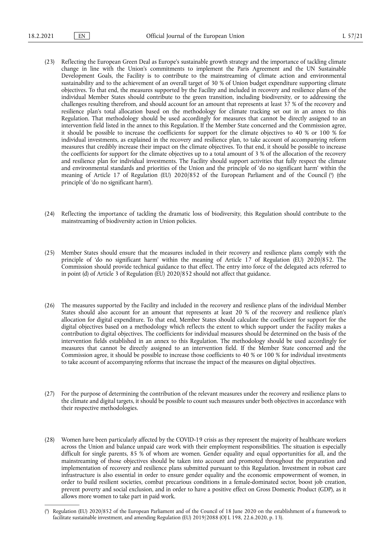- (23) Reflecting the European Green Deal as Europe's sustainable growth strategy and the importance of tackling climate change in line with the Union's commitments to implement the Paris Agreement and the UN Sustainable Development Goals, the Facility is to contribute to the mainstreaming of climate action and environmental sustainability and to the achievement of an overall target of 30 % of Union budget expenditure supporting climate objectives. To that end, the measures supported by the Facility and included in recovery and resilience plans of the individual Member States should contribute to the green transition, including biodiversity, or to addressing the challenges resulting therefrom, and should account for an amount that represents at least 37 % of the recovery and resilience plan's total allocation based on the methodology for climate tracking set out in an annex to this Regulation. That methodology should be used accordingly for measures that cannot be directly assigned to an intervention field listed in the annex to this Regulation. If the Member State concerned and the Commission agree, it should be possible to increase the coefficients for support for the climate objectives to 40 % or 100 % for individual investments, as explained in the recovery and resilience plan, to take account of accompanying reform measures that credibly increase their impact on the climate objectives. To that end, it should be possible to increase the coefficients for support for the climate objectives up to a total amount of 3 % of the allocation of the recovery and resilience plan for individual investments. The Facility should support activities that fully respect the climate and environmental standards and priorities of the Union and the principle of 'do no significant harm' within the meaning of Article 17 of Regulation (EU) 2020/852 of the European Parliament and of the Council [\(9](#page-4-0) ) (the principle of 'do no significant harm').
- <span id="page-4-1"></span>(24) Reflecting the importance of tackling the dramatic loss of biodiversity, this Regulation should contribute to the mainstreaming of biodiversity action in Union policies.
- (25) Member States should ensure that the measures included in their recovery and resilience plans comply with the principle of 'do no significant harm' within the meaning of Article 17 of Regulation (EU) 2020/852. The Commission should provide technical guidance to that effect. The entry into force of the delegated acts referred to in point (d) of Article 3 of Regulation (EU) 2020/852 should not affect that guidance.
- (26) The measures supported by the Facility and included in the recovery and resilience plans of the individual Member States should also account for an amount that represents at least 20 % of the recovery and resilience plan's allocation for digital expenditure. To that end, Member States should calculate the coefficient for support for the digital objectives based on a methodology which reflects the extent to which support under the Facility makes a contribution to digital objectives. The coefficients for individual measures should be determined on the basis of the intervention fields established in an annex to this Regulation. The methodology should be used accordingly for measures that cannot be directly assigned to an intervention field. If the Member State concerned and the Commission agree, it should be possible to increase those coefficients to 40 % or 100 % for individual investments to take account of accompanying reforms that increase the impact of the measures on digital objectives.
- (27) For the purpose of determining the contribution of the relevant measures under the recovery and resilience plans to the climate and digital targets, it should be possible to count such measures under both objectives in accordance with their respective methodologies.
- (28) Women have been particularly affected by the COVID-19 crisis as they represent the majority of healthcare workers across the Union and balance unpaid care work with their employment responsibilities. The situation is especially difficult for single parents, 85 % of whom are women. Gender equality and equal opportunities for all, and the mainstreaming of those objectives should be taken into account and promoted throughout the preparation and implementation of recovery and resilience plans submitted pursuant to this Regulation. Investment in robust care infrastructure is also essential in order to ensure gender equality and the economic empowerment of women, in order to build resilient societies, combat precarious conditions in a female-dominated sector, boost job creation, prevent poverty and social exclusion, and in order to have a positive effect on Gross Domestic Product (GDP), as it allows more women to take part in paid work.

<span id="page-4-0"></span><sup>(</sup> 9 [\) R](#page-4-1)egulation (EU) 2020/852 of the European Parliament and of the Council of 18 June 2020 on the establishment of a framework to facilitate sustainable investment, and amending Regulation (EU) 2019/2088 (OJ L 198, 22.6.2020, p. 13).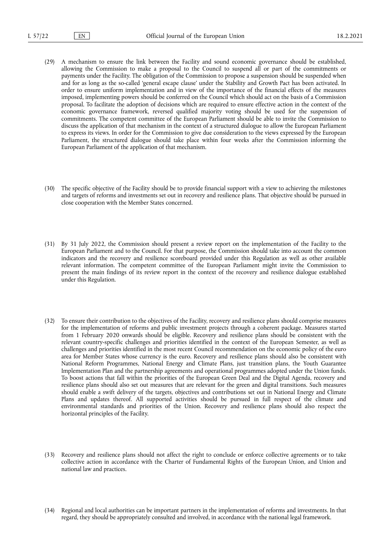- (29) A mechanism to ensure the link between the Facility and sound economic governance should be established, allowing the Commission to make a proposal to the Council to suspend all or part of the commitments or payments under the Facility. The obligation of the Commission to propose a suspension should be suspended when and for as long as the so-called 'general escape clause' under the Stability and Growth Pact has been activated. In order to ensure uniform implementation and in view of the importance of the financial effects of the measures imposed, implementing powers should be conferred on the Council which should act on the basis of a Commission proposal. To facilitate the adoption of decisions which are required to ensure effective action in the context of the economic governance framework, reversed qualified majority voting should be used for the suspension of commitments. The competent committee of the European Parliament should be able to invite the Commission to discuss the application of that mechanism in the context of a structured dialogue to allow the European Parliament to express its views. In order for the Commission to give due consideration to the views expressed by the European Parliament, the structured dialogue should take place within four weeks after the Commission informing the European Parliament of the application of that mechanism.
- (30) The specific objective of the Facility should be to provide financial support with a view to achieving the milestones and targets of reforms and investments set out in recovery and resilience plans. That objective should be pursued in close cooperation with the Member States concerned.
- (31) By 31 July 2022, the Commission should present a review report on the implementation of the Facility to the European Parliament and to the Council. For that purpose, the Commission should take into account the common indicators and the recovery and resilience scoreboard provided under this Regulation as well as other available relevant information. The competent committee of the European Parliament might invite the Commission to present the main findings of its review report in the context of the recovery and resilience dialogue established under this Regulation.
- (32) To ensure their contribution to the objectives of the Facility, recovery and resilience plans should comprise measures for the implementation of reforms and public investment projects through a coherent package. Measures started from 1 February 2020 onwards should be eligible. Recovery and resilience plans should be consistent with the relevant country-specific challenges and priorities identified in the context of the European Semester, as well as challenges and priorities identified in the most recent Council recommendation on the economic policy of the euro area for Member States whose currency is the euro. Recovery and resilience plans should also be consistent with National Reform Programmes, National Energy and Climate Plans, just transition plans, the Youth Guarantee Implementation Plan and the partnership agreements and operational programmes adopted under the Union funds. To boost actions that fall within the priorities of the European Green Deal and the Digital Agenda, recovery and resilience plans should also set out measures that are relevant for the green and digital transitions. Such measures should enable a swift delivery of the targets, objectives and contributions set out in National Energy and Climate Plans and updates thereof. All supported activities should be pursued in full respect of the climate and environmental standards and priorities of the Union. Recovery and resilience plans should also respect the horizontal principles of the Facility.
- (33) Recovery and resilience plans should not affect the right to conclude or enforce collective agreements or to take collective action in accordance with the Charter of Fundamental Rights of the European Union, and Union and national law and practices.
- (34) Regional and local authorities can be important partners in the implementation of reforms and investments. In that regard, they should be appropriately consulted and involved, in accordance with the national legal framework.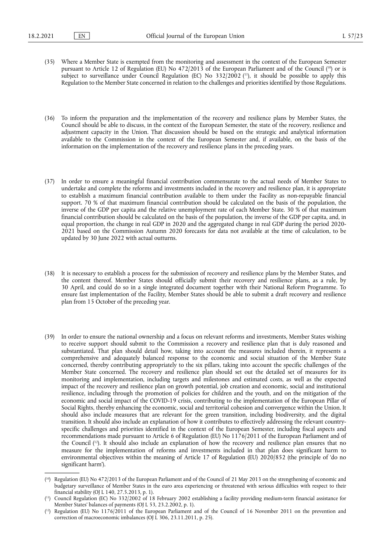- <span id="page-6-4"></span><span id="page-6-3"></span>(35) Where a Member State is exempted from the monitoring and assessment in the context of the European Semester pursuant to Article 12 of Regulation (EU) No 472/2013 of the European Parliament and of the Council (<sup>10</sup>) or is subject to surveillance under Council Regulation (EC) No 332/2002 (<sup>11</sup>), it should be possible to apply this Regulation to the Member State concerned in relation to the challenges and priorities identified by those Regulations.
- (36) To inform the preparation and the implementation of the recovery and resilience plans by Member States, the Council should be able to discuss, in the context of the European Semester, the state of the recovery, resilience and adjustment capacity in the Union. That discussion should be based on the strategic and analytical information available to the Commission in the context of the European Semester and, if available, on the basis of the information on the implementation of the recovery and resilience plans in the preceding years.
- (37) In order to ensure a meaningful financial contribution commensurate to the actual needs of Member States to undertake and complete the reforms and investments included in the recovery and resilience plan, it is appropriate to establish a maximum financial contribution available to them under the Facility as non-repayable financial support. 70 % of that maximum financial contribution should be calculated on the basis of the population, the inverse of the GDP per capita and the relative unemployment rate of each Member State. 30 % of that maximum financial contribution should be calculated on the basis of the population, the inverse of the GDP per capita, and, in equal proportion, the change in real GDP in 2020 and the aggregated change in real GDP during the period 2020- 2021 based on the Commission Autumn 2020 forecasts for data not available at the time of calculation, to be updated by 30 June 2022 with actual outturns.
- (38) It is necessary to establish a process for the submission of recovery and resilience plans by the Member States, and the content thereof. Member States should officially submit their recovery and resilience plans, as a rule, by 30 April, and could do so in a single integrated document together with their National Reform Programme. To ensure fast implementation of the Facility, Member States should be able to submit a draft recovery and resilience plan from 15 October of the preceding year.
- (39) In order to ensure the national ownership and a focus on relevant reforms and investments, Member States wishing to receive support should submit to the Commission a recovery and resilience plan that is duly reasoned and substantiated. That plan should detail how, taking into account the measures included therein, it represents a comprehensive and adequately balanced response to the economic and social situation of the Member State concerned, thereby contributing appropriately to the six pillars, taking into account the specific challenges of the Member State concerned. The recovery and resilience plan should set out the detailed set of measures for its monitoring and implementation, including targets and milestones and estimated costs, as well as the expected impact of the recovery and resilience plan on growth potential, job creation and economic, social and institutional resilience, including through the promotion of policies for children and the youth, and on the mitigation of the economic and social impact of the COVID-19 crisis, contributing to the implementation of the European Pillar of Social Rights, thereby enhancing the economic, social and territorial cohesion and convergence within the Union. It should also include measures that are relevant for the green transition, including biodiversity, and the digital transition. It should also include an explanation of how it contributes to effectively addressing the relevant countryspecific challenges and priorities identified in the context of the European Semester, including fiscal aspects and recommendations made pursuant to Article 6 of Regulation (EU) No 1176/2011 of the European Parliament and of the Counci[l \(12\)](#page-6-2). It should also include an explanation of how the recovery and resilience plan ensures that no measure for the implementation of reforms and investments included in that plan does significant harm to environmental objectives within the meaning of Article 17 of Regulation (EU) 2020/852 (the principle of 'do no significant harm').

<span id="page-6-5"></span><span id="page-6-0"></span><sup>(</sup> [10\) R](#page-6-3)egulation (EU) No 472/2013 of the European Parliament and of the Council of 21 May 2013 on the strengthening of economic and budgetary surveillance of Member States in the euro area experiencing or threatened with serious difficulties with respect to their financial stability (OJ L 140, 27.5.2013, p. 1).

<span id="page-6-1"></span><sup>(</sup> [11\) C](#page-6-4)ouncil Regulation (EC) No 332/2002 of 18 February 2002 establishing a facility providing medium-term financial assistance for Member States' balances of payments (OJ L 53, 23.2.2002, p. 1).

<span id="page-6-2"></span><sup>(</sup> [12\) R](#page-6-5)egulation (EU) No 1176/2011 of the European Parliament and of the Council of 16 November 2011 on the prevention and correction of macroeconomic imbalances (OJ L 306, 23.11.2011, p. 25).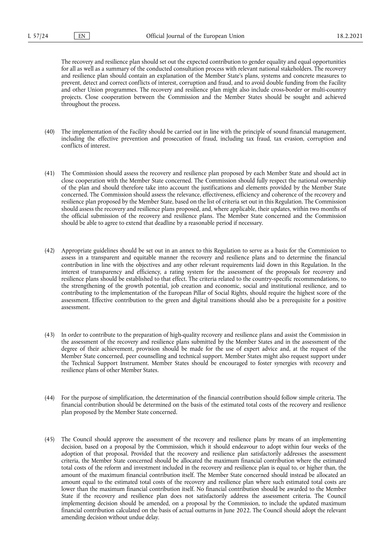The recovery and resilience plan should set out the expected contribution to gender equality and equal opportunities for all as well as a summary of the conducted consultation process with relevant national stakeholders. The recovery and resilience plan should contain an explanation of the Member State's plans, systems and concrete measures to prevent, detect and correct conflicts of interest, corruption and fraud, and to avoid double funding from the Facility and other Union programmes. The recovery and resilience plan might also include cross-border or multi-country projects. Close cooperation between the Commission and the Member States should be sought and achieved throughout the process.

- (40) The implementation of the Facility should be carried out in line with the principle of sound financial management, including the effective prevention and prosecution of fraud, including tax fraud, tax evasion, corruption and conflicts of interest.
- (41) The Commission should assess the recovery and resilience plan proposed by each Member State and should act in close cooperation with the Member State concerned. The Commission should fully respect the national ownership of the plan and should therefore take into account the justifications and elements provided by the Member State concerned. The Commission should assess the relevance, effectiveness, efficiency and coherence of the recovery and resilience plan proposed by the Member State, based on the list of criteria set out in this Regulation. The Commission should assess the recovery and resilience plans proposed, and, where applicable, their updates, within two months of the official submission of the recovery and resilience plans. The Member State concerned and the Commission should be able to agree to extend that deadline by a reasonable period if necessary.
- (42) Appropriate guidelines should be set out in an annex to this Regulation to serve as a basis for the Commission to assess in a transparent and equitable manner the recovery and resilience plans and to determine the financial contribution in line with the objectives and any other relevant requirements laid down in this Regulation. In the interest of transparency and efficiency, a rating system for the assessment of the proposals for recovery and resilience plans should be established to that effect. The criteria related to the country-specific recommendations, to the strengthening of the growth potential, job creation and economic, social and institutional resilience, and to contributing to the implementation of the European Pillar of Social Rights, should require the highest score of the assessment. Effective contribution to the green and digital transitions should also be a prerequisite for a positive assessment.
- (43) In order to contribute to the preparation of high-quality recovery and resilience plans and assist the Commission in the assessment of the recovery and resilience plans submitted by the Member States and in the assessment of the degree of their achievement, provision should be made for the use of expert advice and, at the request of the Member State concerned, peer counselling and technical support. Member States might also request support under the Technical Support Instrument. Member States should be encouraged to foster synergies with recovery and resilience plans of other Member States.
- (44) For the purpose of simplification, the determination of the financial contribution should follow simple criteria. The financial contribution should be determined on the basis of the estimated total costs of the recovery and resilience plan proposed by the Member State concerned.
- (45) The Council should approve the assessment of the recovery and resilience plans by means of an implementing decision, based on a proposal by the Commission, which it should endeavour to adopt within four weeks of the adoption of that proposal. Provided that the recovery and resilience plan satisfactorily addresses the assessment criteria, the Member State concerned should be allocated the maximum financial contribution where the estimated total costs of the reform and investment included in the recovery and resilience plan is equal to, or higher than, the amount of the maximum financial contribution itself. The Member State concerned should instead be allocated an amount equal to the estimated total costs of the recovery and resilience plan where such estimated total costs are lower than the maximum financial contribution itself. No financial contribution should be awarded to the Member State if the recovery and resilience plan does not satisfactorily address the assessment criteria. The Council implementing decision should be amended, on a proposal by the Commission, to include the updated maximum financial contribution calculated on the basis of actual outturns in June 2022. The Council should adopt the relevant amending decision without undue delay.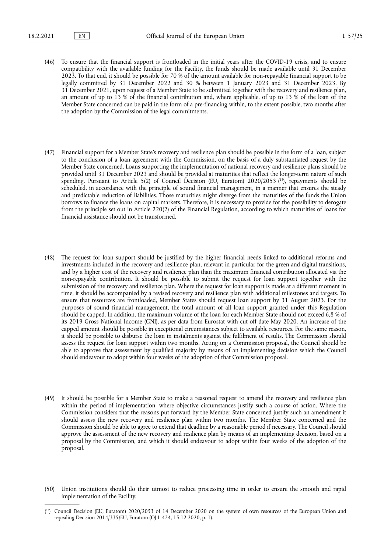- (46) To ensure that the financial support is frontloaded in the initial years after the COVID-19 crisis, and to ensure compatibility with the available funding for the Facility, the funds should be made available until 31 December 2023. To that end, it should be possible for 70 % of the amount available for non-repayable financial support to be legally committed by 31 December 2022 and 30 % between 1 January 2023 and 31 December 2023. By 31 December 2021, upon request of a Member State to be submitted together with the recovery and resilience plan, an amount of up to 13 % of the financial contribution and, where applicable, of up to 13 % of the loan of the Member State concerned can be paid in the form of a pre-financing within, to the extent possible, two months after the adoption by the Commission of the legal commitments.
- <span id="page-8-1"></span>(47) Financial support for a Member State's recovery and resilience plan should be possible in the form of a loan, subject to the conclusion of a loan agreement with the Commission, on the basis of a duly substantiated request by the Member State concerned. Loans supporting the implementation of national recovery and resilience plans should be provided until 31 December 2023 and should be provided at maturities that reflect the longer-term nature of such spending. Pursuant to Article 5(2) of Council Decision (EU, Euratom) 2020/2053 (<sup>13</sup>), repayments should be scheduled, in accordance with the principle of sound financial management, in a manner that ensures the steady and predictable reduction of liabilities. Those maturities might diverge from the maturities of the funds the Union borrows to finance the loans on capital markets. Therefore, it is necessary to provide for the possibility to derogate from the principle set out in Article 220(2) of the Financial Regulation, according to which maturities of loans for financial assistance should not be transformed.
- (48) The request for loan support should be justified by the higher financial needs linked to additional reforms and investments included in the recovery and resilience plan, relevant in particular for the green and digital transitions, and by a higher cost of the recovery and resilience plan than the maximum financial contribution allocated via the non-repayable contribution. It should be possible to submit the request for loan support together with the submission of the recovery and resilience plan. Where the request for loan support is made at a different moment in time, it should be accompanied by a revised recovery and resilience plan with additional milestones and targets. To ensure that resources are frontloaded, Member States should request loan support by 31 August 2023. For the purposes of sound financial management, the total amount of all loan support granted under this Regulation should be capped. In addition, the maximum volume of the loan for each Member State should not exceed 6,8 % of its 2019 Gross National Income (GNI), as per data from Eurostat with cut off date May 2020. An increase of the capped amount should be possible in exceptional circumstances subject to available resources. For the same reason, it should be possible to disburse the loan in instalments against the fulfilment of results. The Commission should assess the request for loan support within two months. Acting on a Commission proposal, the Council should be able to approve that assessment by qualified majority by means of an implementing decision which the Council should endeavour to adopt within four weeks of the adoption of that Commission proposal.
- (49) It should be possible for a Member State to make a reasoned request to amend the recovery and resilience plan within the period of implementation, where objective circumstances justify such a course of action. Where the Commission considers that the reasons put forward by the Member State concerned justify such an amendment it should assess the new recovery and resilience plan within two months. The Member State concerned and the Commission should be able to agree to extend that deadline by a reasonable period if necessary. The Council should approve the assessment of the new recovery and resilience plan by means of an implementing decision, based on a proposal by the Commission, and which it should endeavour to adopt within four weeks of the adoption of the proposal.
- (50) Union institutions should do their utmost to reduce processing time in order to ensure the smooth and rapid implementation of the Facility.

<span id="page-8-0"></span><sup>(</sup> [13\) C](#page-8-1)ouncil Decision (EU, Euratom) 2020/2053 of 14 December 2020 on the system of own resources of the European Union and repealing Decision 2014/335/EU, Euratom (OJ L 424, 15.12.2020, p. 1).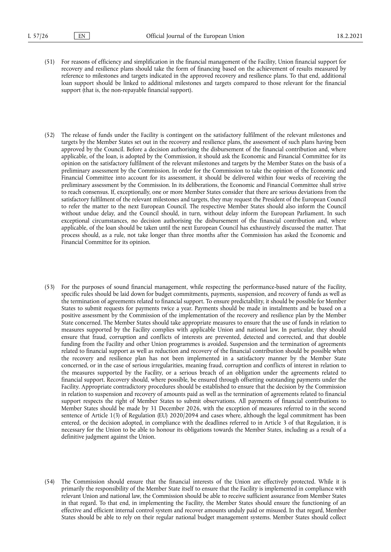- (51) For reasons of efficiency and simplification in the financial management of the Facility, Union financial support for recovery and resilience plans should take the form of financing based on the achievement of results measured by reference to milestones and targets indicated in the approved recovery and resilience plans. To that end, additional loan support should be linked to additional milestones and targets compared to those relevant for the financial support (that is, the non-repayable financial support).
- (52) The release of funds under the Facility is contingent on the satisfactory fulfilment of the relevant milestones and targets by the Member States set out in the recovery and resilience plans, the assessment of such plans having been approved by the Council. Before a decision authorising the disbursement of the financial contribution and, where applicable, of the loan, is adopted by the Commission, it should ask the Economic and Financial Committee for its opinion on the satisfactory fulfilment of the relevant milestones and targets by the Member States on the basis of a preliminary assessment by the Commission. In order for the Commission to take the opinion of the Economic and Financial Committee into account for its assessment, it should be delivered within four weeks of receiving the preliminary assessment by the Commission. In its deliberations, the Economic and Financial Committee shall strive to reach consensus. If, exceptionally, one or more Member States consider that there are serious deviations from the satisfactory fulfilment of the relevant milestones and targets, they may request the President of the European Council to refer the matter to the next European Council. The respective Member States should also inform the Council without undue delay, and the Council should, in turn, without delay inform the European Parliament. In such exceptional circumstances, no decision authorising the disbursement of the financial contribution and, where applicable, of the loan should be taken until the next European Council has exhaustively discussed the matter. That process should, as a rule, not take longer than three months after the Commission has asked the Economic and Financial Committee for its opinion.
- (53) For the purposes of sound financial management, while respecting the performance-based nature of the Facility, specific rules should be laid down for budget commitments, payments, suspension, and recovery of funds as well as the termination of agreements related to financial support. To ensure predictability, it should be possible for Member States to submit requests for payments twice a year. Payments should be made in instalments and be based on a positive assessment by the Commission of the implementation of the recovery and resilience plan by the Member State concerned. The Member States should take appropriate measures to ensure that the use of funds in relation to measures supported by the Facility complies with applicable Union and national law. In particular, they should ensure that fraud, corruption and conflicts of interests are prevented, detected and corrected, and that double funding from the Facility and other Union programmes is avoided. Suspension and the termination of agreements related to financial support as well as reduction and recovery of the financial contribution should be possible when the recovery and resilience plan has not been implemented in a satisfactory manner by the Member State concerned, or in the case of serious irregularities, meaning fraud, corruption and conflicts of interest in relation to the measures supported by the Facility, or a serious breach of an obligation under the agreements related to financial support. Recovery should, where possible, be ensured through offsetting outstanding payments under the Facility. Appropriate contradictory procedures should be established to ensure that the decision by the Commission in relation to suspension and recovery of amounts paid as well as the termination of agreements related to financial support respects the right of Member States to submit observations. All payments of financial contributions to Member States should be made by 31 December 2026, with the exception of measures referred to in the second sentence of Article 1(3) of Regulation (EU) 2020/2094 and cases where, although the legal commitment has been entered, or the decision adopted, in compliance with the deadlines referred to in Article 3 of that Regulation, it is necessary for the Union to be able to honour its obligations towards the Member States, including as a result of a definitive judgment against the Union.
- (54) The Commission should ensure that the financial interests of the Union are effectively protected. While it is primarily the responsibility of the Member State itself to ensure that the Facility is implemented in compliance with relevant Union and national law, the Commission should be able to receive sufficient assurance from Member States in that regard. To that end, in implementing the Facility, the Member States should ensure the functioning of an effective and efficient internal control system and recover amounts unduly paid or misused. In that regard, Member States should be able to rely on their regular national budget management systems. Member States should collect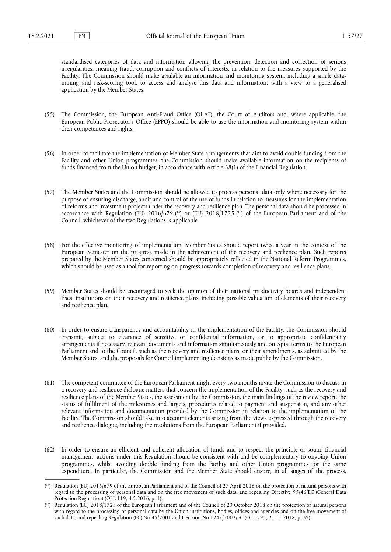standardised categories of data and information allowing the prevention, detection and correction of serious irregularities, meaning fraud, corruption and conflicts of interests, in relation to the measures supported by the Facility. The Commission should make available an information and monitoring system, including a single datamining and risk-scoring tool, to access and analyse this data and information, with a view to a generalised application by the Member States.

- (55) The Commission, the European Anti-Fraud Office (OLAF), the Court of Auditors and, where applicable, the European Public Prosecutor's Office (EPPO) should be able to use the information and monitoring system within their competences and rights.
- (56) In order to facilitate the implementation of Member State arrangements that aim to avoid double funding from the Facility and other Union programmes, the Commission should make available information on the recipients of funds financed from the Union budget, in accordance with Article 38(1) of the Financial Regulation.
- <span id="page-10-2"></span>(57) The Member States and the Commission should be allowed to process personal data only where necessary for the purpose of ensuring discharge, audit and control of the use of funds in relation to measures for the implementation of reforms and investment projects under the recovery and resilience plan. The personal data should be processed in accordance with Regulation (EU) 2016/679 ( $14$ ) or (EU) 2018/1725 ( $15$ ) of the European Parliament and of the Council, whichever of the two Regulations is applicable.
- (58) For the effective monitoring of implementation, Member States should report twice a year in the context of the European Semester on the progress made in the achievement of the recovery and resilience plan. Such reports prepared by the Member States concerned should be appropriately reflected in the National Reform Programmes, which should be used as a tool for reporting on progress towards completion of recovery and resilience plans.
- (59) Member States should be encouraged to seek the opinion of their national productivity boards and independent fiscal institutions on their recovery and resilience plans, including possible validation of elements of their recovery and resilience plan.
- (60) In order to ensure transparency and accountability in the implementation of the Facility, the Commission should transmit, subject to clearance of sensitive or confidential information, or to appropriate confidentiality arrangements if necessary, relevant documents and information simultaneously and on equal terms to the European Parliament and to the Council, such as the recovery and resilience plans, or their amendments, as submitted by the Member States, and the proposals for Council implementing decisions as made public by the Commission.
- (61) The competent committee of the European Parliament might every two months invite the Commission to discuss in a recovery and resilience dialogue matters that concern the implementation of the Facility, such as the recovery and resilience plans of the Member States, the assessment by the Commission, the main findings of the review report, the status of fulfilment of the milestones and targets, procedures related to payment and suspension, and any other relevant information and documentation provided by the Commission in relation to the implementation of the Facility. The Commission should take into account elements arising from the views expressed through the recovery and resilience dialogue, including the resolutions from the European Parliament if provided.
- (62) In order to ensure an efficient and coherent allocation of funds and to respect the principle of sound financial management, actions under this Regulation should be consistent with and be complementary to ongoing Union programmes, whilst avoiding double funding from the Facility and other Union programmes for the same expenditure. In particular, the Commission and the Member State should ensure, in all stages of the process,

<span id="page-10-0"></span><sup>(</sup> [14\) R](#page-10-2)egulation (EU) 2016/679 of the European Parliament and of the Council of 27 April 2016 on the protection of natural persons with regard to the processing of personal data and on the free movement of such data, and repealing Directive 95/46/EC (General Data Protection Regulation) (OJ L  $119, 4.5.2016, p. 1$ ).

<span id="page-10-1"></span><sup>(</sup> [15\) R](#page-10-2)egulation (EU) 2018/1725 of the European Parliament and of the Council of 23 October 2018 on the protection of natural persons with regard to the processing of personal data by the Union institutions, bodies, offices and agencies and on the free movement of such data, and repealing Regulation (EC) No 45/2001 and Decision No 1247/2002/EC (OJ L 295, 21.11.2018, p. 39).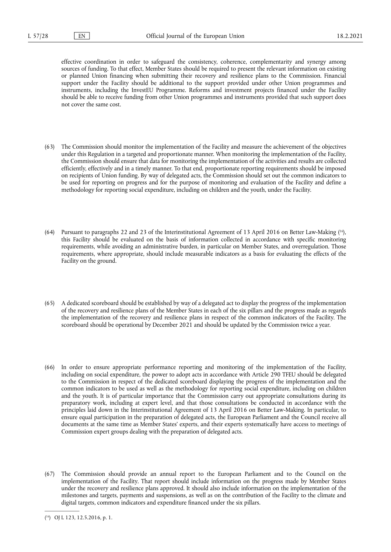effective coordination in order to safeguard the consistency, coherence, complementarity and synergy among sources of funding. To that effect, Member States should be required to present the relevant information on existing or planned Union financing when submitting their recovery and resilience plans to the Commission. Financial support under the Facility should be additional to the support provided under other Union programmes and instruments, including the InvestEU Programme. Reforms and investment projects financed under the Facility should be able to receive funding from other Union programmes and instruments provided that such support does not cover the same cost.

- (63) The Commission should monitor the implementation of the Facility and measure the achievement of the objectives under this Regulation in a targeted and proportionate manner. When monitoring the implementation of the Facility, the Commission should ensure that data for monitoring the implementation of the activities and results are collected efficiently, effectively and in a timely manner. To that end, proportionate reporting requirements should be imposed on recipients of Union funding. By way of delegated acts, the Commission should set out the common indicators to be used for reporting on progress and for the purpose of monitoring and evaluation of the Facility and define a methodology for reporting social expenditure, including on children and the youth, under the Facility.
- <span id="page-11-1"></span>(64) Pursuant to paragraphs 22 and 23 of the Interinstitutional Agreement of 13 April 2016 on Better Law-Makin[g \(16\)](#page-11-0), this Facility should be evaluated on the basis of information collected in accordance with specific monitoring requirements, while avoiding an administrative burden, in particular on Member States, and overregulation. Those requirements, where appropriate, should include measurable indicators as a basis for evaluating the effects of the Facility on the ground.
- (65) A dedicated scoreboard should be established by way of a delegated act to display the progress of the implementation of the recovery and resilience plans of the Member States in each of the six pillars and the progress made as regards the implementation of the recovery and resilience plans in respect of the common indicators of the Facility. The scoreboard should be operational by December 2021 and should be updated by the Commission twice a year.
- (66) In order to ensure appropriate performance reporting and monitoring of the implementation of the Facility, including on social expenditure, the power to adopt acts in accordance with Article 290 TFEU should be delegated to the Commission in respect of the dedicated scoreboard displaying the progress of the implementation and the common indicators to be used as well as the methodology for reporting social expenditure, including on children and the youth. It is of particular importance that the Commission carry out appropriate consultations during its preparatory work, including at expert level, and that those consultations be conducted in accordance with the principles laid down in the Interinstitutional Agreement of 13 April 2016 on Better Law-Making. In particular, to ensure equal participation in the preparation of delegated acts, the European Parliament and the Council receive all documents at the same time as Member States' experts, and their experts systematically have access to meetings of Commission expert groups dealing with the preparation of delegated acts.
- (67) The Commission should provide an annual report to the European Parliament and to the Council on the implementation of the Facility. That report should include information on the progress made by Member States under the recovery and resilience plans approved. It should also include information on the implementation of the milestones and targets, payments and suspensions, as well as on the contribution of the Facility to the climate and digital targets, common indicators and expenditure financed under the six pillars.

<span id="page-11-0"></span><sup>(</sup> [16\) O](#page-11-1)J L 123, 12.5.2016, p. 1.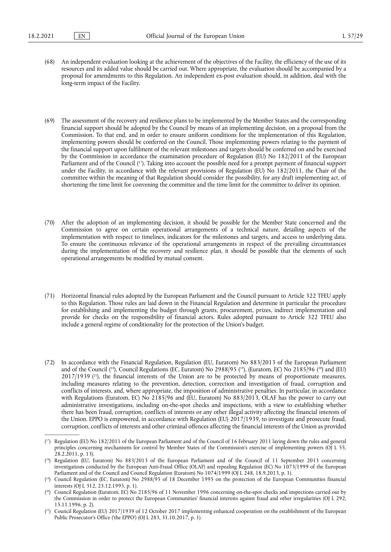- (68) An independent evaluation looking at the achievement of the objectives of the Facility, the efficiency of the use of its resources and its added value should be carried out. Where appropriate, the evaluation should be accompanied by a proposal for amendments to this Regulation. An independent ex-post evaluation should, in addition, deal with the long-term impact of the Facility.
- <span id="page-12-5"></span>(69) The assessment of the recovery and resilience plans to be implemented by the Member States and the corresponding financial support should be adopted by the Council by means of an implementing decision, on a proposal from the Commission. To that end, and in order to ensure uniform conditions for the implementation of this Regulation, implementing powers should be conferred on the Council. Those implementing powers relating to the payment of the financial support upon fulfilment of the relevant milestones and targets should be conferred on and be exercised by the Commission in accordance the examination procedure of Regulation (EU) No 182/2011 of the European Parliament and of the Council [\(17\)](#page-12-0). Taking into account the possible need for a prompt payment of financial support under the Facility, in accordance with the relevant provisions of Regulation (EU) No 182/2011, the Chair of the committee within the meaning of that Regulation should consider the possibility, for any draft implementing act, of shortening the time limit for convening the committee and the time limit for the committee to deliver its opinion.
- (70) After the adoption of an implementing decision, it should be possible for the Member State concerned and the Commission to agree on certain operational arrangements of a technical nature, detailing aspects of the implementation with respect to timelines, indicators for the milestones and targets, and access to underlying data. To ensure the continuous relevance of the operational arrangements in respect of the prevailing circumstances during the implementation of the recovery and resilience plan, it should be possible that the elements of such operational arrangements be modified by mutual consent.
- (71) Horizontal financial rules adopted by the European Parliament and the Council pursuant to Article 322 TFEU apply to this Regulation. Those rules are laid down in the Financial Regulation and determine in particular the procedure for establishing and implementing the budget through grants, procurement, prizes, indirect implementation and provide for checks on the responsibility of financial actors. Rules adopted pursuant to Article 322 TFEU also include a general regime of conditionality for the protection of the Union's budget.
- <span id="page-12-7"></span><span id="page-12-6"></span>(72) In accordance with the Financial Regulation, Regulation (EU, Euratom) No 883/2013 of the European Parliament and of the Council (<sup>18</sup>), Council Regulations (EC, Euratom) No 2988/95 (<sup>19</sup>), (Euratom, EC) No 2185/96 (<sup>20</sup>) and (EU) 2017/193[9 \(21\)](#page-12-4), the financial interests of the Union are to be protected by means of proportionate measures, including measures relating to the prevention, detection, correction and investigation of fraud, corruption and conflicts of interests, and, where appropriate, the imposition of administrative penalties. In particular, in accordance with Regulations (Euratom, EC) No 2185/96 and (EU, Euratom) No 883/2013, OLAF has the power to carry out administrative investigations, including on-the-spot checks and inspections, with a view to establishing whether there has been fraud, corruption, conflicts of interests or any other illegal activity affecting the financial interests of the Union. EPPO is empowered, in accordance with Regulation (EU) 2017/1939, to investigate and prosecute fraud, corruption, conflicts of interests and other criminal offences affecting the financial interests of the Union as provided

<span id="page-12-0"></span><sup>(</sup> [17\) R](#page-12-5)egulation (EU) No 182/2011 of the European Parliament and of the Council of 16 February 2011 laying down the rules and general principles concerning mechanisms for control by Member States of the Commission's exercise of implementing powers (OJ L 55, 28.2.2011, p. 13).

<span id="page-12-1"></span><sup>(</sup> [18\) R](#page-12-6)egulation (EU, Euratom) No 883/2013 of the European Parliament and of the Council of 11 September 2013 concerning investigations conducted by the European Anti-Fraud Office (OLAF) and repealing Regulation (EC) No 1073/1999 of the European Parliament and of the Council and Council Regulation (Euratom) No 1074/1999 (OJ L 248, 18.9.2013, p. 1).

<span id="page-12-2"></span><sup>(</sup> [19\) C](#page-12-6)ouncil Regulation (EC, Euratom) No 2988/95 of 18 December 1995 on the protection of the European Communities financial interests (OJ L 312, 23.12.1995, p. 1).

<span id="page-12-3"></span><sup>(</sup> [20\) C](#page-12-6)ouncil Regulation (Euratom, EC) No 2185/96 of 11 November 1996 concerning on-the-spot checks and inspections carried out by the Commission in order to protect the European Communities' financial interests against fraud and other irregularities (OJ L 292, 15.11.1996, p. 2).

<span id="page-12-4"></span><sup>(</sup> [21\) C](#page-12-7)ouncil Regulation (EU) 2017/1939 of 12 October 2017 implementing enhanced cooperation on the establishment of the European Public Prosecutor's Office ('the EPPO') (OJ L 283, 31.10.2017, p. 1).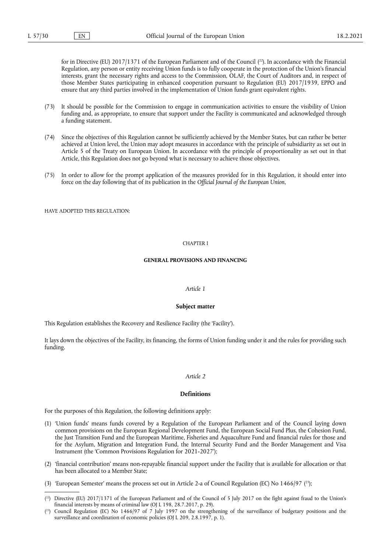<span id="page-13-2"></span>for in Directive (EU) 2017/1371 of the European Parliament and of the Counci[l \(22\).](#page-13-0) In accordance with the Financial Regulation, any person or entity receiving Union funds is to fully cooperate in the protection of the Union's financial interests, grant the necessary rights and access to the Commission, OLAF, the Court of Auditors and, in respect of those Member States participating in enhanced cooperation pursuant to Regulation (EU) 2017/1939, EPPO and ensure that any third parties involved in the implementation of Union funds grant equivalent rights.

- (73) It should be possible for the Commission to engage in communication activities to ensure the visibility of Union funding and, as appropriate, to ensure that support under the Facility is communicated and acknowledged through a funding statement.
- (74) Since the objectives of this Regulation cannot be sufficiently achieved by the Member States, but can rather be better achieved at Union level, the Union may adopt measures in accordance with the principle of subsidiarity as set out in Article 5 of the Treaty on European Union. In accordance with the principle of proportionality as set out in that Article, this Regulation does not go beyond what is necessary to achieve those objectives.
- (75) In order to allow for the prompt application of the measures provided for in this Regulation, it should enter into force on the day following that of its publication in the *Official Journal of the European Union*,

HAVE ADOPTED THIS REGULATION.

#### CHAPTER I

#### **GENERAL PROVISIONS AND FINANCING**

## *Article 1*

#### **Subject matter**

This Regulation establishes the Recovery and Resilience Facility (the 'Facility').

It lays down the objectives of the Facility, its financing, the forms of Union funding under it and the rules for providing such funding.

## *Article 2*

#### **Definitions**

For the purposes of this Regulation, the following definitions apply:

- (1) 'Union funds' means funds covered by a Regulation of the European Parliament and of the Council laying down common provisions on the European Regional Development Fund, the European Social Fund Plus, the Cohesion Fund, the Just Transition Fund and the European Maritime, Fisheries and Aquaculture Fund and financial rules for those and for the Asylum, Migration and Integration Fund, the Internal Security Fund and the Border Management and Visa Instrument (the 'Common Provisions Regulation for 2021-2027');
- (2) 'financial contribution' means non-repayable financial support under the Facility that is available for allocation or that has been allocated to a Member State;

<span id="page-13-3"></span><sup>(3) &#</sup>x27;European Semester' means the process set out in Article 2-a of Council Regulation (EC) No 1466/9[7 \(23\)](#page-13-1);

<span id="page-13-0"></span><sup>(</sup> [22\) D](#page-13-2)irective (EU) 2017/1371 of the European Parliament and of the Council of 5 July 2017 on the fight against fraud to the Union's financial interests by means of criminal law (OJ L 198, 28.7.2017, p. 29).

<span id="page-13-1"></span><sup>(</sup> [23\) C](#page-13-3)ouncil Regulation (EC) No 1466/97 of 7 July 1997 on the strengthening of the surveillance of budgetary positions and the surveillance and coordination of economic policies (OJ L 209, 2.8.1997, p. 1).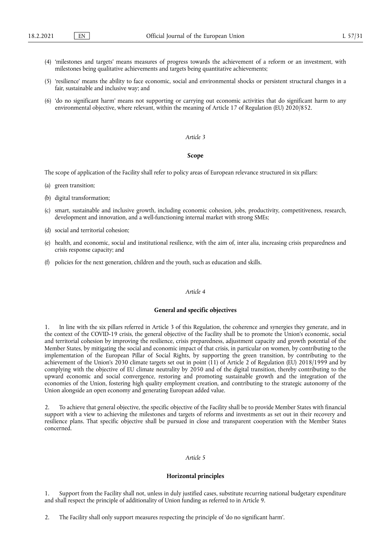- (4) 'milestones and targets' means measures of progress towards the achievement of a reform or an investment, with milestones being qualitative achievements and targets being quantitative achievements;
- (5) 'resilience' means the ability to face economic, social and environmental shocks or persistent structural changes in a fair, sustainable and inclusive way; and
- (6) 'do no significant harm' means not supporting or carrying out economic activities that do significant harm to any environmental objective, where relevant, within the meaning of Article 17 of Regulation (EU) 2020/852.

#### *Article 3*

#### **Scope**

The scope of application of the Facility shall refer to policy areas of European relevance structured in six pillars:

- (a) green transition;
- (b) digital transformation;
- (c) smart, sustainable and inclusive growth, including economic cohesion, jobs, productivity, competitiveness, research, development and innovation, and a well-functioning internal market with strong SMEs;
- (d) social and territorial cohesion;
- (e) health, and economic, social and institutional resilience, with the aim of, inter alia, increasing crisis preparedness and crisis response capacity; and
- (f) policies for the next generation, children and the youth, such as education and skills.

## *Article 4*

#### **General and specific objectives**

1. In line with the six pillars referred in Article 3 of this Regulation, the coherence and synergies they generate, and in the context of the COVID-19 crisis, the general objective of the Facility shall be to promote the Union's economic, social and territorial cohesion by improving the resilience, crisis preparedness, adjustment capacity and growth potential of the Member States, by mitigating the social and economic impact of that crisis, in particular on women, by contributing to the implementation of the European Pillar of Social Rights, by supporting the green transition, by contributing to the achievement of the Union's 2030 climate targets set out in point (11) of Article 2 of Regulation (EU) 2018/1999 and by complying with the objective of EU climate neutrality by 2050 and of the digital transition, thereby contributing to the upward economic and social convergence, restoring and promoting sustainable growth and the integration of the economies of the Union, fostering high quality employment creation, and contributing to the strategic autonomy of the Union alongside an open economy and generating European added value.

2. To achieve that general objective, the specific objective of the Facility shall be to provide Member States with financial support with a view to achieving the milestones and targets of reforms and investments as set out in their recovery and resilience plans. That specific objective shall be pursued in close and transparent cooperation with the Member States concerned.

## *Article 5*

#### **Horizontal principles**

1. Support from the Facility shall not, unless in duly justified cases, substitute recurring national budgetary expenditure and shall respect the principle of additionality of Union funding as referred to in Article 9.

2. The Facility shall only support measures respecting the principle of 'do no significant harm'.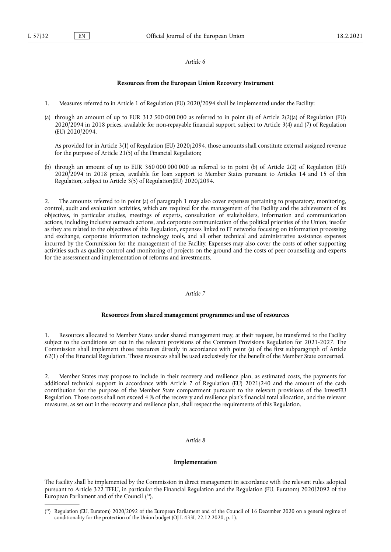## *Article 6*

## **Resources from the European Union Recovery Instrument**

- 1. Measures referred to in Article 1 of Regulation (EU) 2020/2094 shall be implemented under the Facility:
- (a) through an amount of up to EUR 312 500 000 000 as referred to in point (ii) of Article 2(2)(a) of Regulation (EU) 2020/2094 in 2018 prices, available for non-repayable financial support, subject to Article 3(4) and (7) of Regulation (EU) 2020/2094.

As provided for in Article 3(1) of Regulation (EU) 2020/2094, those amounts shall constitute external assigned revenue for the purpose of Article 21(5) of the Financial Regulation;

(b) through an amount of up to EUR 360 000 000 000 as referred to in point (b) of Article 2(2) of Regulation (EU) 2020/2094 in 2018 prices, available for loan support to Member States pursuant to Articles 14 and 15 of this Regulation, subject to Article 3(5) of Regulation(EU) 2020/2094.

2. The amounts referred to in point (a) of paragraph 1 may also cover expenses pertaining to preparatory, monitoring, control, audit and evaluation activities, which are required for the management of the Facility and the achievement of its objectives, in particular studies, meetings of experts, consultation of stakeholders, information and communication actions, including inclusive outreach actions, and corporate communication of the political priorities of the Union, insofar as they are related to the objectives of this Regulation, expenses linked to IT networks focusing on information processing and exchange, corporate information technology tools, and all other technical and administrative assistance expenses incurred by the Commission for the management of the Facility. Expenses may also cover the costs of other supporting activities such as quality control and monitoring of projects on the ground and the costs of peer counselling and experts for the assessment and implementation of reforms and investments.

#### *Article 7*

## **Resources from shared management programmes and use of resources**

1. Resources allocated to Member States under shared management may, at their request, be transferred to the Facility subject to the conditions set out in the relevant provisions of the Common Provisions Regulation for 2021-2027. The Commission shall implement those resources directly in accordance with point (a) of the first subparagraph of Article 62(1) of the Financial Regulation. Those resources shall be used exclusively for the benefit of the Member State concerned.

2. Member States may propose to include in their recovery and resilience plan, as estimated costs, the payments for additional technical support in accordance with Article 7 of Regulation (EU) 2021/240 and the amount of the cash contribution for the purpose of the Member State compartment pursuant to the relevant provisions of the InvestEU Regulation. Those costs shall not exceed 4 % of the recovery and resilience plan's financial total allocation, and the relevant measures, as set out in the recovery and resilience plan, shall respect the requirements of this Regulation.

## *Article 8*

## **Implementation**

<span id="page-15-1"></span>The Facility shall be implemented by the Commission in direct management in accordance with the relevant rules adopted pursuant to Article 322 TFEU, in particular the Financial Regulation and the Regulation (EU, Euratom) 2020/2092 of the European Parliament and of the Council  $(24)$ .

<span id="page-15-0"></span><sup>(</sup> [24\) R](#page-15-1)egulation (EU, Euratom) 2020/2092 of the European Parliament and of the Council of 16 December 2020 on a general regime of conditionality for the protection of the Union budget (OJ L 433I, 22.12.2020, p. 1).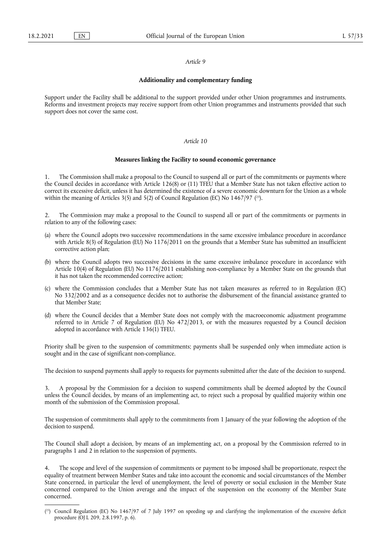#### *Article 9*

#### **Additionality and complementary funding**

Support under the Facility shall be additional to the support provided under other Union programmes and instruments. Reforms and investment projects may receive support from other Union programmes and instruments provided that such support does not cover the same cost.

## *Article 10*

#### **Measures linking the Facility to sound economic governance**

1. The Commission shall make a proposal to the Council to suspend all or part of the commitments or payments where the Council decides in accordance with Article 126(8) or (11) TFEU that a Member State has not taken effective action to correct its excessive deficit, unless it has determined the existence of a severe economic downturn for the Union as a whole within the meaning of Articles 3(5) and 5(2) of Council Regulation (EC) No  $1467/97$  [\(25\).](#page-16-0)

<span id="page-16-1"></span>The Commission may make a proposal to the Council to suspend all or part of the commitments or payments in relation to any of the following cases:

- (a) where the Council adopts two successive recommendations in the same excessive imbalance procedure in accordance with Article 8(3) of Regulation (EU) No 1176/2011 on the grounds that a Member State has submitted an insufficient corrective action plan;
- (b) where the Council adopts two successive decisions in the same excessive imbalance procedure in accordance with Article 10(4) of Regulation (EU) No 1176/2011 establishing non-compliance by a Member State on the grounds that it has not taken the recommended corrective action;
- (c) where the Commission concludes that a Member State has not taken measures as referred to in Regulation (EC) No 332/2002 and as a consequence decides not to authorise the disbursement of the financial assistance granted to that Member State;
- (d) where the Council decides that a Member State does not comply with the macroeconomic adjustment programme referred to in Article 7 of Regulation (EU) No 472/2013, or with the measures requested by a Council decision adopted in accordance with Article 136(1) TFEU.

Priority shall be given to the suspension of commitments; payments shall be suspended only when immediate action is sought and in the case of significant non-compliance.

The decision to suspend payments shall apply to requests for payments submitted after the date of the decision to suspend.

3. A proposal by the Commission for a decision to suspend commitments shall be deemed adopted by the Council unless the Council decides, by means of an implementing act, to reject such a proposal by qualified majority within one month of the submission of the Commission proposal.

The suspension of commitments shall apply to the commitments from 1 January of the year following the adoption of the decision to suspend.

The Council shall adopt a decision, by means of an implementing act, on a proposal by the Commission referred to in paragraphs 1 and 2 in relation to the suspension of payments.

4. The scope and level of the suspension of commitments or payment to be imposed shall be proportionate, respect the equality of treatment between Member States and take into account the economic and social circumstances of the Member State concerned, in particular the level of unemployment, the level of poverty or social exclusion in the Member State concerned compared to the Union average and the impact of the suspension on the economy of the Member State concerned.

<span id="page-16-0"></span><sup>(</sup> [25\) C](#page-16-1)ouncil Regulation (EC) No 1467/97 of 7 July 1997 on speeding up and clarifying the implementation of the excessive deficit procedure (OJ L 209, 2.8.1997, p. 6).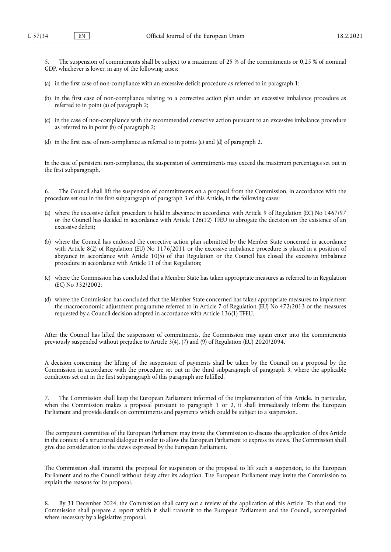5. The suspension of commitments shall be subject to a maximum of 25 % of the commitments or 0,25 % of nominal GDP, whichever is lower, in any of the following cases:

- (a) in the first case of non-compliance with an excessive deficit procedure as referred to in paragraph 1;
- (b) in the first case of non-compliance relating to a corrective action plan under an excessive imbalance procedure as referred to in point (a) of paragraph 2;
- (c) in the case of non-compliance with the recommended corrective action pursuant to an excessive imbalance procedure as referred to in point  $(b)$  of paragraph 2;
- (d) in the first case of non-compliance as referred to in points (c) and (d) of paragraph 2.

In the case of persistent non-compliance, the suspension of commitments may exceed the maximum percentages set out in the first subparagraph.

The Council shall lift the suspension of commitments on a proposal from the Commission, in accordance with the procedure set out in the first subparagraph of paragraph 3 of this Article, in the following cases:

- (a) where the excessive deficit procedure is held in abeyance in accordance with Article 9 of Regulation (EC) No 1467/97 or the Council has decided in accordance with Article 126(12) TFEU to abrogate the decision on the existence of an excessive deficit;
- (b) where the Council has endorsed the corrective action plan submitted by the Member State concerned in accordance with Article 8(2) of Regulation (EU) No 1176/2011 or the excessive imbalance procedure is placed in a position of abeyance in accordance with Article 10(5) of that Regulation or the Council has closed the excessive imbalance procedure in accordance with Article 11 of that Regulation;
- (c) where the Commission has concluded that a Member State has taken appropriate measures as referred to in Regulation (EC) No 332/2002;
- (d) where the Commission has concluded that the Member State concerned has taken appropriate measures to implement the macroeconomic adjustment programme referred to in Article 7 of Regulation (EU) No 472/2013 or the measures requested by a Council decision adopted in accordance with Article 136(1) TFEU.

After the Council has lifted the suspension of commitments, the Commission may again enter into the commitments previously suspended without prejudice to Article 3(4), (7) and (9) of Regulation (EU) 2020/2094.

A decision concerning the lifting of the suspension of payments shall be taken by the Council on a proposal by the Commission in accordance with the procedure set out in the third subparagraph of paragraph 3, where the applicable conditions set out in the first subparagraph of this paragraph are fulfilled.

7. The Commission shall keep the European Parliament informed of the implementation of this Article. In particular, when the Commission makes a proposal pursuant to paragraph 1 or 2, it shall immediately inform the European Parliament and provide details on commitments and payments which could be subject to a suspension.

The competent committee of the European Parliament may invite the Commission to discuss the application of this Article in the context of a structured dialogue in order to allow the European Parliament to express its views. The Commission shall give due consideration to the views expressed by the European Parliament.

The Commission shall transmit the proposal for suspension or the proposal to lift such a suspension, to the European Parliament and to the Council without delay after its adoption. The European Parliament may invite the Commission to explain the reasons for its proposal.

8. By 31 December 2024, the Commission shall carry out a review of the application of this Article. To that end, the Commission shall prepare a report which it shall transmit to the European Parliament and the Council, accompanied where necessary by a legislative proposal.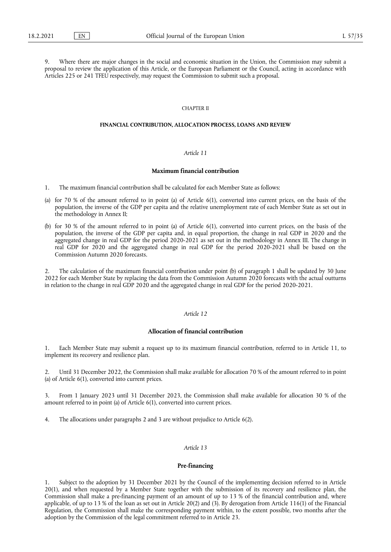Where there are major changes in the social and economic situation in the Union, the Commission may submit a proposal to review the application of this Article, or the European Parliament or the Council, acting in accordance with Articles 225 or 241 TFEU respectively, may request the Commission to submit such a proposal.

#### CHAPTER II

## **FINANCIAL CONTRIBUTION, ALLOCATION PROCESS, LOANS AND REVIEW**

## *Article 11*

## **Maximum financial contribution**

- 1. The maximum financial contribution shall be calculated for each Member State as follows:
- (a) for 70 % of the amount referred to in point (a) of Article 6(1), converted into current prices, on the basis of the population, the inverse of the GDP per capita and the relative unemployment rate of each Member State as set out in the methodology in Annex II;
- (b) for 30 % of the amount referred to in point (a) of Article 6(1), converted into current prices, on the basis of the population, the inverse of the GDP per capita and, in equal proportion, the change in real GDP in 2020 and the aggregated change in real GDP for the period 2020-2021 as set out in the methodology in Annex III. The change in real GDP for 2020 and the aggregated change in real GDP for the period 2020-2021 shall be based on the Commission Autumn 2020 forecasts.

2. The calculation of the maximum financial contribution under point (b) of paragraph 1 shall be updated by 30 June 2022 for each Member State by replacing the data from the Commission Autumn 2020 forecasts with the actual outturns in relation to the change in real GDP 2020 and the aggregated change in real GDP for the period 2020-2021.

## *Article 12*

## **Allocation of financial contribution**

1. Each Member State may submit a request up to its maximum financial contribution, referred to in Article 11, to implement its recovery and resilience plan.

2. Until 31 December 2022, the Commission shall make available for allocation 70 % of the amount referred to in point (a) of Article 6(1), converted into current prices.

3. From 1 January 2023 until 31 December 2023, the Commission shall make available for allocation 30 % of the amount referred to in point (a) of Article 6(1), converted into current prices.

4. The allocations under paragraphs 2 and 3 are without prejudice to Article 6(2).

# *Article 13*

#### **Pre-financing**

1. Subject to the adoption by 31 December 2021 by the Council of the implementing decision referred to in Article 20(1), and when requested by a Member State together with the submission of its recovery and resilience plan, the Commission shall make a pre-financing payment of an amount of up to 13 % of the financial contribution and, where applicable, of up to 13 % of the loan as set out in Article 20(2) and (3). By derogation from Article 116(1) of the Financial Regulation, the Commission shall make the corresponding payment within, to the extent possible, two months after the adoption by the Commission of the legal commitment referred to in Article 23.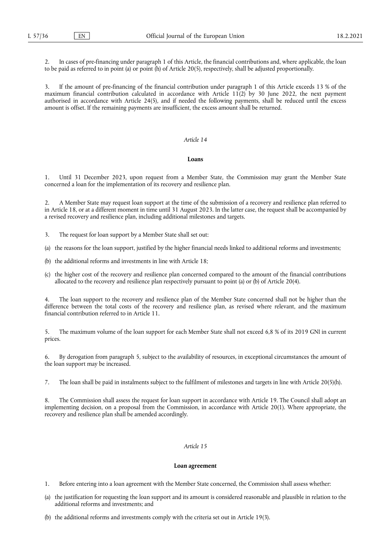2. In cases of pre-financing under paragraph 1 of this Article, the financial contributions and, where applicable, the loan to be paid as referred to in point (a) or point (h) of Article 20(5), respectively, shall be adjusted proportionally.

3. If the amount of pre-financing of the financial contribution under paragraph 1 of this Article exceeds 13 % of the maximum financial contribution calculated in accordance with Article  $11(2)$  by 30 June 2022, the next payment authorised in accordance with Article 24(5), and if needed the following payments, shall be reduced until the excess amount is offset. If the remaining payments are insufficient, the excess amount shall be returned.

## *Article 14*

## **Loans**

1. Until 31 December 2023, upon request from a Member State, the Commission may grant the Member State concerned a loan for the implementation of its recovery and resilience plan.

2. A Member State may request loan support at the time of the submission of a recovery and resilience plan referred to in Article 18, or at a different moment in time until 31 August 2023. In the latter case, the request shall be accompanied by a revised recovery and resilience plan, including additional milestones and targets.

- 3. The request for loan support by a Member State shall set out:
- (a) the reasons for the loan support, justified by the higher financial needs linked to additional reforms and investments;
- (b) the additional reforms and investments in line with Article 18;
- (c) the higher cost of the recovery and resilience plan concerned compared to the amount of the financial contributions allocated to the recovery and resilience plan respectively pursuant to point (a) or (b) of Article 20(4).

The loan support to the recovery and resilience plan of the Member State concerned shall not be higher than the difference between the total costs of the recovery and resilience plan, as revised where relevant, and the maximum financial contribution referred to in Article 11.

5. The maximum volume of the loan support for each Member State shall not exceed 6,8 % of its 2019 GNI in current prices.

6. By derogation from paragraph 5, subject to the availability of resources, in exceptional circumstances the amount of the loan support may be increased.

7. The loan shall be paid in instalments subject to the fulfilment of milestones and targets in line with Article 20(5)(h).

The Commission shall assess the request for loan support in accordance with Article 19. The Council shall adopt an implementing decision, on a proposal from the Commission, in accordance with Article 20(1). Where appropriate, the recovery and resilience plan shall be amended accordingly.

## *Article 15*

#### **Loan agreement**

1. Before entering into a loan agreement with the Member State concerned, the Commission shall assess whether:

- (a) the justification for requesting the loan support and its amount is considered reasonable and plausible in relation to the additional reforms and investments; and
- (b) the additional reforms and investments comply with the criteria set out in Article 19(3).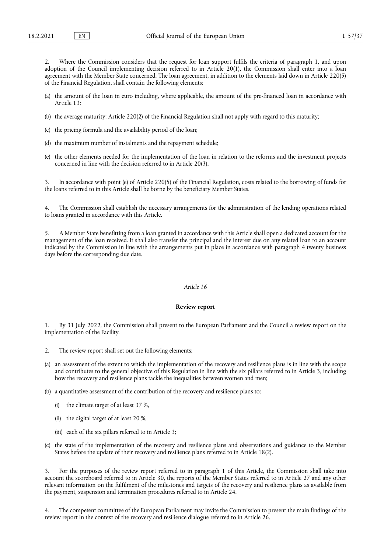2. Where the Commission considers that the request for loan support fulfils the criteria of paragraph 1, and upon adoption of the Council implementing decision referred to in Article 20(1), the Commission shall enter into a loan agreement with the Member State concerned. The loan agreement, in addition to the elements laid down in Article 220(5) of the Financial Regulation, shall contain the following elements:

- (a) the amount of the loan in euro including, where applicable, the amount of the pre-financed loan in accordance with Article 13;
- (b) the average maturity; Article 220(2) of the Financial Regulation shall not apply with regard to this maturity;
- (c) the pricing formula and the availability period of the loan;
- (d) the maximum number of instalments and the repayment schedule;
- (e) the other elements needed for the implementation of the loan in relation to the reforms and the investment projects concerned in line with the decision referred to in Article 20(3).

3. In accordance with point (e) of Article 220(5) of the Financial Regulation, costs related to the borrowing of funds for the loans referred to in this Article shall be borne by the beneficiary Member States.

4. The Commission shall establish the necessary arrangements for the administration of the lending operations related to loans granted in accordance with this Article.

5. A Member State benefitting from a loan granted in accordance with this Article shall open a dedicated account for the management of the loan received. It shall also transfer the principal and the interest due on any related loan to an account indicated by the Commission in line with the arrangements put in place in accordance with paragraph 4 twenty business days before the corresponding due date.

#### *Article 16*

#### **Review report**

By 31 July 2022, the Commission shall present to the European Parliament and the Council a review report on the implementation of the Facility.

- 2. The review report shall set out the following elements:
- (a) an assessment of the extent to which the implementation of the recovery and resilience plans is in line with the scope and contributes to the general objective of this Regulation in line with the six pillars referred to in Article 3, including how the recovery and resilience plans tackle the inequalities between women and men;
- (b) a quantitative assessment of the contribution of the recovery and resilience plans to:
	- (i) the climate target of at least 37 %,
	- (ii) the digital target of at least 20 %,
	- (iii) each of the six pillars referred to in Article 3;
- (c) the state of the implementation of the recovery and resilience plans and observations and guidance to the Member States before the update of their recovery and resilience plans referred to in Article 18(2).

3. For the purposes of the review report referred to in paragraph 1 of this Article, the Commission shall take into account the scoreboard referred to in Article 30, the reports of the Member States referred to in Article 27 and any other relevant information on the fulfilment of the milestones and targets of the recovery and resilience plans as available from the payment, suspension and termination procedures referred to in Article 24.

The competent committee of the European Parliament may invite the Commission to present the main findings of the review report in the context of the recovery and resilience dialogue referred to in Article 26.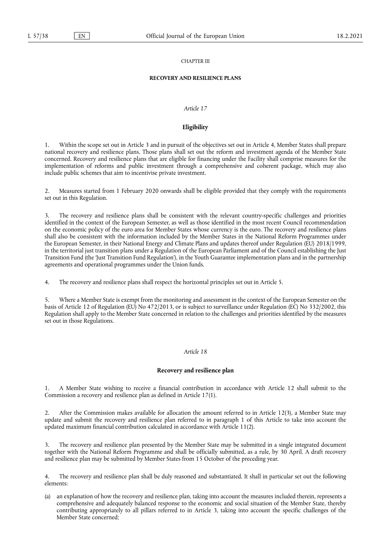## CHAPTER III

## **RECOVERY AND RESILIENCE PLANS**

## *Article 17*

### **Eligibility**

1. Within the scope set out in Article 3 and in pursuit of the objectives set out in Article 4, Member States shall prepare national recovery and resilience plans. Those plans shall set out the reform and investment agenda of the Member State concerned. Recovery and resilience plans that are eligible for financing under the Facility shall comprise measures for the implementation of reforms and public investment through a comprehensive and coherent package, which may also include public schemes that aim to incentivise private investment.

2. Measures started from 1 February 2020 onwards shall be eligible provided that they comply with the requirements set out in this Regulation.

3. The recovery and resilience plans shall be consistent with the relevant country-specific challenges and priorities identified in the context of the European Semester, as well as those identified in the most recent Council recommendation on the economic policy of the euro area for Member States whose currency is the euro. The recovery and resilience plans shall also be consistent with the information included by the Member States in the National Reform Programmes under the European Semester, in their National Energy and Climate Plans and updates thereof under Regulation (EU) 2018/1999, in the territorial just transition plans under a Regulation of the European Parliament and of the Council establishing the Just Transition Fund (the 'Just Transition Fund Regulation'), in the Youth Guarantee implementation plans and in the partnership agreements and operational programmes under the Union funds.

4. The recovery and resilience plans shall respect the horizontal principles set out in Article 5.

5. Where a Member State is exempt from the monitoring and assessment in the context of the European Semester on the basis of Article 12 of Regulation (EU) No 472/2013, or is subject to surveillance under Regulation (EC) No 332/2002, this Regulation shall apply to the Member State concerned in relation to the challenges and priorities identified by the measures set out in those Regulations.

## *Article 18*

## **Recovery and resilience plan**

1. A Member State wishing to receive a financial contribution in accordance with Article 12 shall submit to the Commission a recovery and resilience plan as defined in Article 17(1).

2. After the Commission makes available for allocation the amount referred to in Article 12(3), a Member State may update and submit the recovery and resilience plan referred to in paragraph 1 of this Article to take into account the updated maximum financial contribution calculated in accordance with Article 11(2).

The recovery and resilience plan presented by the Member State may be submitted in a single integrated document together with the National Reform Programme and shall be officially submitted, as a rule, by 30 April. A draft recovery and resilience plan may be submitted by Member States from 15 October of the preceding year.

4. The recovery and resilience plan shall be duly reasoned and substantiated. It shall in particular set out the following elements:

(a) an explanation of how the recovery and resilience plan, taking into account the measures included therein, represents a comprehensive and adequately balanced response to the economic and social situation of the Member State, thereby contributing appropriately to all pillars referred to in Article 3, taking into account the specific challenges of the Member State concerned;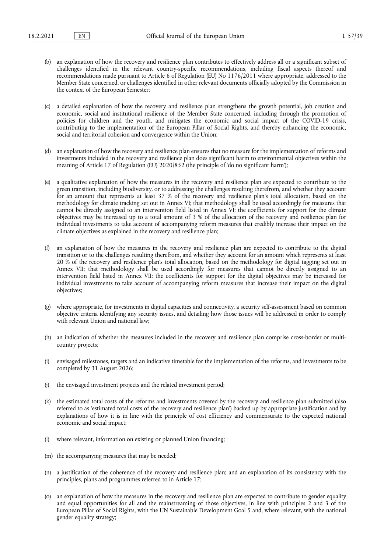- (b) an explanation of how the recovery and resilience plan contributes to effectively address all or a significant subset of challenges identified in the relevant country-specific recommendations, including fiscal aspects thereof and recommendations made pursuant to Article 6 of Regulation (EU) No 1176/2011 where appropriate, addressed to the Member State concerned, or challenges identified in other relevant documents officially adopted by the Commission in the context of the European Semester;
- (c) a detailed explanation of how the recovery and resilience plan strengthens the growth potential, job creation and economic, social and institutional resilience of the Member State concerned, including through the promotion of policies for children and the youth, and mitigates the economic and social impact of the COVID-19 crisis, contributing to the implementation of the European Pillar of Social Rights, and thereby enhancing the economic, social and territorial cohesion and convergence within the Union;
- (d) an explanation of how the recovery and resilience plan ensures that no measure for the implementation of reforms and investments included in the recovery and resilience plan does significant harm to environmental objectives within the meaning of Article 17 of Regulation (EU) 2020/852 (the principle of 'do no significant harm');
- (e) a qualitative explanation of how the measures in the recovery and resilience plan are expected to contribute to the green transition, including biodiversity, or to addressing the challenges resulting therefrom, and whether they account for an amount that represents at least 37 % of the recovery and resilience plan's total allocation, based on the methodology for climate tracking set out in Annex VI; that methodology shall be used accordingly for measures that cannot be directly assigned to an intervention field listed in Annex VI; the coefficients for support for the climate objectives may be increased up to a total amount of 3 % of the allocation of the recovery and resilience plan for individual investments to take account of accompanying reform measures that credibly increase their impact on the climate objectives as explained in the recovery and resilience plan;
- an explanation of how the measures in the recovery and resilience plan are expected to contribute to the digital transition or to the challenges resulting therefrom, and whether they account for an amount which represents at least 20 % of the recovery and resilience plan's total allocation, based on the methodology for digital tagging set out in Annex VII; that methodology shall be used accordingly for measures that cannot be directly assigned to an intervention field listed in Annex VII; the coefficients for support for the digital objectives may be increased for individual investments to take account of accompanying reform measures that increase their impact on the digital objectives;
- (g) where appropriate, for investments in digital capacities and connectivity, a security self-assessment based on common objective criteria identifying any security issues, and detailing how those issues will be addressed in order to comply with relevant Union and national law:
- (h) an indication of whether the measures included in the recovery and resilience plan comprise cross-border or multicountry projects;
- (i) envisaged milestones, targets and an indicative timetable for the implementation of the reforms, and investments to be completed by 31 August 2026;
- (j) the envisaged investment projects and the related investment period;
- (k) the estimated total costs of the reforms and investments covered by the recovery and resilience plan submitted (also referred to as 'estimated total costs of the recovery and resilience plan') backed up by appropriate justification and by explanations of how it is in line with the principle of cost efficiency and commensurate to the expected national economic and social impact;
- where relevant, information on existing or planned Union financing;
- (m) the accompanying measures that may be needed;
- (n) a justification of the coherence of the recovery and resilience plan; and an explanation of its consistency with the principles, plans and programmes referred to in Article 17;
- (o) an explanation of how the measures in the recovery and resilience plan are expected to contribute to gender equality and equal opportunities for all and the mainstreaming of those objectives, in line with principles 2 and 3 of the European Pillar of Social Rights, with the UN Sustainable Development Goal 5 and, where relevant, with the national gender equality strategy;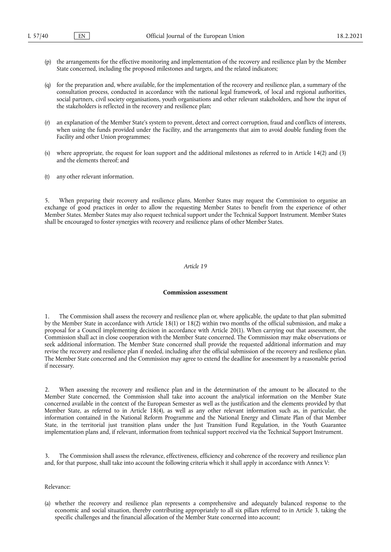- (p) the arrangements for the effective monitoring and implementation of the recovery and resilience plan by the Member State concerned, including the proposed milestones and targets, and the related indicators;
- (q) for the preparation and, where available, for the implementation of the recovery and resilience plan, a summary of the consultation process, conducted in accordance with the national legal framework, of local and regional authorities, social partners, civil society organisations, youth organisations and other relevant stakeholders, and how the input of the stakeholders is reflected in the recovery and resilience plan;
- an explanation of the Member State's system to prevent, detect and correct corruption, fraud and conflicts of interests, when using the funds provided under the Facility, and the arrangements that aim to avoid double funding from the Facility and other Union programmes;
- (s) where appropriate, the request for loan support and the additional milestones as referred to in Article 14(2) and (3) and the elements thereof; and
- (t) any other relevant information.

5. When preparing their recovery and resilience plans, Member States may request the Commission to organise an exchange of good practices in order to allow the requesting Member States to benefit from the experience of other Member States. Member States may also request technical support under the Technical Support Instrument. Member States shall be encouraged to foster synergies with recovery and resilience plans of other Member States.

#### *Article 19*

## **Commission assessment**

1. The Commission shall assess the recovery and resilience plan or, where applicable, the update to that plan submitted by the Member State in accordance with Article 18(1) or 18(2) within two months of the official submission, and make a proposal for a Council implementing decision in accordance with Article 20(1). When carrying out that assessment, the Commission shall act in close cooperation with the Member State concerned. The Commission may make observations or seek additional information. The Member State concerned shall provide the requested additional information and may revise the recovery and resilience plan if needed, including after the official submission of the recovery and resilience plan. The Member State concerned and the Commission may agree to extend the deadline for assessment by a reasonable period if necessary.

When assessing the recovery and resilience plan and in the determination of the amount to be allocated to the Member State concerned, the Commission shall take into account the analytical information on the Member State concerned available in the context of the European Semester as well as the justification and the elements provided by that Member State, as referred to in Article 18(4), as well as any other relevant information such as, in particular, the information contained in the National Reform Programme and the National Energy and Climate Plan of that Member State, in the territorial just transition plans under the Just Transition Fund Regulation, in the Youth Guarantee implementation plans and, if relevant, information from technical support received via the Technical Support Instrument.

3. The Commission shall assess the relevance, effectiveness, efficiency and coherence of the recovery and resilience plan and, for that purpose, shall take into account the following criteria which it shall apply in accordance with Annex V:

Relevance:

(a) whether the recovery and resilience plan represents a comprehensive and adequately balanced response to the economic and social situation, thereby contributing appropriately to all six pillars referred to in Article 3, taking the specific challenges and the financial allocation of the Member State concerned into account;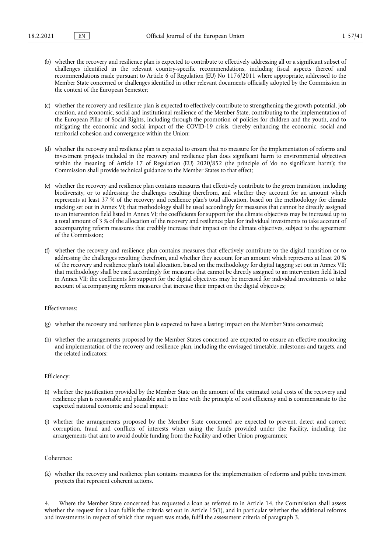- (b) whether the recovery and resilience plan is expected to contribute to effectively addressing all or a significant subset of challenges identified in the relevant country-specific recommendations, including fiscal aspects thereof and recommendations made pursuant to Article 6 of Regulation (EU) No 1176/2011 where appropriate, addressed to the Member State concerned or challenges identified in other relevant documents officially adopted by the Commission in the context of the European Semester;
- (c) whether the recovery and resilience plan is expected to effectively contribute to strengthening the growth potential, job creation, and economic, social and institutional resilience of the Member State, contributing to the implementation of the European Pillar of Social Rights, including through the promotion of policies for children and the youth, and to mitigating the economic and social impact of the COVID-19 crisis, thereby enhancing the economic, social and territorial cohesion and convergence within the Union;
- (d) whether the recovery and resilience plan is expected to ensure that no measure for the implementation of reforms and investment projects included in the recovery and resilience plan does significant harm to environmental objectives within the meaning of Article 17 of Regulation (EU) 2020/852 (the principle of 'do no significant harm'); the Commission shall provide technical guidance to the Member States to that effect;
- (e) whether the recovery and resilience plan contains measures that effectively contribute to the green transition, including biodiversity, or to addressing the challenges resulting therefrom, and whether they account for an amount which represents at least 37 % of the recovery and resilience plan's total allocation, based on the methodology for climate tracking set out in Annex VI; that methodology shall be used accordingly for measures that cannot be directly assigned to an intervention field listed in Annex VI; the coefficients for support for the climate objectives may be increased up to a total amount of 3 % of the allocation of the recovery and resilience plan for individual investments to take account of accompanying reform measures that credibly increase their impact on the climate objectives, subject to the agreement of the Commission;
- (f) whether the recovery and resilience plan contains measures that effectively contribute to the digital transition or to addressing the challenges resulting therefrom, and whether they account for an amount which represents at least 20 % of the recovery and resilience plan's total allocation, based on the methodology for digital tagging set out in Annex VII; that methodology shall be used accordingly for measures that cannot be directly assigned to an intervention field listed in Annex VII; the coefficients for support for the digital objectives may be increased for individual investments to take account of accompanying reform measures that increase their impact on the digital objectives;

#### Effectiveness:

- (g) whether the recovery and resilience plan is expected to have a lasting impact on the Member State concerned;
- (h) whether the arrangements proposed by the Member States concerned are expected to ensure an effective monitoring and implementation of the recovery and resilience plan, including the envisaged timetable, milestones and targets, and the related indicators;

#### Efficiency:

- (i) whether the justification provided by the Member State on the amount of the estimated total costs of the recovery and resilience plan is reasonable and plausible and is in line with the principle of cost efficiency and is commensurate to the expected national economic and social impact;
- (j) whether the arrangements proposed by the Member State concerned are expected to prevent, detect and correct corruption, fraud and conflicts of interests when using the funds provided under the Facility, including the arrangements that aim to avoid double funding from the Facility and other Union programmes;

#### Coherence:

(k) whether the recovery and resilience plan contains measures for the implementation of reforms and public investment projects that represent coherent actions.

4. Where the Member State concerned has requested a loan as referred to in Article 14, the Commission shall assess whether the request for a loan fulfils the criteria set out in Article 15(1), and in particular whether the additional reforms and investments in respect of which that request was made, fulfil the assessment criteria of paragraph 3.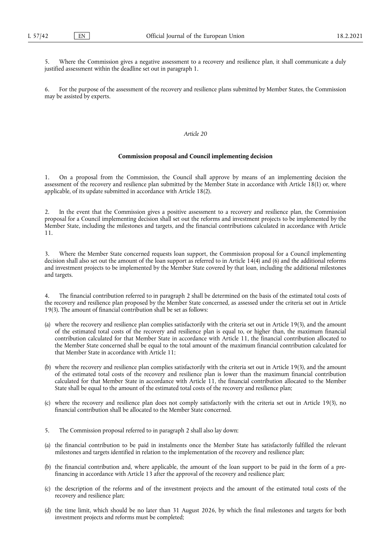5. Where the Commission gives a negative assessment to a recovery and resilience plan, it shall communicate a duly justified assessment within the deadline set out in paragraph 1.

6. For the purpose of the assessment of the recovery and resilience plans submitted by Member States, the Commission may be assisted by experts.

#### *Article 20*

#### **Commission proposal and Council implementing decision**

1. On a proposal from the Commission, the Council shall approve by means of an implementing decision the assessment of the recovery and resilience plan submitted by the Member State in accordance with Article 18(1) or, where applicable, of its update submitted in accordance with Article 18(2).

2. In the event that the Commission gives a positive assessment to a recovery and resilience plan, the Commission proposal for a Council implementing decision shall set out the reforms and investment projects to be implemented by the Member State, including the milestones and targets, and the financial contributions calculated in accordance with Article 11.

3. Where the Member State concerned requests loan support, the Commission proposal for a Council implementing decision shall also set out the amount of the loan support as referred to in Article 14(4) and (6) and the additional reforms and investment projects to be implemented by the Member State covered by that loan, including the additional milestones and targets.

The financial contribution referred to in paragraph 2 shall be determined on the basis of the estimated total costs of the recovery and resilience plan proposed by the Member State concerned, as assessed under the criteria set out in Article 19(3). The amount of financial contribution shall be set as follows:

- (a) where the recovery and resilience plan complies satisfactorily with the criteria set out in Article 19(3), and the amount of the estimated total costs of the recovery and resilience plan is equal to, or higher than, the maximum financial contribution calculated for that Member State in accordance with Article 11, the financial contribution allocated to the Member State concerned shall be equal to the total amount of the maximum financial contribution calculated for that Member State in accordance with Article 11;
- (b) where the recovery and resilience plan complies satisfactorily with the criteria set out in Article 19(3), and the amount of the estimated total costs of the recovery and resilience plan is lower than the maximum financial contribution calculated for that Member State in accordance with Article 11, the financial contribution allocated to the Member State shall be equal to the amount of the estimated total costs of the recovery and resilience plan;
- (c) where the recovery and resilience plan does not comply satisfactorily with the criteria set out in Article 19(3), no financial contribution shall be allocated to the Member State concerned.
- 5. The Commission proposal referred to in paragraph 2 shall also lay down:
- (a) the financial contribution to be paid in instalments once the Member State has satisfactorily fulfilled the relevant milestones and targets identified in relation to the implementation of the recovery and resilience plan;
- (b) the financial contribution and, where applicable, the amount of the loan support to be paid in the form of a prefinancing in accordance with Article 13 after the approval of the recovery and resilience plan;
- (c) the description of the reforms and of the investment projects and the amount of the estimated total costs of the recovery and resilience plan;
- (d) the time limit, which should be no later than 31 August 2026, by which the final milestones and targets for both investment projects and reforms must be completed;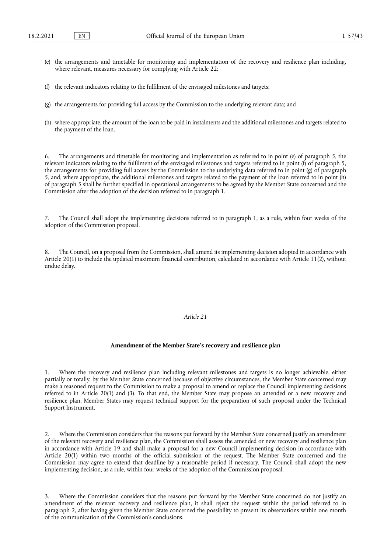- (e) the arrangements and timetable for monitoring and implementation of the recovery and resilience plan including, where relevant, measures necessary for complying with Article 22;
- (f) the relevant indicators relating to the fulfilment of the envisaged milestones and targets;
- (g) the arrangements for providing full access by the Commission to the underlying relevant data; and
- (h) where appropriate, the amount of the loan to be paid in instalments and the additional milestones and targets related to the payment of the loan.

The arrangements and timetable for monitoring and implementation as referred to in point (e) of paragraph 5, the relevant indicators relating to the fulfilment of the envisaged milestones and targets referred to in point (f) of paragraph 5, the arrangements for providing full access by the Commission to the underlying data referred to in point (g) of paragraph 5, and, where appropriate, the additional milestones and targets related to the payment of the loan referred to in point (h) of paragraph 5 shall be further specified in operational arrangements to be agreed by the Member State concerned and the Commission after the adoption of the decision referred to in paragraph 1.

The Council shall adopt the implementing decisions referred to in paragraph 1, as a rule, within four weeks of the adoption of the Commission proposal.

8. The Council, on a proposal from the Commission, shall amend its implementing decision adopted in accordance with Article 20(1) to include the updated maximum financial contribution, calculated in accordance with Article 11(2), without undue delay.

### *Article 21*

#### **Amendment of the Member State's recovery and resilience plan**

1. Where the recovery and resilience plan including relevant milestones and targets is no longer achievable, either partially or totally, by the Member State concerned because of objective circumstances, the Member State concerned may make a reasoned request to the Commission to make a proposal to amend or replace the Council implementing decisions referred to in Article 20(1) and (3). To that end, the Member State may propose an amended or a new recovery and resilience plan. Member States may request technical support for the preparation of such proposal under the Technical Support Instrument.

2. Where the Commission considers that the reasons put forward by the Member State concerned justify an amendment of the relevant recovery and resilience plan, the Commission shall assess the amended or new recovery and resilience plan in accordance with Article 19 and shall make a proposal for a new Council implementing decision in accordance with Article 20(1) within two months of the official submission of the request. The Member State concerned and the Commission may agree to extend that deadline by a reasonable period if necessary. The Council shall adopt the new implementing decision, as a rule, within four weeks of the adoption of the Commission proposal.

Where the Commission considers that the reasons put forward by the Member State concerned do not justify an amendment of the relevant recovery and resilience plan, it shall reject the request within the period referred to in paragraph 2, after having given the Member State concerned the possibility to present its observations within one month of the communication of the Commission's conclusions.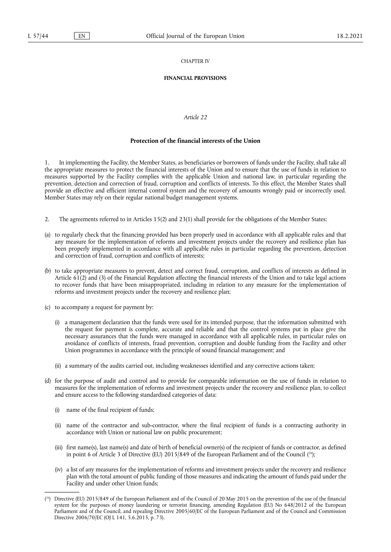## CHAPTER IV

#### **FINANCIAL PROVISIONS**

## *Article 22*

## **Protection of the financial interests of the Union**

1. In implementing the Facility, the Member States, as beneficiaries or borrowers of funds under the Facility, shall take all the appropriate measures to protect the financial interests of the Union and to ensure that the use of funds in relation to measures supported by the Facility complies with the applicable Union and national law, in particular regarding the prevention, detection and correction of fraud, corruption and conflicts of interests. To this effect, the Member States shall provide an effective and efficient internal control system and the recovery of amounts wrongly paid or incorrectly used. Member States may rely on their regular national budget management systems.

- 2. The agreements referred to in Articles 15(2) and 23(1) shall provide for the obligations of the Member States:
- (a) to regularly check that the financing provided has been properly used in accordance with all applicable rules and that any measure for the implementation of reforms and investment projects under the recovery and resilience plan has been properly implemented in accordance with all applicable rules in particular regarding the prevention, detection and correction of fraud, corruption and conflicts of interests;
- (b) to take appropriate measures to prevent, detect and correct fraud, corruption, and conflicts of interests as defined in Article 61(2) and (3) of the Financial Regulation affecting the financial interests of the Union and to take legal actions to recover funds that have been misappropriated, including in relation to any measure for the implementation of reforms and investment projects under the recovery and resilience plan;
- (c) to accompany a request for payment by:
	- (i) a management declaration that the funds were used for its intended purpose, that the information submitted with the request for payment is complete, accurate and reliable and that the control systems put in place give the necessary assurances that the funds were managed in accordance with all applicable rules, in particular rules on avoidance of conflicts of interests, fraud prevention, corruption and double funding from the Facility and other Union programmes in accordance with the principle of sound financial management; and
	- (ii) a summary of the audits carried out, including weaknesses identified and any corrective actions taken;
- (d) for the purpose of audit and control and to provide for comparable information on the use of funds in relation to measures for the implementation of reforms and investment projects under the recovery and resilience plan, to collect and ensure access to the following standardised categories of data:
	- (i) name of the final recipient of funds;
	- (ii) name of the contractor and sub-contractor, where the final recipient of funds is a contracting authority in accordance with Union or national law on public procurement;
	- (iii) first name(s), last name(s) and date of birth of beneficial owner(s) of the recipient of funds or contractor, as defined in point 6 of Article 3 of Directive (EU) 2015/849 of the European Parliament and of the Council [\(26\)](#page-27-0);
	- (iv) a list of any measures for the implementation of reforms and investment projects under the recovery and resilience plan with the total amount of public funding of those measures and indicating the amount of funds paid under the Facility and under other Union funds;

<span id="page-27-1"></span><span id="page-27-0"></span><sup>(</sup> [26\) D](#page-27-1)irective (EU) 2015/849 of the European Parliament and of the Council of 20 May 2015 on the prevention of the use of the financial system for the purposes of money laundering or terrorist financing, amending Regulation (EU) No 648/2012 of the European Parliament and of the Council, and repealing Directive 2005/60/EC of the European Parliament and of the Council and Commission Directive 2006/70/EC (OJ L 141, 5.6.2015, p. 73).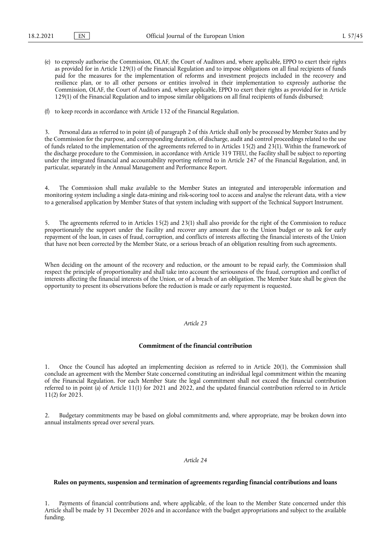- (e) to expressly authorise the Commission, OLAF, the Court of Auditors and, where applicable, EPPO to exert their rights as provided for in Article 129(1) of the Financial Regulation and to impose obligations on all final recipients of funds paid for the measures for the implementation of reforms and investment projects included in the recovery and resilience plan, or to all other persons or entities involved in their implementation to expressly authorise the Commission, OLAF, the Court of Auditors and, where applicable, EPPO to exert their rights as provided for in Article 129(1) of the Financial Regulation and to impose similar obligations on all final recipients of funds disbursed;
- (f) to keep records in accordance with Article 132 of the Financial Regulation.

3. Personal data as referred to in point (d) of paragraph 2 of this Article shall only be processed by Member States and by the Commission for the purpose, and corresponding duration, of discharge, audit and control proceedings related to the use of funds related to the implementation of the agreements referred to in Articles 15(2) and 23(1). Within the framework of the discharge procedure to the Commission, in accordance with Article 319 TFEU, the Facility shall be subject to reporting under the integrated financial and accountability reporting referred to in Article 247 of the Financial Regulation, and, in particular, separately in the Annual Management and Performance Report.

4. The Commission shall make available to the Member States an integrated and interoperable information and monitoring system including a single data-mining and risk-scoring tool to access and analyse the relevant data, with a view to a generalised application by Member States of that system including with support of the Technical Support Instrument.

5. The agreements referred to in Articles 15(2) and 23(1) shall also provide for the right of the Commission to reduce proportionately the support under the Facility and recover any amount due to the Union budget or to ask for early repayment of the loan, in cases of fraud, corruption, and conflicts of interests affecting the financial interests of the Union that have not been corrected by the Member State, or a serious breach of an obligation resulting from such agreements.

When deciding on the amount of the recovery and reduction, or the amount to be repaid early, the Commission shall respect the principle of proportionality and shall take into account the seriousness of the fraud, corruption and conflict of interests affecting the financial interests of the Union, or of a breach of an obligation. The Member State shall be given the opportunity to present its observations before the reduction is made or early repayment is requested.

#### *Article 23*

#### **Commitment of the financial contribution**

1. Once the Council has adopted an implementing decision as referred to in Article 20(1), the Commission shall conclude an agreement with the Member State concerned constituting an individual legal commitment within the meaning of the Financial Regulation. For each Member State the legal commitment shall not exceed the financial contribution referred to in point (a) of Article 11(1) for 2021 and 2022, and the updated financial contribution referred to in Article 11(2) for 2023.

2. Budgetary commitments may be based on global commitments and, where appropriate, may be broken down into annual instalments spread over several years.

## *Article 24*

#### **Rules on payments, suspension and termination of agreements regarding financial contributions and loans**

Payments of financial contributions and, where applicable, of the loan to the Member State concerned under this Article shall be made by 31 December 2026 and in accordance with the budget appropriations and subject to the available funding.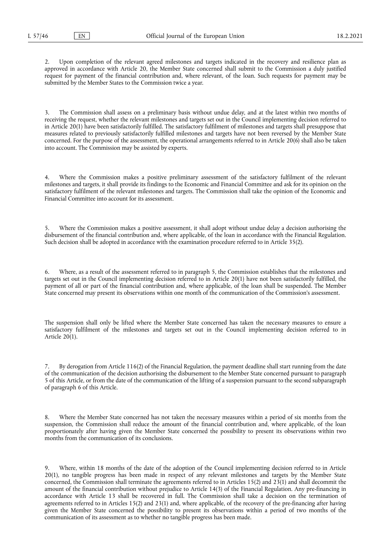Upon completion of the relevant agreed milestones and targets indicated in the recovery and resilience plan as approved in accordance with Article 20, the Member State concerned shall submit to the Commission a duly justified request for payment of the financial contribution and, where relevant, of the loan. Such requests for payment may be submitted by the Member States to the Commission twice a year.

3. The Commission shall assess on a preliminary basis without undue delay, and at the latest within two months of receiving the request, whether the relevant milestones and targets set out in the Council implementing decision referred to in Article 20(1) have been satisfactorily fulfilled. The satisfactory fulfilment of milestones and targets shall presuppose that measures related to previously satisfactorily fulfilled milestones and targets have not been reversed by the Member State concerned. For the purpose of the assessment, the operational arrangements referred to in Article 20(6) shall also be taken into account. The Commission may be assisted by experts.

4. Where the Commission makes a positive preliminary assessment of the satisfactory fulfilment of the relevant milestones and targets, it shall provide its findings to the Economic and Financial Committee and ask for its opinion on the satisfactory fulfilment of the relevant milestones and targets. The Commission shall take the opinion of the Economic and Financial Committee into account for its assessment.

5. Where the Commission makes a positive assessment, it shall adopt without undue delay a decision authorising the disbursement of the financial contribution and, where applicable, of the loan in accordance with the Financial Regulation. Such decision shall be adopted in accordance with the examination procedure referred to in Article 35(2).

6. Where, as a result of the assessment referred to in paragraph 5, the Commission establishes that the milestones and targets set out in the Council implementing decision referred to in Article 20(1) have not been satisfactorily fulfilled, the payment of all or part of the financial contribution and, where applicable, of the loan shall be suspended. The Member State concerned may present its observations within one month of the communication of the Commission's assessment.

The suspension shall only be lifted where the Member State concerned has taken the necessary measures to ensure a satisfactory fulfilment of the milestones and targets set out in the Council implementing decision referred to in Article 20(1).

7. By derogation from Article 116(2) of the Financial Regulation, the payment deadline shall start running from the date of the communication of the decision authorising the disbursement to the Member State concerned pursuant to paragraph 5 of this Article, or from the date of the communication of the lifting of a suspension pursuant to the second subparagraph of paragraph 6 of this Article.

8. Where the Member State concerned has not taken the necessary measures within a period of six months from the suspension, the Commission shall reduce the amount of the financial contribution and, where applicable, of the loan proportionately after having given the Member State concerned the possibility to present its observations within two months from the communication of its conclusions.

9. Where, within 18 months of the date of the adoption of the Council implementing decision referred to in Article 20(1), no tangible progress has been made in respect of any relevant milestones and targets by the Member State concerned, the Commission shall terminate the agreements referred to in Articles 15(2) and 23(1) and shall decommit the amount of the financial contribution without prejudice to Article 14(3) of the Financial Regulation. Any pre-financing in accordance with Article 13 shall be recovered in full. The Commission shall take a decision on the termination of agreements referred to in Articles 15(2) and 23(1) and, where applicable, of the recovery of the pre-financing after having given the Member State concerned the possibility to present its observations within a period of two months of the communication of its assessment as to whether no tangible progress has been made.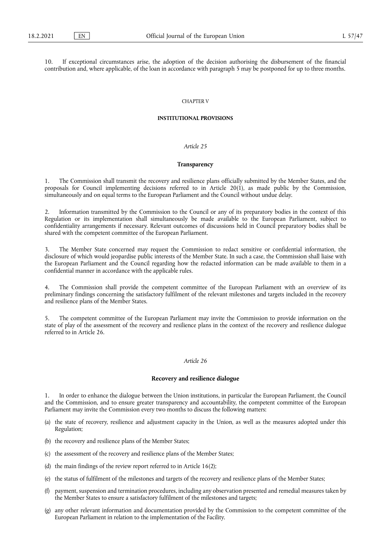10. If exceptional circumstances arise, the adoption of the decision authorising the disbursement of the financial contribution and, where applicable, of the loan in accordance with paragraph 5 may be postponed for up to three months.

#### CHAPTER V

## **INSTITUTIONAL PROVISIONS**

# *Article 25*

## **Transparency**

1. The Commission shall transmit the recovery and resilience plans officially submitted by the Member States, and the proposals for Council implementing decisions referred to in Article 20(1), as made public by the Commission, simultaneously and on equal terms to the European Parliament and the Council without undue delay.

2. Information transmitted by the Commission to the Council or any of its preparatory bodies in the context of this Regulation or its implementation shall simultaneously be made available to the European Parliament, subject to confidentiality arrangements if necessary. Relevant outcomes of discussions held in Council preparatory bodies shall be shared with the competent committee of the European Parliament.

The Member State concerned may request the Commission to redact sensitive or confidential information, the disclosure of which would jeopardise public interests of the Member State. In such a case, the Commission shall liaise with the European Parliament and the Council regarding how the redacted information can be made available to them in a confidential manner in accordance with the applicable rules.

4. The Commission shall provide the competent committee of the European Parliament with an overview of its preliminary findings concerning the satisfactory fulfilment of the relevant milestones and targets included in the recovery and resilience plans of the Member States.

5. The competent committee of the European Parliament may invite the Commission to provide information on the state of play of the assessment of the recovery and resilience plans in the context of the recovery and resilience dialogue referred to in Article 26.

## *Article 26*

## **Recovery and resilience dialogue**

In order to enhance the dialogue between the Union institutions, in particular the European Parliament, the Council and the Commission, and to ensure greater transparency and accountability, the competent committee of the European Parliament may invite the Commission every two months to discuss the following matters:

- (a) the state of recovery, resilience and adjustment capacity in the Union, as well as the measures adopted under this Regulation;
- (b) the recovery and resilience plans of the Member States;
- (c) the assessment of the recovery and resilience plans of the Member States;
- (d) the main findings of the review report referred to in Article 16(2);
- (e) the status of fulfilment of the milestones and targets of the recovery and resilience plans of the Member States;
- payment, suspension and termination procedures, including any observation presented and remedial measures taken by the Member States to ensure a satisfactory fulfilment of the milestones and targets;
- (g) any other relevant information and documentation provided by the Commission to the competent committee of the European Parliament in relation to the implementation of the Facility.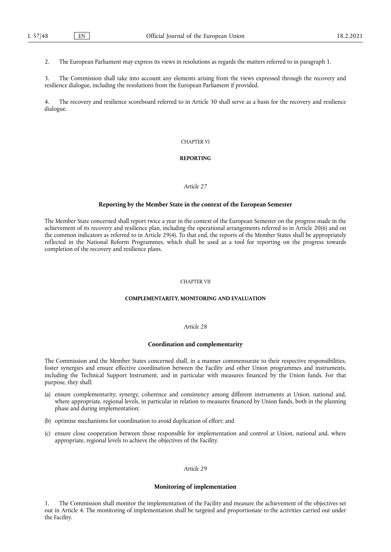2. The European Parliament may express its views in resolutions as regards the matters referred to in paragraph 1.

3. The Commission shall take into account any elements arising from the views expressed through the recovery and resilience dialogue, including the resolutions from the European Parliament if provided.

4. The recovery and resilience scoreboard referred to in Article 30 shall serve as a basis for the recovery and resilience dialogue.

## CHAPTER VI

## **REPORTING**

## *Article 27*

## **Reporting by the Member State in the context of the European Semester**

The Member State concerned shall report twice a year in the context of the European Semester on the progress made in the achievement of its recovery and resilience plan, including the operational arrangements referred to in Article 20(6) and on the common indicators as referred to in Article 29(4). To that end, the reports of the Member States shall be appropriately reflected in the National Reform Programmes, which shall be used as a tool for reporting on the progress towards completion of the recovery and resilience plans.

## CHAPTER VII

#### **COMPLEMENTARITY, MONITORING AND EVALUATION**

## *Article 28*

#### **Coordination and complementarity**

The Commission and the Member States concerned shall, in a manner commensurate to their respective responsibilities, foster synergies and ensure effective coordination between the Facility and other Union programmes and instruments, including the Technical Support Instrument, and in particular with measures financed by the Union funds. For that purpose, they shall:

- (a) ensure complementarity, synergy, coherence and consistency among different instruments at Union, national and, where appropriate, regional levels, in particular in relation to measures financed by Union funds, both in the planning phase and during implementation;
- (b) optimise mechanisms for coordination to avoid duplication of effort; and
- (c) ensure close cooperation between those responsible for implementation and control at Union, national and, where appropriate, regional levels to achieve the objectives of the Facility.

## *Article 29*

## **Monitoring of implementation**

The Commission shall monitor the implementation of the Facility and measure the achievement of the objectives set out in Article 4. The monitoring of implementation shall be targeted and proportionate to the activities carried out under the Facility.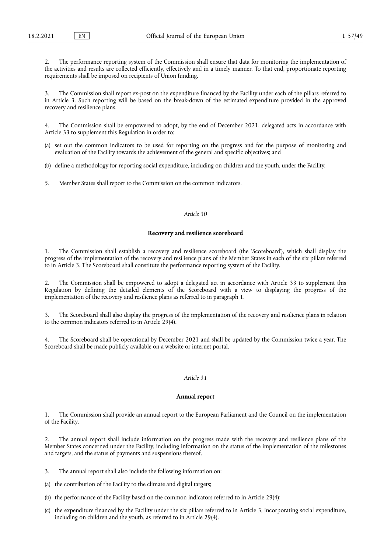2. The performance reporting system of the Commission shall ensure that data for monitoring the implementation of the activities and results are collected efficiently, effectively and in a timely manner. To that end, proportionate reporting requirements shall be imposed on recipients of Union funding.

3. The Commission shall report ex-post on the expenditure financed by the Facility under each of the pillars referred to in Article 3. Such reporting will be based on the break-down of the estimated expenditure provided in the approved recovery and resilience plans.

4. The Commission shall be empowered to adopt, by the end of December 2021, delegated acts in accordance with Article 33 to supplement this Regulation in order to:

- (a) set out the common indicators to be used for reporting on the progress and for the purpose of monitoring and evaluation of the Facility towards the achievement of the general and specific objectives; and
- (b) define a methodology for reporting social expenditure, including on children and the youth, under the Facility.
- 5. Member States shall report to the Commission on the common indicators.

## *Article 30*

## **Recovery and resilience scoreboard**

1. The Commission shall establish a recovery and resilience scoreboard (the 'Scoreboard'), which shall display the progress of the implementation of the recovery and resilience plans of the Member States in each of the six pillars referred to in Article 3. The Scoreboard shall constitute the performance reporting system of the Facility.

2. The Commission shall be empowered to adopt a delegated act in accordance with Article 33 to supplement this Regulation by defining the detailed elements of the Scoreboard with a view to displaying the progress of the implementation of the recovery and resilience plans as referred to in paragraph 1.

3. The Scoreboard shall also display the progress of the implementation of the recovery and resilience plans in relation to the common indicators referred to in Article 29(4).

4. The Scoreboard shall be operational by December 2021 and shall be updated by the Commission twice a year. The Scoreboard shall be made publicly available on a website or internet portal.

# *Article 31*

#### **Annual report**

1. The Commission shall provide an annual report to the European Parliament and the Council on the implementation of the Facility.

2. The annual report shall include information on the progress made with the recovery and resilience plans of the Member States concerned under the Facility, including information on the status of the implementation of the milestones and targets, and the status of payments and suspensions thereof.

- 3. The annual report shall also include the following information on:
- (a) the contribution of the Facility to the climate and digital targets;
- (b) the performance of the Facility based on the common indicators referred to in Article 29(4);
- (c) the expenditure financed by the Facility under the six pillars referred to in Article 3, incorporating social expenditure, including on children and the youth, as referred to in Article 29(4).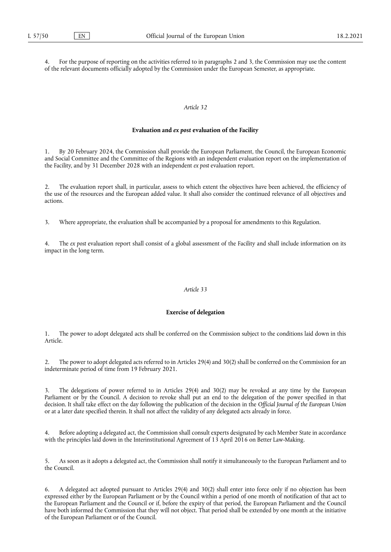4. For the purpose of reporting on the activities referred to in paragraphs 2 and 3, the Commission may use the content of the relevant documents officially adopted by the Commission under the European Semester, as appropriate.

## *Article 32*

### **Evaluation and** *ex post* **evaluation of the Facility**

1. By 20 February 2024, the Commission shall provide the European Parliament, the Council, the European Economic and Social Committee and the Committee of the Regions with an independent evaluation report on the implementation of the Facility, and by 31 December 2028 with an independent *ex post* evaluation report.

2. The evaluation report shall, in particular, assess to which extent the objectives have been achieved, the efficiency of the use of the resources and the European added value. It shall also consider the continued relevance of all objectives and actions.

3. Where appropriate, the evaluation shall be accompanied by a proposal for amendments to this Regulation.

4. The *ex post* evaluation report shall consist of a global assessment of the Facility and shall include information on its impact in the long term.

## *Article 33*

## **Exercise of delegation**

1. The power to adopt delegated acts shall be conferred on the Commission subject to the conditions laid down in this Article.

2. The power to adopt delegated acts referred to in Articles 29(4) and 30(2) shall be conferred on the Commission for an indeterminate period of time from 19 February 2021.

3. The delegations of power referred to in Articles 29(4) and 30(2) may be revoked at any time by the European Parliament or by the Council. A decision to revoke shall put an end to the delegation of the power specified in that decision. It shall take effect on the day following the publication of the decision in the *Official Journal of the European Union*  or at a later date specified therein. It shall not affect the validity of any delegated acts already in force.

4. Before adopting a delegated act, the Commission shall consult experts designated by each Member State in accordance with the principles laid down in the Interinstitutional Agreement of 13 April 2016 on Better Law-Making.

5. As soon as it adopts a delegated act, the Commission shall notify it simultaneously to the European Parliament and to the Council.

6. A delegated act adopted pursuant to Articles 29(4) and 30(2) shall enter into force only if no objection has been expressed either by the European Parliament or by the Council within a period of one month of notification of that act to the European Parliament and the Council or if, before the expiry of that period, the European Parliament and the Council have both informed the Commission that they will not object. That period shall be extended by one month at the initiative of the European Parliament or of the Council.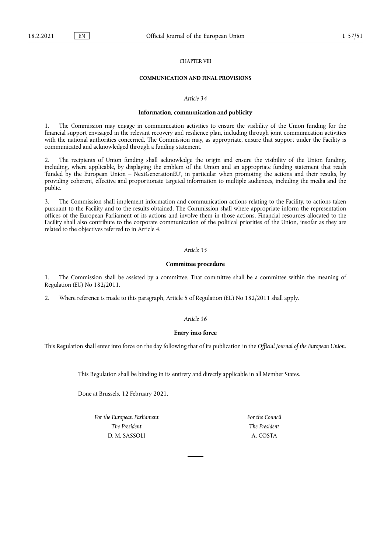## CHAPTER VIII

# **COMMUNICATION AND FINAL PROVISIONS**

## *Article 34*

#### **Information, communication and publicity**

1. The Commission may engage in communication activities to ensure the visibility of the Union funding for the financial support envisaged in the relevant recovery and resilience plan, including through joint communication activities with the national authorities concerned. The Commission may, as appropriate, ensure that support under the Facility is communicated and acknowledged through a funding statement.

2. The recipients of Union funding shall acknowledge the origin and ensure the visibility of the Union funding, including, where applicable, by displaying the emblem of the Union and an appropriate funding statement that reads 'funded by the European Union – NextGenerationEU', in particular when promoting the actions and their results, by providing coherent, effective and proportionate targeted information to multiple audiences, including the media and the public.

3. The Commission shall implement information and communication actions relating to the Facility, to actions taken pursuant to the Facility and to the results obtained. The Commission shall where appropriate inform the representation offices of the European Parliament of its actions and involve them in those actions. Financial resources allocated to the Facility shall also contribute to the corporate communication of the political priorities of the Union, insofar as they are related to the objectives referred to in Article 4.

#### *Article 35*

#### **Committee procedure**

1. The Commission shall be assisted by a committee. That committee shall be a committee within the meaning of Regulation (EU) No 182/2011.

2. Where reference is made to this paragraph, Article 5 of Regulation (EU) No 182/2011 shall apply.

## *Article 36*

## **Entry into force**

This Regulation shall enter into force on the day following that of its publication in the *Official Journal of the European Union*.

This Regulation shall be binding in its entirety and directly applicable in all Member States.

Done at Brussels, 12 February 2021.

*For the European Parliament The President*  D. M. SASSOLI

*For the Council The President*  A. COSTA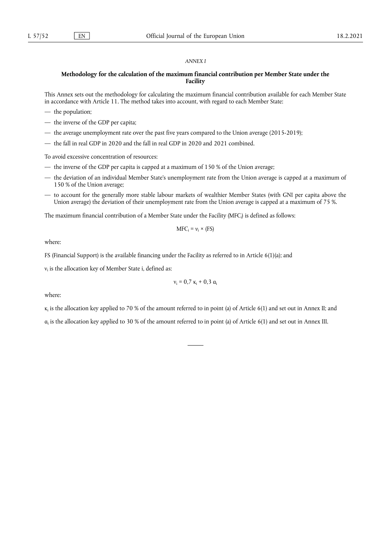#### *ANNEX I*

## **Methodology for the calculation of the maximum financial contribution per Member State under the Facility**

This Annex sets out the methodology for calculating the maximum financial contribution available for each Member State in accordance with Article 11. The method takes into account, with regard to each Member State:

- the population;
- the inverse of the GDP per capita;
- the average unemployment rate over the past five years compared to the Union average (2015-2019);
- the fall in real GDP in 2020 and the fall in real GDP in 2020 and 2021 combined.

To avoid excessive concentration of resources:

- the inverse of the GDP per capita is capped at a maximum of 150 % of the Union average;
- the deviation of an individual Member State's unemployment rate from the Union average is capped at a maximum of 150 % of the Union average;
- to account for the generally more stable labour markets of wealthier Member States (with GNI per capita above the Union average) the deviation of their unemployment rate from the Union average is capped at a maximum of 75 %.

The maximum financial contribution of a Member State under the Facility (MFCi ) is defined as follows:

$$
MFC_i = \nu_i \times (FS)
$$

where:

FS (Financial Support) is the available financing under the Facility as referred to in Article 6(1)(a); and

 $v_i$  is the allocation key of Member State i, defined as:

$$
\nu_i=0,7~\kappa_i+0,3~\alpha_i
$$

where:

 $\kappa_i$  is the allocation key applied to 70 % of the amount referred to in point (a) of Article 6(1) and set out in Annex II; and

 $a_i$  is the allocation key applied to 30 % of the amount referred to in point (a) of Article 6(1) and set out in Annex III.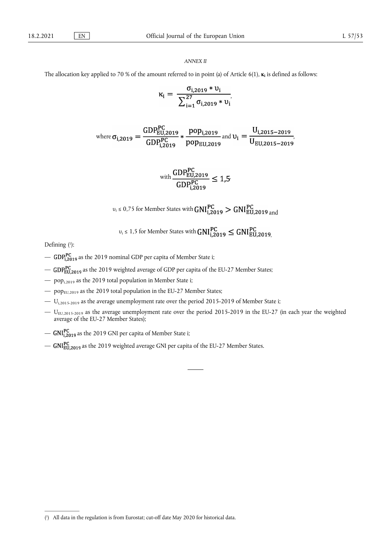## *ANNEX II*

The allocation key applied to 70 % of the amount referred to in point (a) of Article 6(1), **κ**<sub>i</sub> is defined as follows:

$$
\kappa_i = \frac{\sigma_{i,2019} * \upsilon_i}{\sum_{i=1}^{27} \sigma_{i,2019} * \upsilon_i},
$$

where 
$$
\sigma_{i,2019} = \frac{\text{GDP}_{EU,2019}^{\text{PC}}}{\text{GDP}_{i,2019}^{\text{PC}}} * \frac{\text{pop}_{i,2019}}{\text{pop}_{EU,2019}} \text{ and } \upsilon_i = \frac{U_{i,2015-2019}}{U_{EU,2015-2019}},
$$

with 
$$
\frac{\text{GDP}_{\text{EU},2019}^{\text{PC}}}{\text{GDP}_{i,2019}^{\text{PC}}} \leq 1.5
$$

 $v_i \le 0.75$  for Member States with  $GNI_{i,2019}^{PC} > GNI_{EU,2019}^{PC}$  and

$$
v_i \le 1.5
$$
 for Member States with  $\text{GNI}_{i,2019}^{PC} \le \text{GNI}_{EU,2019}^{PC}$ .

<span id="page-36-1"></span>Defining [\(1](#page-36-0)):

- GDP<sub>1,2019</sub> as the 2019 nominal GDP per capita of Member State i;
- GDP<sub>EU.2019</sub> as the 2019 weighted average of GDP per capita of the EU-27 Member States;
- popi,2019 as the 2019 total population in Member State i;
- $-$  pop<sub>EU,2019</sub> as the 2019 total population in the EU-27 Member States;
- Ui,2015-2019 as the average unemployment rate over the period 2015-2019 of Member State i;
- $-$  U<sub>EU,2015-2019</sub> as the average unemployment rate over the period 2015-2019 in the EU-27 (in each year the weighted average of the EU-27 Member States);
- $GNI_{i,2019}^{PC}$  as the 2019 GNI per capita of Member State i;
- $-$  GNI<sub>EU.2019</sub> as the 2019 weighted average GNI per capita of the EU-27 Member States.

<span id="page-36-0"></span><sup>(</sup> 1 [\) A](#page-36-1)ll data in the regulation is from Eurostat; cut-off date May 2020 for historical data.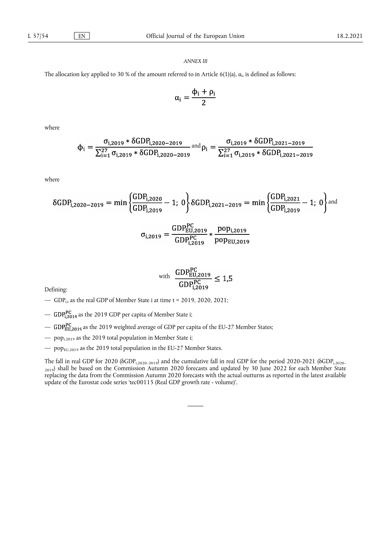## *ANNEX III*

The allocation key applied to 30 % of the amount referred to in Article 6(1)(a),  $\alpha_i$ , is defined as follows:

$$
\alpha_i = \frac{\varphi_i + \rho_i}{2}
$$

where

$$
\varphi_{i} = \frac{\sigma_{i,2019} * \delta GDP_{i,2020 - 2019}}{\sum_{i=1}^{27} \sigma_{i,2019} * \delta GDP_{i,2020 - 2019}} \text{ and } \rho_{i} = \frac{\sigma_{i,2019} * \delta GDP_{i,2021 - 2019}}{\sum_{i=1}^{27} \sigma_{i,2019} * \delta GDP_{i,2021 - 2019}}
$$

where

$$
\delta GDP_{i,2020-2019} = \min \left\{ \frac{GDP_{i,2020}}{GDP_{i,2019}} - 1; 0 \right\} \delta GDP_{i,2021-2019} = \min \left\{ \frac{GDP_{i,2021}}{GDP_{i,2019}} - 1; 0 \right\} \text{and}
$$

$$
\sigma_{i,2019} = \frac{\text{GDP}_{\text{EU},2019}^{\text{PC}}}{\text{GDP}_{i,2019}^{\text{PC}}} * \frac{\text{pop}_{i,2019}}{\text{pop}_{\text{EU},2019}}
$$

 $\mathbf{a}$ 

with 
$$
\frac{\text{GDP}_{\text{EU},2019}^{\text{PC}}}{\text{GDP}_{i,2019}^{\text{PC}}} \le 1.5
$$

Defining:

- GDP<sub>it</sub> as the real GDP of Member State i at time t = 2019, 2020, 2021;
- GDP<sub>12019</sub> as the 2019 GDP per capita of Member State i;
- GDPEU,2019 as the 2019 weighted average of GDP per capita of the EU-27 Member States;
- $-$  pop<sub>i,2019</sub> as the 2019 total population in Member State i;
- $-$  pop $_{EU, 2019}$  as the 2019 total population in the EU-27 Member States.

The fall in real GDP for 2020 (δGDP<sub>i,2020-2019</sub>) and the cumulative fall in real GDP for the period 2020-2021 (δGDP<sub>i,2020-</sub> 2019) shall be based on the Commission Autumn 2020 forecasts and updated by 30 June 2022 for each Member State replacing the data from the Commission Autumn 2020 forecasts with the actual outturns as reported in the latest available update of the Eurostat code series 'tec00115 (Real GDP growth rate - volume)'.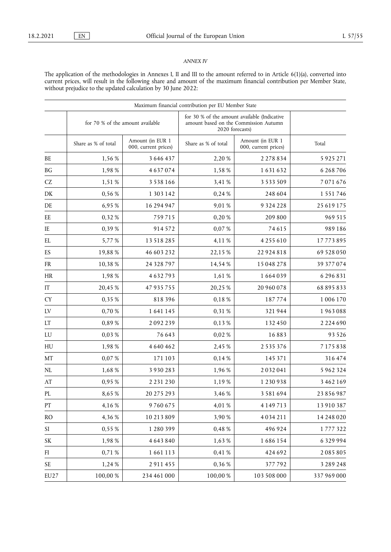# *ANNEX IV*

The application of the methodologies in Annexes I, II and III to the amount referred to in Article 6(1)(a), converted into current prices, will result in the following share and amount of the maximum financial contribution per Member State, without prejudice to the updated calculation by 30 June 2022:

|                            |                                  |                                          | Maximum financial contribution per EU Member State                                                       |                                          |               |
|----------------------------|----------------------------------|------------------------------------------|----------------------------------------------------------------------------------------------------------|------------------------------------------|---------------|
|                            | for 70 % of the amount available |                                          | for 30 % of the amount available (Indicative<br>amount based on the Commission Autumn<br>2020 forecasts) |                                          |               |
|                            | Share as % of total              | Amount (in EUR 1<br>000, current prices) | Share as % of total                                                                                      | Amount (in EUR 1<br>000, current prices) | Total         |
| BE                         | 1,56 %                           | 3 646 437                                | 2,20 %                                                                                                   | 2 2 7 8 8 3 4                            | 5 9 2 5 2 7 1 |
| $\operatorname{B} G$       | 1,98%                            | 4637074                                  | 1,58%                                                                                                    | 1631632                                  | 6 268 706     |
| $\operatorname{CZ}$        | 1,51 %                           | 3 5 3 8 1 6 6                            | 3,41 %                                                                                                   | 3 5 3 3 5 0 9                            | 7071676       |
| DK                         | 0,56 %                           | 1 303 142                                | 0,24 %                                                                                                   | 248 604                                  | 1 5 5 1 7 4 6 |
| DE                         | 6,95%                            | 16 294 947                               | 9,01 %                                                                                                   | 9 3 2 4 2 2 8                            | 25 619 175    |
| EE                         | 0,32%                            | 759715                                   | 0,20%                                                                                                    | 209 800                                  | 969 515       |
| IE                         | 0,39%                            | 914572                                   | 0,07%                                                                                                    | 74615                                    | 989186        |
| EL                         | 5,77%                            | 13 518 285                               | 4,11%                                                                                                    | 4 2 5 5 6 1 0                            | 17773895      |
| ES                         | 19,88%                           | 46 603 232                               | 22,15 %                                                                                                  | 22 924 818                               | 69 528 050    |
| ${\sf FR}$                 | 10,38%                           | 24 328 797                               | 14,54%                                                                                                   | 15 048 278                               | 39 377 074    |
| HR                         | 1,98%                            | 4632793                                  | 1,61 %                                                                                                   | 1664039                                  | 6 29 6 8 3 1  |
| $\operatorname{IT}$        | 20,45%                           | 47 935 755                               | 20,25%                                                                                                   | 20 960 078                               | 68 895 833    |
| ${\rm CY}$                 | 0,35%                            | 818396                                   | 0,18%                                                                                                    | 187774                                   | 1006170       |
| ${\rm LV}$                 | 0,70%                            | 1641145                                  | 0,31 %                                                                                                   | 321944                                   | 1963088       |
| $\mathop{\rm LT}\nolimits$ | 0,89%                            | 2092239                                  | 0,13%                                                                                                    | 132450                                   | 2 2 2 4 6 9 0 |
| ${\rm LU}$                 | 0,03%                            | 76 643                                   | 0,02%                                                                                                    | 16883                                    | 93 5 26       |
| ${\rm H}{\rm U}$           | 1,98%                            | 4 640 462                                | 2,45 %                                                                                                   | 2 5 3 5 3 7 6                            | 7175838       |
| MT                         | 0,07%                            | 171 103                                  | 0,14%                                                                                                    | 145 371                                  | 316474        |
| $\rm NL$                   | 1,68%                            | 3 9 3 0 2 8 3                            | 1,96 %                                                                                                   | 2032041                                  | 5 962 324     |
| $\mathbf{A}\mathbf{T}$     | 0,95%                            | 2 2 3 1 2 3 0                            | 1,19%                                                                                                    | 1230938                                  | 3 462 169     |
| PL                         | 8,65%                            | 20 275 293                               | 3,46 %                                                                                                   | 3 5 8 1 6 9 4                            | 23 856 987    |
| PT                         | 4,16%                            | 9760675                                  | 4,01%                                                                                                    | 4 1 4 9 7 1 3                            | 13 910 387    |
| RO                         | 4,36 %                           | 10 213 809                               | 3,90 %                                                                                                   | 4034211                                  | 14 248 020    |
| SI                         | 0,55%                            | 1 280 399                                | 0,48%                                                                                                    | 496924                                   | 1777322       |
| SK                         | 1,98%                            | 4 643 840                                | 1,63%                                                                                                    | 1686154                                  | 6329994       |
| FI                         | 0,71 %                           | 1661113                                  | 0,41 %                                                                                                   | 424 692                                  | 2085805       |
| SE                         | 1,24 %                           | 2911455                                  | 0,36 %                                                                                                   | 377792                                   | 3 2 8 9 2 4 8 |
| EU27                       | $100{,}00$ $\%$                  | 234 461 000                              | 100,00 %                                                                                                 | 103 508 000                              | 337 969 000   |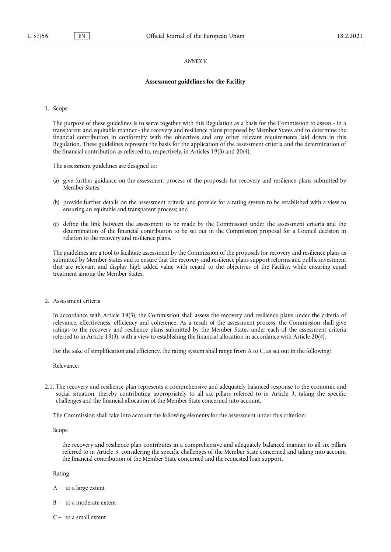#### *ANNEX V*

## **Assessment guidelines for the Facility**

1. Scope

The purpose of these guidelines is to serve together with this Regulation as a basis for the Commission to assess - in a transparent and equitable manner - the recovery and resilience plans proposed by Member States and to determine the financial contribution in conformity with the objectives and any other relevant requirements laid down in this Regulation. These guidelines represent the basis for the application of the assessment criteria and the determination of the financial contribution as referred to, respectively, in Articles 19(3) and 20(4).

The assessment guidelines are designed to:

- (a) give further guidance on the assessment process of the proposals for recovery and resilience plans submitted by Member States:
- (b) provide further details on the assessment criteria and provide for a rating system to be established with a view to ensuring an equitable and transparent process; and
- (c) define the link between the assessment to be made by the Commission under the assessment criteria and the determination of the financial contribution to be set out in the Commission proposal for a Council decision in relation to the recovery and resilience plans.

The guidelines are a tool to facilitate assessment by the Commission of the proposals for recovery and resilience plans as submitted by Member States and to ensure that the recovery and resilience plans support reforms and public investment that are relevant and display high added value with regard to the objectives of the Facility, while ensuring equal treatment among the Member States.

2. Assessment criteria

In accordance with Article 19(3), the Commission shall assess the recovery and resilience plans under the criteria of relevance, effectiveness, efficiency and coherence. As a result of the assessment process, the Commission shall give ratings to the recovery and resilience plans submitted by the Member States under each of the assessment criteria referred to in Article 19(3), with a view to establishing the financial allocation in accordance with Article 20(4).

For the sake of simplification and efficiency, the rating system shall range from A to C, as set out in the following:

Relevance:

2.1. The recovery and resilience plan represents a comprehensive and adequately balanced response to the economic and social situation, thereby contributing appropriately to all six pillars referred to in Article 3, taking the specific challenges and the financial allocation of the Member State concerned into account.

The Commission shall take into account the following elements for the assessment under this criterion:

Scope

— the recovery and resilience plan contributes in a comprehensive and adequately balanced manner to all six pillars referred to in Article 3, considering the specific challenges of the Member State concerned and taking into account the financial contribution of the Member State concerned and the requested loan support.

Rating

- $A to a large extent$
- $B to a moderate extent$
- $C -$  to a small extent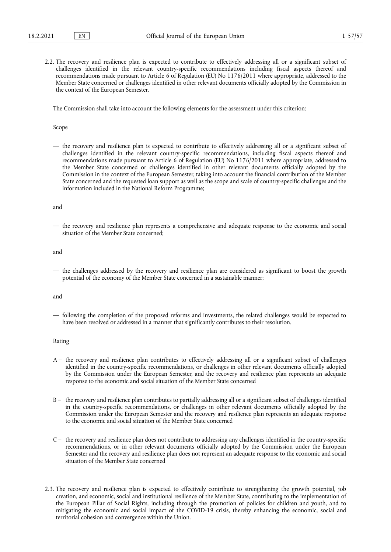2.2. The recovery and resilience plan is expected to contribute to effectively addressing all or a significant subset of challenges identified in the relevant country-specific recommendations including fiscal aspects thereof and recommendations made pursuant to Article 6 of Regulation (EU) No 1176/2011 where appropriate, addressed to the Member State concerned or challenges identified in other relevant documents officially adopted by the Commission in the context of the European Semester.

The Commission shall take into account the following elements for the assessment under this criterion:

Scope

— the recovery and resilience plan is expected to contribute to effectively addressing all or a significant subset of challenges identified in the relevant country-specific recommendations, including fiscal aspects thereof and recommendations made pursuant to Article 6 of Regulation (EU) No 1176/2011 where appropriate, addressed to the Member State concerned or challenges identified in other relevant documents officially adopted by the Commission in the context of the European Semester, taking into account the financial contribution of the Member State concerned and the requested loan support as well as the scope and scale of country-specific challenges and the information included in the National Reform Programme;

and

— the recovery and resilience plan represents a comprehensive and adequate response to the economic and social situation of the Member State concerned;

and

— the challenges addressed by the recovery and resilience plan are considered as significant to boost the growth potential of the economy of the Member State concerned in a sustainable manner;

and

— following the completion of the proposed reforms and investments, the related challenges would be expected to have been resolved or addressed in a manner that significantly contributes to their resolution.

## Rating

- A the recovery and resilience plan contributes to effectively addressing all or a significant subset of challenges identified in the country-specific recommendations, or challenges in other relevant documents officially adopted by the Commission under the European Semester, and the recovery and resilience plan represents an adequate response to the economic and social situation of the Member State concerned
- B the recovery and resilience plan contributes to partially addressing all or a significant subset of challenges identified in the country-specific recommendations, or challenges in other relevant documents officially adopted by the Commission under the European Semester and the recovery and resilience plan represents an adequate response to the economic and social situation of the Member State concerned
- C the recovery and resilience plan does not contribute to addressing any challenges identified in the country-specific recommendations, or in other relevant documents officially adopted by the Commission under the European Semester and the recovery and resilience plan does not represent an adequate response to the economic and social situation of the Member State concerned
- 2.3. The recovery and resilience plan is expected to effectively contribute to strengthening the growth potential, job creation, and economic, social and institutional resilience of the Member State, contributing to the implementation of the European Pillar of Social Rights, including through the promotion of policies for children and youth, and to mitigating the economic and social impact of the COVID-19 crisis, thereby enhancing the economic, social and territorial cohesion and convergence within the Union.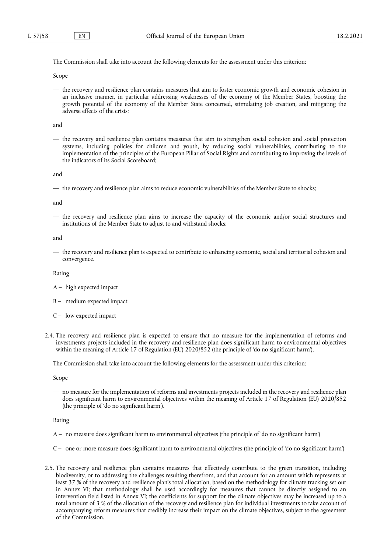The Commission shall take into account the following elements for the assessment under this criterion:

Scope

— the recovery and resilience plan contains measures that aim to foster economic growth and economic cohesion in an inclusive manner, in particular addressing weaknesses of the economy of the Member States, boosting the growth potential of the economy of the Member State concerned, stimulating job creation, and mitigating the adverse effects of the crisis;

and

— the recovery and resilience plan contains measures that aim to strengthen social cohesion and social protection systems, including policies for children and youth, by reducing social vulnerabilities, contributing to the implementation of the principles of the European Pillar of Social Rights and contributing to improving the levels of the indicators of its Social Scoreboard;

and

— the recovery and resilience plan aims to reduce economic vulnerabilities of the Member State to shocks;

and

— the recovery and resilience plan aims to increase the capacity of the economic and/or social structures and institutions of the Member State to adjust to and withstand shocks;

and

— the recovery and resilience plan is expected to contribute to enhancing economic, social and territorial cohesion and convergence.

Rating

- A high expected impact
- B medium expected impact
- C low expected impact
- 2.4. The recovery and resilience plan is expected to ensure that no measure for the implementation of reforms and investments projects included in the recovery and resilience plan does significant harm to environmental objectives within the meaning of Article 17 of Regulation (EU) 2020/852 (the principle of 'do no significant harm').

The Commission shall take into account the following elements for the assessment under this criterion:

Scope

— no measure for the implementation of reforms and investments projects included in the recovery and resilience plan does significant harm to environmental objectives within the meaning of Article 17 of Regulation (EU) 2020/852 (the principle of 'do no significant harm').

Rating

- A no measure does significant harm to environmental objectives (the principle of 'do no significant harm')
- C one or more measure does significant harm to environmental objectives (the principle of 'do no significant harm')
- 2.5. The recovery and resilience plan contains measures that effectively contribute to the green transition, including biodiversity, or to addressing the challenges resulting therefrom, and that account for an amount which represents at least 37 % of the recovery and resilience plan's total allocation, based on the methodology for climate tracking set out in Annex VI; that methodology shall be used accordingly for measures that cannot be directly assigned to an intervention field listed in Annex VI; the coefficients for support for the climate objectives may be increased up to a total amount of 3 % of the allocation of the recovery and resilience plan for individual investments to take account of accompanying reform measures that credibly increase their impact on the climate objectives, subject to the agreement of the Commission.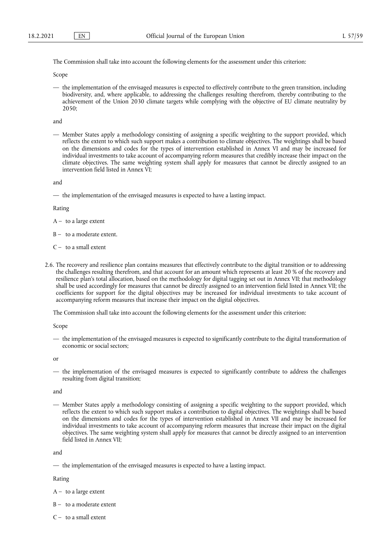The Commission shall take into account the following elements for the assessment under this criterion:

Scope

— the implementation of the envisaged measures is expected to effectively contribute to the green transition, including biodiversity, and, where applicable, to addressing the challenges resulting therefrom, thereby contributing to the achievement of the Union 2030 climate targets while complying with the objective of EU climate neutrality by 2050;

and

— Member States apply a methodology consisting of assigning a specific weighting to the support provided, which reflects the extent to which such support makes a contribution to climate objectives. The weightings shall be based on the dimensions and codes for the types of intervention established in Annex VI and may be increased for individual investments to take account of accompanying reform measures that credibly increase their impact on the climate objectives. The same weighting system shall apply for measures that cannot be directly assigned to an intervention field listed in Annex VI;

and

— the implementation of the envisaged measures is expected to have a lasting impact.

Rating

 $A - to a large extent$ 

B – to a moderate extent.

- $C -$  to a small extent
- 2.6. The recovery and resilience plan contains measures that effectively contribute to the digital transition or to addressing the challenges resulting therefrom, and that account for an amount which represents at least 20 % of the recovery and resilience plan's total allocation, based on the methodology for digital tagging set out in Annex VII; that methodology shall be used accordingly for measures that cannot be directly assigned to an intervention field listed in Annex VII; the coefficients for support for the digital objectives may be increased for individual investments to take account of accompanying reform measures that increase their impact on the digital objectives.

The Commission shall take into account the following elements for the assessment under this criterion:

Scope

— the implementation of the envisaged measures is expected to significantly contribute to the digital transformation of economic or social sectors;

or

— the implementation of the envisaged measures is expected to significantly contribute to address the challenges resulting from digital transition;

and

— Member States apply a methodology consisting of assigning a specific weighting to the support provided, which reflects the extent to which such support makes a contribution to digital objectives. The weightings shall be based on the dimensions and codes for the types of intervention established in Annex VII and may be increased for individual investments to take account of accompanying reform measures that increase their impact on the digital objectives. The same weighting system shall apply for measures that cannot be directly assigned to an intervention field listed in Annex VII;

and

— the implementation of the envisaged measures is expected to have a lasting impact.

Rating

 $A - to a large extent$ 

- B to a moderate extent
- $C -$  to a small extent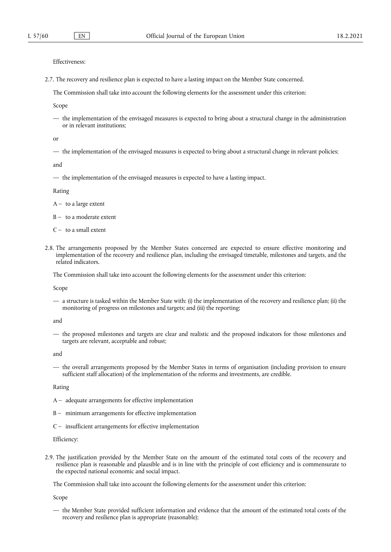Effectiveness:

2.7. The recovery and resilience plan is expected to have a lasting impact on the Member State concerned.

The Commission shall take into account the following elements for the assessment under this criterion:

Scope

— the implementation of the envisaged measures is expected to bring about a structural change in the administration or in relevant institutions;

or

— the implementation of the envisaged measures is expected to bring about a structural change in relevant policies;

and

— the implementation of the envisaged measures is expected to have a lasting impact.

Rating

 $A - to a large extent$ 

 $B - to a moderate extent$ 

- $C -$  to a small extent
- 2.8. The arrangements proposed by the Member States concerned are expected to ensure effective monitoring and implementation of the recovery and resilience plan, including the envisaged timetable, milestones and targets, and the related indicators.

The Commission shall take into account the following elements for the assessment under this criterion:

Scope

— a structure is tasked within the Member State with: (i) the implementation of the recovery and resilience plan; (ii) the monitoring of progress on milestones and targets; and (iii) the reporting;

and

— the proposed milestones and targets are clear and realistic and the proposed indicators for those milestones and targets are relevant, acceptable and robust;

and

— the overall arrangements proposed by the Member States in terms of organisation (including provision to ensure sufficient staff allocation) of the implementation of the reforms and investments, are credible.

#### Rating

- A adequate arrangements for effective implementation
- B minimum arrangements for effective implementation
- C insufficient arrangements for effective implementation

Efficiency:

2.9. The justification provided by the Member State on the amount of the estimated total costs of the recovery and resilience plan is reasonable and plausible and is in line with the principle of cost efficiency and is commensurate to the expected national economic and social impact.

The Commission shall take into account the following elements for the assessment under this criterion:

Scope

— the Member State provided sufficient information and evidence that the amount of the estimated total costs of the recovery and resilience plan is appropriate (reasonable);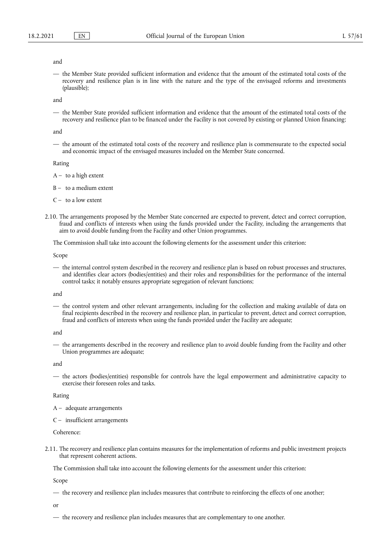#### and

— the Member State provided sufficient information and evidence that the amount of the estimated total costs of the recovery and resilience plan is in line with the nature and the type of the envisaged reforms and investments (plausible);

and

— the Member State provided sufficient information and evidence that the amount of the estimated total costs of the recovery and resilience plan to be financed under the Facility is not covered by existing or planned Union financing;

and

— the amount of the estimated total costs of the recovery and resilience plan is commensurate to the expected social and economic impact of the envisaged measures included on the Member State concerned.

Rating

 $A - to a high extent$ 

B – to a medium extent

- $C -$  to a low extent
- 2.10. The arrangements proposed by the Member State concerned are expected to prevent, detect and correct corruption, fraud and conflicts of interests when using the funds provided under the Facility, including the arrangements that aim to avoid double funding from the Facility and other Union programmes.

The Commission shall take into account the following elements for the assessment under this criterion:

Scope

— the internal control system described in the recovery and resilience plan is based on robust processes and structures, and identifies clear actors (bodies/entities) and their roles and responsibilities for the performance of the internal control tasks; it notably ensures appropriate segregation of relevant functions;

and

— the control system and other relevant arrangements, including for the collection and making available of data on final recipients described in the recovery and resilience plan, in particular to prevent, detect and correct corruption, fraud and conflicts of interests when using the funds provided under the Facility are adequate;

and

— the arrangements described in the recovery and resilience plan to avoid double funding from the Facility and other Union programmes are adequate;

and

— the actors (bodies/entities) responsible for controls have the legal empowerment and administrative capacity to exercise their foreseen roles and tasks.

#### Rating

- A adequate arrangements
- C insufficient arrangements

Coherence:

2.11. The recovery and resilience plan contains measures for the implementation of reforms and public investment projects that represent coherent actions.

The Commission shall take into account the following elements for the assessment under this criterion:

Scope

— the recovery and resilience plan includes measures that contribute to reinforcing the effects of one another;

or

— the recovery and resilience plan includes measures that are complementary to one another.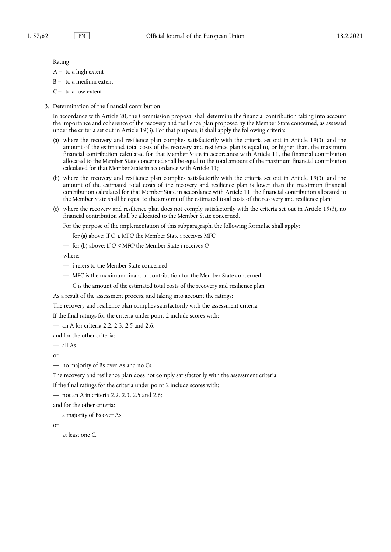#### Rating

- $A to a high extent$
- $B to a medium extent$
- $C -$  to a low extent
- 3. Determination of the financial contribution

In accordance with Article 20, the Commission proposal shall determine the financial contribution taking into account the importance and coherence of the recovery and resilience plan proposed by the Member State concerned, as assessed under the criteria set out in Article 19(3). For that purpose, it shall apply the following criteria:

- (a) where the recovery and resilience plan complies satisfactorily with the criteria set out in Article 19(3), and the amount of the estimated total costs of the recovery and resilience plan is equal to, or higher than, the maximum financial contribution calculated for that Member State in accordance with Article 11, the financial contribution allocated to the Member State concerned shall be equal to the total amount of the maximum financial contribution calculated for that Member State in accordance with Article 11;
- (b) where the recovery and resilience plan complies satisfactorily with the criteria set out in Article 19(3), and the amount of the estimated total costs of the recovery and resilience plan is lower than the maximum financial contribution calculated for that Member State in accordance with Article 11, the financial contribution allocated to the Member State shall be equal to the amount of the estimated total costs of the recovery and resilience plan;
- (c) where the recovery and resilience plan does not comply satisfactorily with the criteria set out in Article 19(3), no financial contribution shall be allocated to the Member State concerned.

For the purpose of the implementation of this subparagraph, the following formulae shall apply:

- for (a) above: If  $C^i \geq MFC^i$  the Member State i receives MFC<sup>i</sup>
- for (b) above: If  $C^i$  < MFC<sup>i</sup> the Member State i receives  $C^i$

where:

- i refers to the Member State concerned
- MFC is the maximum financial contribution for the Member State concerned
- C is the amount of the estimated total costs of the recovery and resilience plan

As a result of the assessment process, and taking into account the ratings:

The recovery and resilience plan complies satisfactorily with the assessment criteria:

If the final ratings for the criteria under point 2 include scores with:

— an A for criteria 2.2, 2.3, 2.5 and 2.6;

and for the other criteria:

 $-$  all As,

or

```
— no majority of Bs over As and no Cs.
```
The recovery and resilience plan does not comply satisfactorily with the assessment criteria:

If the final ratings for the criteria under point 2 include scores with:

— not an A in criteria 2.2, 2.3, 2.5 and 2.6;

and for the other criteria:

— a majority of Bs over As,

or

— at least one C.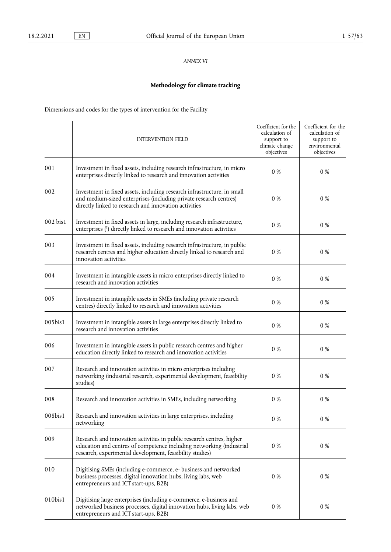# *ANNEX VI*

# **Methodology for climate tracking**

Dimensions and codes for the types of intervention for the Facility

<span id="page-46-0"></span>

|          | <b>INTERVENTION FIELD</b>                                                                                                                                                                                 | Coefficient for the<br>calculation of<br>support to<br>climate change<br>objectives | Coefficient for the<br>calculation of<br>support to<br>environmental<br>objectives |
|----------|-----------------------------------------------------------------------------------------------------------------------------------------------------------------------------------------------------------|-------------------------------------------------------------------------------------|------------------------------------------------------------------------------------|
| 001      | Investment in fixed assets, including research infrastructure, in micro<br>enterprises directly linked to research and innovation activities                                                              | 0 %                                                                                 | 0 %                                                                                |
| 002      | Investment in fixed assets, including research infrastructure, in small<br>and medium-sized enterprises (including private research centres)<br>directly linked to research and innovation activities     | $0\ \%$                                                                             | 0 %                                                                                |
| 002 bis1 | Investment in fixed assets in large, including research infrastructure,<br>enterprises (1) directly linked to research and innovation activities                                                          | 0 %                                                                                 | 0 %                                                                                |
| 003      | Investment in fixed assets, including research infrastructure, in public<br>research centres and higher education directly linked to research and<br>innovation activities                                | 0 %                                                                                 | $0\ \%$                                                                            |
| 004      | Investment in intangible assets in micro enterprises directly linked to<br>research and innovation activities                                                                                             | $0\ \%$                                                                             | 0 %                                                                                |
| 005      | Investment in intangible assets in SMEs (including private research<br>centres) directly linked to research and innovation activities                                                                     | $0\ \%$                                                                             | 0 %                                                                                |
| 005bis1  | Investment in intangible assets in large enterprises directly linked to<br>research and innovation activities                                                                                             | $0\ \%$                                                                             | 0 %                                                                                |
| 006      | Investment in intangible assets in public research centres and higher<br>education directly linked to research and innovation activities                                                                  | 0 %                                                                                 | 0 %                                                                                |
| 007      | Research and innovation activities in micro enterprises including<br>networking (industrial research, experimental development, feasibility<br>studies)                                                   | 0 %                                                                                 | 0 %                                                                                |
| 008      | Research and innovation activities in SMEs, including networking                                                                                                                                          | 0 %                                                                                 | 0 %                                                                                |
| 008bis1  | Research and innovation activities in large enterprises, including<br>networking                                                                                                                          | $0\%$                                                                               | $0\%$                                                                              |
| 009      | Research and innovation activities in public research centres, higher<br>education and centres of competence including networking (industrial<br>research, experimental development, feasibility studies) | 0 %                                                                                 | 0 %                                                                                |
| 010      | Digitising SMEs (including e-commerce, e- business and networked<br>business processes, digital innovation hubs, living labs, web<br>entrepreneurs and ICT start-ups, B2B)                                | 0 %                                                                                 | 0 %                                                                                |
| 010bis1  | Digitising large enterprises (including e-commerce, e-business and<br>networked business processes, digital innovation hubs, living labs, web<br>entrepreneurs and ICT start-ups, B2B)                    | $0\ \%$                                                                             | 0 %                                                                                |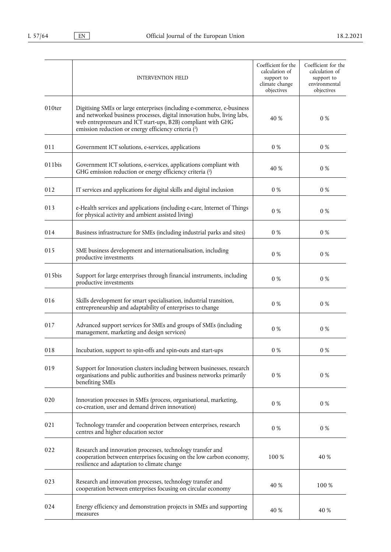<span id="page-47-0"></span>

|        | <b>INTERVENTION FIELD</b>                                                                                                                                                                                                                                                 | Coefficient for the<br>calculation of<br>support to<br>climate change<br>objectives | Coefficient for the<br>calculation of<br>support to<br>environmental<br>objectives |
|--------|---------------------------------------------------------------------------------------------------------------------------------------------------------------------------------------------------------------------------------------------------------------------------|-------------------------------------------------------------------------------------|------------------------------------------------------------------------------------|
| 010ter | Digitising SMEs or large enterprises (including e-commerce, e-business<br>and networked business processes, digital innovation hubs, living labs,<br>web entrepreneurs and ICT start-ups, B2B) compliant with GHG<br>emission reduction or energy efficiency criteria (2) | 40 %                                                                                | 0 %                                                                                |
| 011    | Government ICT solutions, e-services, applications                                                                                                                                                                                                                        | $0\ \%$                                                                             | 0 %                                                                                |
| 011bis | Government ICT solutions, e-services, applications compliant with<br>GHG emission reduction or energy efficiency criteria (2)                                                                                                                                             | 40 %                                                                                | 0 %                                                                                |
| 012    | IT services and applications for digital skills and digital inclusion                                                                                                                                                                                                     | 0 %                                                                                 | 0 %                                                                                |
| 013    | e-Health services and applications (including e-care, Internet of Things<br>for physical activity and ambient assisted living)                                                                                                                                            | $0\ \%$                                                                             | $0\%$                                                                              |
| 014    | Business infrastructure for SMEs (including industrial parks and sites)                                                                                                                                                                                                   | $0\ \%$                                                                             | $0\%$                                                                              |
| 015    | SME business development and internationalisation, including<br>productive investments                                                                                                                                                                                    | $0\ \%$                                                                             | $0\ \%$                                                                            |
| 015bis | Support for large enterprises through financial instruments, including<br>productive investments                                                                                                                                                                          | $0\ \%$                                                                             | $0\ \%$                                                                            |
| 016    | Skills development for smart specialisation, industrial transition,<br>entrepreneurship and adaptability of enterprises to change                                                                                                                                         | 0 %                                                                                 | 0 %                                                                                |
| 017    | Advanced support services for SMEs and groups of SMEs (including<br>management, marketing and design services)                                                                                                                                                            | $0\ \%$                                                                             | $0\%$                                                                              |
| 018    | Incubation, support to spin-offs and spin-outs and start-ups                                                                                                                                                                                                              | 0 %                                                                                 | 0 %                                                                                |
| 019    | Support for Innovation clusters including between businesses, research<br>organisations and public authorities and business networks primarily<br>benefiting SMEs                                                                                                         | $0\ \%$                                                                             | $0\%$                                                                              |
| 020    | Innovation processes in SMEs (process, organisational, marketing,<br>co-creation, user and demand driven innovation)                                                                                                                                                      | $0\ \%$                                                                             | 0 %                                                                                |
| 021    | Technology transfer and cooperation between enterprises, research<br>centres and higher education sector                                                                                                                                                                  | $0\ \%$                                                                             | 0 %                                                                                |
| 022    | Research and innovation processes, technology transfer and<br>cooperation between enterprises focusing on the low carbon economy,<br>resilience and adaptation to climate change                                                                                          | 100 %                                                                               | 40 %                                                                               |
| 023    | Research and innovation processes, technology transfer and<br>cooperation between enterprises focusing on circular economy                                                                                                                                                | 40 %                                                                                | 100 %                                                                              |
| 024    | Energy efficiency and demonstration projects in SMEs and supporting<br>measures                                                                                                                                                                                           | 40 %                                                                                | 40 %                                                                               |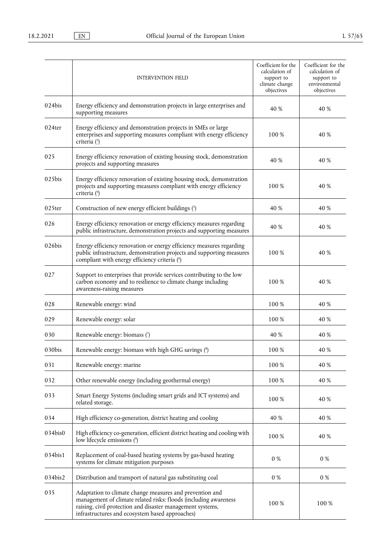<span id="page-48-6"></span><span id="page-48-5"></span><span id="page-48-4"></span><span id="page-48-3"></span><span id="page-48-2"></span><span id="page-48-1"></span><span id="page-48-0"></span>

|         | <b>INTERVENTION FIELD</b>                                                                                                                                                                                                                     | Coefficient for the<br>calculation of<br>support to<br>climate change<br>objectives | Coefficient for the<br>calculation of<br>support to<br>environmental<br>objectives |
|---------|-----------------------------------------------------------------------------------------------------------------------------------------------------------------------------------------------------------------------------------------------|-------------------------------------------------------------------------------------|------------------------------------------------------------------------------------|
| 024bis  | Energy efficiency and demonstration projects in large enterprises and<br>supporting measures                                                                                                                                                  | 40 %                                                                                | 40 %                                                                               |
| 024ter  | Energy efficiency and demonstration projects in SMEs or large<br>enterprises and supporting measures compliant with energy efficiency<br>criteria (3)                                                                                         | 100 %                                                                               | 40 %                                                                               |
| 025     | Energy efficiency renovation of existing housing stock, demonstration<br>projects and supporting measures                                                                                                                                     | 40 %                                                                                | 40 %                                                                               |
| 025bis  | Energy efficiency renovation of existing housing stock, demonstration<br>projects and supporting measures compliant with energy efficiency<br>criteria (4)                                                                                    | 100 %                                                                               | 40 %                                                                               |
| 025ter  | Construction of new energy efficient buildings (5)                                                                                                                                                                                            | 40 %                                                                                | 40 %                                                                               |
| 026     | Energy efficiency renovation or energy efficiency measures regarding<br>public infrastructure, demonstration projects and supporting measures                                                                                                 | 40 %                                                                                | 40 %                                                                               |
| 026bis  | Energy efficiency renovation or energy efficiency measures regarding<br>public infrastructure, demonstration projects and supporting measures<br>compliant with energy efficiency criteria (6)                                                | 100 %                                                                               | 40 %                                                                               |
| 027     | Support to enterprises that provide services contributing to the low<br>carbon economy and to resilience to climate change including<br>awareness-raising measures                                                                            | 100 %                                                                               | 40 %                                                                               |
| 028     | Renewable energy: wind                                                                                                                                                                                                                        | 100 %                                                                               | 40 %                                                                               |
| 029     | Renewable energy: solar                                                                                                                                                                                                                       | 100 %                                                                               | 40 %                                                                               |
| 030     | Renewable energy: biomass (7)                                                                                                                                                                                                                 | 40 %                                                                                | 40 %                                                                               |
| 030bis  | Renewable energy: biomass with high GHG savings (8)                                                                                                                                                                                           | 100 %                                                                               | 40 %                                                                               |
| 031     | Renewable energy: marine                                                                                                                                                                                                                      | 100 %                                                                               | 40 %                                                                               |
| 032     | Other renewable energy (including geothermal energy)                                                                                                                                                                                          | 100 %                                                                               | 40 %                                                                               |
| 033     | Smart Energy Systems (including smart grids and ICT systems) and<br>related storage.                                                                                                                                                          | 100 %                                                                               | 40 %                                                                               |
| 034     | High efficiency co-generation, district heating and cooling                                                                                                                                                                                   | 40 %                                                                                | 40 %                                                                               |
| 034bis0 | High efficiency co-generation, efficient district heating and cooling with<br>low lifecycle emissions (9)                                                                                                                                     | 100 %                                                                               | 40 %                                                                               |
| 034bis1 | Replacement of coal-based heating systems by gas-based heating<br>systems for climate mitigation purposes                                                                                                                                     | $0\ \%$                                                                             | $0\%$                                                                              |
| 034bis2 | Distribution and transport of natural gas substituting coal                                                                                                                                                                                   | 0 %                                                                                 | $0\%$                                                                              |
| 035     | Adaptation to climate change measures and prevention and<br>management of climate related risks: floods (including awareness<br>raising, civil protection and disaster management systems,<br>infrastructures and ecosystem based approaches) | 100 %                                                                               | 100 %                                                                              |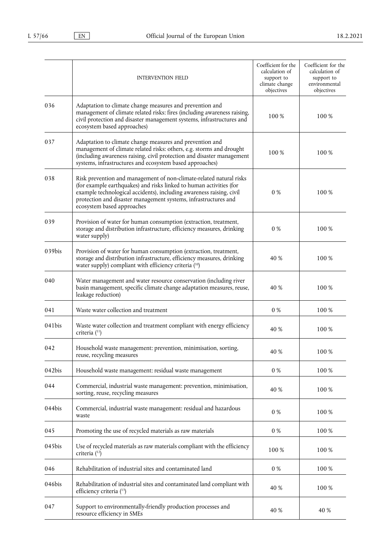<span id="page-49-3"></span><span id="page-49-2"></span><span id="page-49-1"></span><span id="page-49-0"></span>

|        | <b>INTERVENTION FIELD</b>                                                                                                                                                                                                                                                                                           | Coefficient for the<br>calculation of<br>support to<br>climate change<br>objectives | Coefficient for the<br>calculation of<br>support to<br>environmental<br>objectives |
|--------|---------------------------------------------------------------------------------------------------------------------------------------------------------------------------------------------------------------------------------------------------------------------------------------------------------------------|-------------------------------------------------------------------------------------|------------------------------------------------------------------------------------|
| 036    | Adaptation to climate change measures and prevention and<br>management of climate related risks: fires (including awareness raising,<br>civil protection and disaster management systems, infrastructures and<br>ecosystem based approaches)                                                                        | 100 %                                                                               | 100 %                                                                              |
| 037    | Adaptation to climate change measures and prevention and<br>management of climate related risks: others, e.g. storms and drought<br>(including awareness raising, civil protection and disaster management<br>systems, infrastructures and ecosystem based approaches)                                              | 100 %                                                                               | 100 %                                                                              |
| 038    | Risk prevention and management of non-climate-related natural risks<br>(for example earthquakes) and risks linked to human activities (for<br>example technological accidents), including awareness raising, civil<br>protection and disaster management systems, infrastructures and<br>ecosystem based approaches | 0 %                                                                                 | 100 %                                                                              |
| 039    | Provision of water for human consumption (extraction, treatment,<br>storage and distribution infrastructure, efficiency measures, drinking<br>water supply)                                                                                                                                                         | 0 %                                                                                 | 100 %                                                                              |
| 039bis | Provision of water for human consumption (extraction, treatment,<br>storage and distribution infrastructure, efficiency measures, drinking<br>water supply) compliant with efficiency criteria (10)                                                                                                                 | 40 %                                                                                | 100 %                                                                              |
| 040    | Water management and water resource conservation (including river<br>basin management, specific climate change adaptation measures, reuse,<br>leakage reduction)                                                                                                                                                    | 40 %                                                                                | 100 %                                                                              |
| 041    | Waste water collection and treatment                                                                                                                                                                                                                                                                                | $0\ \%$                                                                             | 100 %                                                                              |
| 041bis | Waste water collection and treatment compliant with energy efficiency<br>criteria (11)                                                                                                                                                                                                                              | 40 %                                                                                | 100 %                                                                              |
| 042    | Household waste management: prevention, minimisation, sorting,<br>reuse, recycling measures                                                                                                                                                                                                                         | 40 %                                                                                | 100 %                                                                              |
| 042bis | Household waste management: residual waste management                                                                                                                                                                                                                                                               | $0\ \%$                                                                             | 100 %                                                                              |
| 044    | Commercial, industrial waste management: prevention, minimisation,<br>sorting, reuse, recycling measures                                                                                                                                                                                                            | 40 %                                                                                | 100 %                                                                              |
| 044bis | Commercial, industrial waste management: residual and hazardous<br>waste                                                                                                                                                                                                                                            | $0\ \%$                                                                             | 100 %                                                                              |
| 045    | Promoting the use of recycled materials as raw materials                                                                                                                                                                                                                                                            | $0\ \%$                                                                             | 100 %                                                                              |
| 045bis | Use of recycled materials as raw materials compliant with the efficiency<br>criteria (12)                                                                                                                                                                                                                           | 100 %                                                                               | 100 %                                                                              |
| 046    | Rehabilitation of industrial sites and contaminated land                                                                                                                                                                                                                                                            | $0\ \%$                                                                             | 100 %                                                                              |
| 046bis | Rehabilitation of industrial sites and contaminated land compliant with<br>efficiency criteria (13)                                                                                                                                                                                                                 | 40 %                                                                                | 100 %                                                                              |
| 047    | Support to environmentally-friendly production processes and<br>resource efficiency in SMEs                                                                                                                                                                                                                         | 40 %                                                                                | 40 %                                                                               |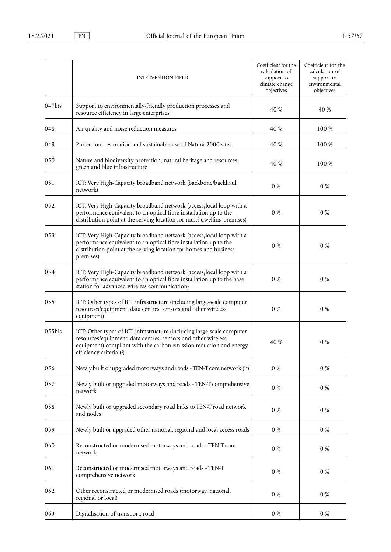<span id="page-50-0"></span>

|           | <b>INTERVENTION FIELD</b>                                                                                                                                                                                                                | Coefficient for the<br>calculation of<br>support to<br>climate change<br>objectives | Coefficient for the<br>calculation of<br>support to<br>environmental<br>objectives |
|-----------|------------------------------------------------------------------------------------------------------------------------------------------------------------------------------------------------------------------------------------------|-------------------------------------------------------------------------------------|------------------------------------------------------------------------------------|
| 047bis    | Support to environmentally-friendly production processes and<br>resource efficiency in large enterprises                                                                                                                                 | 40 %                                                                                | 40 %                                                                               |
| 048       | Air quality and noise reduction measures                                                                                                                                                                                                 | 40 %                                                                                | 100 %                                                                              |
| 049       | Protection, restoration and sustainable use of Natura 2000 sites.                                                                                                                                                                        | 40 %                                                                                | 100 %                                                                              |
| 050       | Nature and biodiversity protection, natural heritage and resources,<br>green and blue infrastructure                                                                                                                                     | 40 %                                                                                | 100 %                                                                              |
| 051       | ICT: Very High-Capacity broadband network (backbone/backhaul<br>network)                                                                                                                                                                 | 0 %                                                                                 | $0\%$                                                                              |
| 052       | ICT: Very High-Capacity broadband network (access/local loop with a<br>performance equivalent to an optical fibre installation up to the<br>distribution point at the serving location for multi-dwelling premises)                      | 0 %                                                                                 | 0 %                                                                                |
| 053       | ICT: Very High-Capacity broadband network (access/local loop with a<br>performance equivalent to an optical fibre installation up to the<br>distribution point at the serving location for homes and business<br>premises)               | 0 %                                                                                 | 0 %                                                                                |
| 054       | ICT: Very High-Capacity broadband network (access/local loop with a<br>performance equivalent to an optical fibre installation up to the base<br>station for advanced wireless communication)                                            | $0\ \%$                                                                             | $0\%$                                                                              |
| 055       | ICT: Other types of ICT infrastructure (including large-scale computer<br>resources/equipment, data centres, sensors and other wireless<br>equipment)                                                                                    | 0 %                                                                                 | 0 %                                                                                |
| $055$ bis | ICT: Other types of ICT infrastructure (including large-scale computer<br>resources/equipment, data centres, sensors and other wireless<br>equipment) compliant with the carbon emission reduction and energy<br>efficiency criteria (2) | 40 %                                                                                | 0 %                                                                                |
| 056       | Newly built or upgraded motorways and roads - TEN-T core network (14)                                                                                                                                                                    | $0\ \%$                                                                             | $0\%$                                                                              |
| 057       | Newly built or upgraded motorways and roads - TEN-T comprehensive<br>network                                                                                                                                                             | $0\ \%$                                                                             | $0\ \%$                                                                            |
| 058       | Newly built or upgraded secondary road links to TEN-T road network<br>and nodes                                                                                                                                                          | $0\ \%$                                                                             | $0\%$                                                                              |
| 059       | Newly built or upgraded other national, regional and local access roads                                                                                                                                                                  | $0\ \%$                                                                             | $0\%$                                                                              |
| 060       | Reconstructed or modernised motorways and roads - TEN-T core<br>network                                                                                                                                                                  | $0\ \%$                                                                             | $0\%$                                                                              |
| 061       | Reconstructed or modernised motorways and roads - TEN-T<br>comprehensive network                                                                                                                                                         | $0\ \%$                                                                             | $0\ \%$                                                                            |
| 062       | Other reconstructed or modernised roads (motorway, national,<br>regional or local)                                                                                                                                                       | $0\ \%$                                                                             | $0\ \%$                                                                            |
| 063       | Digitalisation of transport: road                                                                                                                                                                                                        | $0\ \%$                                                                             | $0\ \%$                                                                            |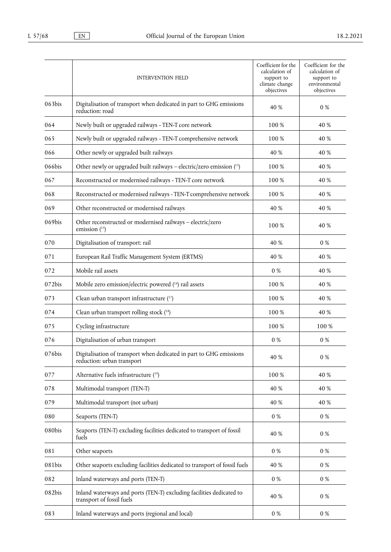<span id="page-51-4"></span><span id="page-51-3"></span><span id="page-51-2"></span><span id="page-51-1"></span><span id="page-51-0"></span>

|        | <b>INTERVENTION FIELD</b>                                                                         | Coefficient for the<br>calculation of<br>support to<br>climate change<br>objectives | Coefficient for the<br>calculation of<br>support to<br>environmental<br>objectives |
|--------|---------------------------------------------------------------------------------------------------|-------------------------------------------------------------------------------------|------------------------------------------------------------------------------------|
| 063bis | Digitalisation of transport when dedicated in part to GHG emissions<br>reduction: road            | 40 %                                                                                | 0 %                                                                                |
| 064    | Newly built or upgraded railways - TEN-T core network                                             | 100 %                                                                               | 40 %                                                                               |
| 065    | Newly built or upgraded railways - TEN-T comprehensive network                                    | 100 %                                                                               | 40 %                                                                               |
| 066    | Other newly or upgraded built railways                                                            | 40 %                                                                                | 40 %                                                                               |
| 066bis | Other newly or upgraded built railways - electric/zero emission (15)                              | 100 %                                                                               | 40 %                                                                               |
| 067    | Reconstructed or modernised railways - TEN-T core network                                         | 100 %                                                                               | 40 %                                                                               |
| 068    | Reconstructed or modernised railways - TEN-T comprehensive network                                | 100 %                                                                               | 40 %                                                                               |
| 069    | Other reconstructed or modernised railways                                                        | 40 %                                                                                | 40 %                                                                               |
| 069bis | Other reconstructed or modernised railways - electric/zero<br>emission $(15)$                     | 100 %                                                                               | 40 %                                                                               |
| 070    | Digitalisation of transport: rail                                                                 | 40 %                                                                                | 0 %                                                                                |
| 071    | European Rail Traffic Management System (ERTMS)                                                   | 40 %                                                                                | 40 %                                                                               |
| 072    | Mobile rail assets                                                                                | 0 %                                                                                 | 40 %                                                                               |
| 072bis | Mobile zero emission/electric powered (16) rail assets                                            | 100 %                                                                               | 40 %                                                                               |
| 073    | Clean urban transport infrastructure (17)                                                         | 100 %                                                                               | 40 %                                                                               |
| 074    | Clean urban transport rolling stock (18)                                                          | 100 %                                                                               | 40 %                                                                               |
| 075    | Cycling infrastructure                                                                            | 100 %                                                                               | 100 %                                                                              |
| 076    | Digitalisation of urban transport                                                                 | 0 %                                                                                 | 0 %                                                                                |
| 076bis | Digitalisation of transport when dedicated in part to GHG emissions<br>reduction: urban transport | 40 %                                                                                | $0\ \%$                                                                            |
| 077    | Alternative fuels infrastructure (19)                                                             | 100 %                                                                               | 40 %                                                                               |
| 078    | Multimodal transport (TEN-T)                                                                      | 40 %                                                                                | 40 %                                                                               |
| 079    | Multimodal transport (not urban)                                                                  | 40 %                                                                                | 40 %                                                                               |
| 080    | Seaports (TEN-T)                                                                                  | $0\ \%$                                                                             | $0\%$                                                                              |
| 080bis | Seaports (TEN-T) excluding facilities dedicated to transport of fossil<br>fuels                   | 40 %                                                                                | $0\ \%$                                                                            |
| 081    | Other seaports                                                                                    | $0\ \%$                                                                             | $0\ \%$                                                                            |
| 081bis | Other seaports excluding facilities dedicated to transport of fossil fuels                        | 40 %                                                                                | $0\ \%$                                                                            |
| 082    | Inland waterways and ports (TEN-T)                                                                | $0\ \%$                                                                             | $0\%$                                                                              |
| 082bis | Inland waterways and ports (TEN-T) excluding facilities dedicated to<br>transport of fossil fuels | 40 %                                                                                | $0\ \%$                                                                            |
| 083    | Inland waterways and ports (regional and local)                                                   | $0\ \%$                                                                             | $0\ \%$                                                                            |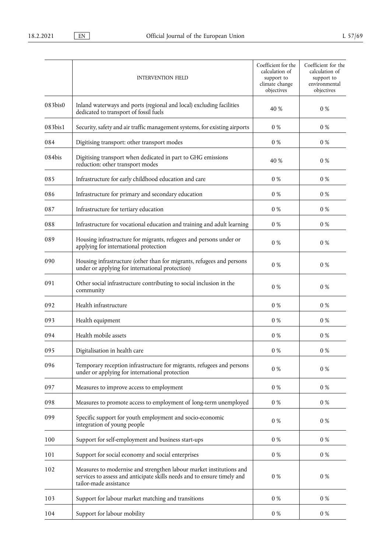|         | <b>INTERVENTION FIELD</b>                                                                                                                                                | Coefficient for the<br>calculation of<br>support to<br>climate change<br>objectives | Coefficient for the<br>calculation of<br>support to<br>environmental<br>objectives |
|---------|--------------------------------------------------------------------------------------------------------------------------------------------------------------------------|-------------------------------------------------------------------------------------|------------------------------------------------------------------------------------|
| 083bis0 | Inland waterways and ports (regional and local) excluding facilities<br>dedicated to transport of fossil fuels                                                           | 40 %                                                                                | 0 %                                                                                |
| 083bis1 | Security, safety and air traffic management systems, for existing airports                                                                                               | 0 %                                                                                 | $0\%$                                                                              |
| 084     | Digitising transport: other transport modes                                                                                                                              | 0 %                                                                                 | $0\%$                                                                              |
| 084bis  | Digitising transport when dedicated in part to GHG emissions<br>reduction: other transport modes                                                                         | 40 %                                                                                | 0 %                                                                                |
| 085     | Infrastructure for early childhood education and care                                                                                                                    | 0 %                                                                                 | 0 %                                                                                |
| 086     | Infrastructure for primary and secondary education                                                                                                                       | $0\%$                                                                               | $0\%$                                                                              |
| 087     | Infrastructure for tertiary education                                                                                                                                    | $0\ \%$                                                                             | $0\%$                                                                              |
| 088     | Infrastructure for vocational education and training and adult learning                                                                                                  | $0\ \%$                                                                             | 0 %                                                                                |
| 089     | Housing infrastructure for migrants, refugees and persons under or<br>applying for international protection                                                              | $0\ \%$                                                                             | $0\%$                                                                              |
| 090     | Housing infrastructure (other than for migrants, refugees and persons<br>under or applying for international protection)                                                 | $0\ \%$                                                                             | $0\%$                                                                              |
| 091     | Other social infrastructure contributing to social inclusion in the<br>community                                                                                         | $0\ \%$                                                                             | $0\%$                                                                              |
| 092     | Health infrastructure                                                                                                                                                    | 0 %                                                                                 | 0 %                                                                                |
| 093     | Health equipment                                                                                                                                                         | 0 %                                                                                 | $0\%$                                                                              |
| 094     | Health mobile assets                                                                                                                                                     | $0\%$                                                                               | $0\%$                                                                              |
| 095     | Digitalisation in health care                                                                                                                                            | 0 %                                                                                 | 0 %                                                                                |
| 096     | Temporary reception infrastructure for migrants, refugees and persons<br>under or applying for international protection                                                  | $0\ \%$                                                                             | $0\%$                                                                              |
| 097     | Measures to improve access to employment                                                                                                                                 | $0\ \%$                                                                             | $0\%$                                                                              |
| 098     | Measures to promote access to employment of long-term unemployed                                                                                                         | $0\ \%$                                                                             | $0\%$                                                                              |
| 099     | Specific support for youth employment and socio-economic<br>integration of young people                                                                                  | 0 %                                                                                 | $0\%$                                                                              |
| 100     | Support for self-employment and business start-ups                                                                                                                       | $0\ \%$                                                                             | $0\ \%$                                                                            |
| 101     | Support for social economy and social enterprises                                                                                                                        | 0 %                                                                                 | 0 %                                                                                |
| 102     | Measures to modernise and strengthen labour market institutions and<br>services to assess and anticipate skills needs and to ensure timely and<br>tailor-made assistance | $0\ \%$                                                                             | $0\%$                                                                              |
| 103     | Support for labour market matching and transitions                                                                                                                       | 0 %                                                                                 | $0\%$                                                                              |
| 104     | Support for labour mobility                                                                                                                                              | $0\ \%$                                                                             | $0\ \%$                                                                            |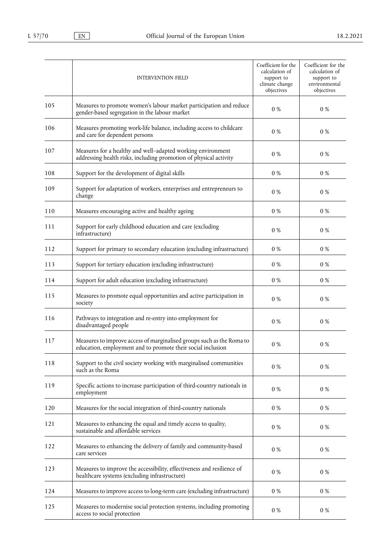|     | <b>INTERVENTION FIELD</b>                                                                                                            | Coefficient for the<br>calculation of<br>support to<br>climate change<br>objectives | Coefficient for the<br>calculation of<br>support to<br>environmental<br>objectives |
|-----|--------------------------------------------------------------------------------------------------------------------------------------|-------------------------------------------------------------------------------------|------------------------------------------------------------------------------------|
| 105 | Measures to promote women's labour market participation and reduce<br>gender-based segregation in the labour market                  | $0\ \%$                                                                             | 0 %                                                                                |
| 106 | Measures promoting work-life balance, including access to childcare<br>and care for dependent persons                                | $0\ \%$                                                                             | $0\ \%$                                                                            |
| 107 | Measures for a healthy and well-adapted working environment<br>addressing health risks, including promotion of physical activity     | 0 %                                                                                 | $0\ \%$                                                                            |
| 108 | Support for the development of digital skills                                                                                        | 0 %                                                                                 | 0 %                                                                                |
| 109 | Support for adaptation of workers, enterprises and entrepreneurs to<br>change                                                        | $0\ \%$                                                                             | $0\ \%$                                                                            |
| 110 | Measures encouraging active and healthy ageing                                                                                       | $0\ \%$                                                                             | $0\%$                                                                              |
| 111 | Support for early childhood education and care (excluding<br>infrastructure)                                                         | $0\ \%$                                                                             | $0\ \%$                                                                            |
| 112 | Support for primary to secondary education (excluding infrastructure)                                                                | $0\ \%$                                                                             | $0\ \%$                                                                            |
| 113 | Support for tertiary education (excluding infrastructure)                                                                            | $0\ \%$                                                                             | $0\ \%$                                                                            |
| 114 | Support for adult education (excluding infrastructure)                                                                               | $0\ \%$                                                                             | $0\ \%$                                                                            |
| 115 | Measures to promote equal opportunities and active participation in<br>society                                                       | 0 %                                                                                 | 0 %                                                                                |
| 116 | Pathways to integration and re-entry into employment for<br>disadvantaged people                                                     | 0 %                                                                                 | 0 %                                                                                |
| 117 | Measures to improve access of marginalised groups such as the Roma to<br>education, employment and to promote their social inclusion | 0%                                                                                  | $0\%$                                                                              |
| 118 | Support to the civil society working with marginalised communities<br>such as the Roma                                               | $0\ \%$                                                                             | $0\ \%$                                                                            |
| 119 | Specific actions to increase participation of third-country nationals in<br>employment                                               | 0 %                                                                                 | $0\ \%$                                                                            |
| 120 | Measures for the social integration of third-country nationals                                                                       | $0\ \%$                                                                             | $0\ \%$                                                                            |
| 121 | Measures to enhancing the equal and timely access to quality,<br>sustainable and affordable services                                 | $0\ \%$                                                                             | $0\%$                                                                              |
| 122 | Measures to enhancing the delivery of family and community-based<br>care services                                                    | $0\ \%$                                                                             | $0\ \%$                                                                            |
| 123 | Measures to improve the accessibility, effectiveness and resilience of<br>healthcare systems (excluding infrastructure)              | 0 %                                                                                 | $0\ \%$                                                                            |
| 124 | Measures to improve access to long-term care (excluding infrastructure)                                                              | $0\ \%$                                                                             | $0\ \%$                                                                            |
| 125 | Measures to modernise social protection systems, including promoting<br>access to social protection                                  | $0\ \%$                                                                             | $0\ \%$                                                                            |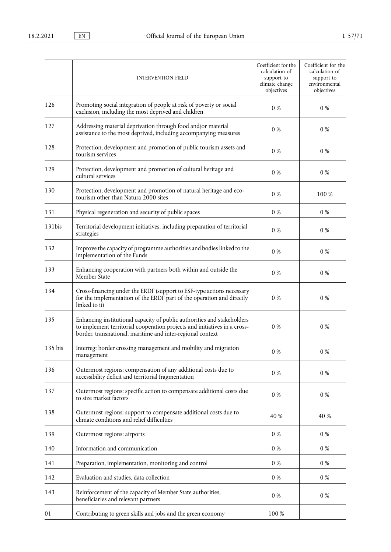|         | <b>INTERVENTION FIELD</b>                                                                                                                                                                                          | Coefficient for the<br>calculation of<br>support to<br>climate change<br>objectives | Coefficient for the<br>calculation of<br>support to<br>environmental<br>objectives |
|---------|--------------------------------------------------------------------------------------------------------------------------------------------------------------------------------------------------------------------|-------------------------------------------------------------------------------------|------------------------------------------------------------------------------------|
| 126     | Promoting social integration of people at risk of poverty or social<br>exclusion, including the most deprived and children                                                                                         | 0 %                                                                                 | 0 %                                                                                |
| 127     | Addressing material deprivation through food and/or material<br>assistance to the most deprived, including accompanying measures                                                                                   | 0 %                                                                                 | 0 %                                                                                |
| 128     | Protection, development and promotion of public tourism assets and<br>tourism services                                                                                                                             | 0 %                                                                                 | 0 %                                                                                |
| 129     | Protection, development and promotion of cultural heritage and<br>cultural services                                                                                                                                | 0 %                                                                                 | 0 %                                                                                |
| 130     | Protection, development and promotion of natural heritage and eco-<br>tourism other than Natura 2000 sites                                                                                                         | 0 %                                                                                 | 100 %                                                                              |
| 131     | Physical regeneration and security of public spaces                                                                                                                                                                | 0 %                                                                                 | 0 %                                                                                |
| 131bis  | Territorial development initiatives, including preparation of territorial<br>strategies                                                                                                                            | $0\ \%$                                                                             | $0\%$                                                                              |
| 132     | Improve the capacity of programme authorities and bodies linked to the<br>implementation of the Funds                                                                                                              | 0 %                                                                                 | 0 %                                                                                |
| 133     | Enhancing cooperation with partners both within and outside the<br>Member State                                                                                                                                    | 0 %                                                                                 | 0 %                                                                                |
| 134     | Cross-financing under the ERDF (support to ESF-type actions necessary<br>for the implementation of the ERDF part of the operation and directly<br>linked to it)                                                    | 0 %                                                                                 | $0\%$                                                                              |
| 135     | Enhancing institutional capacity of public authorities and stakeholders<br>to implement territorial cooperation projects and initiatives in a cross-<br>border, transnational, maritime and inter-regional context | 0 %                                                                                 | $0\%$                                                                              |
| 135 bis | Interreg: border crossing management and mobility and migration<br>management                                                                                                                                      | $0\ \%$                                                                             | 0 %                                                                                |
| 136     | Outermost regions: compensation of any additional costs due to<br>accessibility deficit and territorial fragmentation                                                                                              | 0 %                                                                                 | 0 %                                                                                |
| 137     | Outermost regions: specific action to compensate additional costs due<br>to size market factors                                                                                                                    | $0\ \%$                                                                             | $0\%$                                                                              |
| 138     | Outermost regions: support to compensate additional costs due to<br>climate conditions and relief difficulties                                                                                                     | 40 %                                                                                | 40 %                                                                               |
| 139     | Outermost regions: airports                                                                                                                                                                                        | 0 %                                                                                 | 0 %                                                                                |
| 140     | Information and communication                                                                                                                                                                                      | $0\%$                                                                               | $0\%$                                                                              |
| 141     | Preparation, implementation, monitoring and control                                                                                                                                                                | $0\ \%$                                                                             | $0\%$                                                                              |
| 142     | Evaluation and studies, data collection                                                                                                                                                                            | $0\ \%$                                                                             | 0 %                                                                                |
| 143     | Reinforcement of the capacity of Member State authorities,<br>beneficiaries and relevant partners                                                                                                                  | 0 %                                                                                 | $0\%$                                                                              |
| 01      | Contributing to green skills and jobs and the green economy                                                                                                                                                        | 100 %                                                                               |                                                                                    |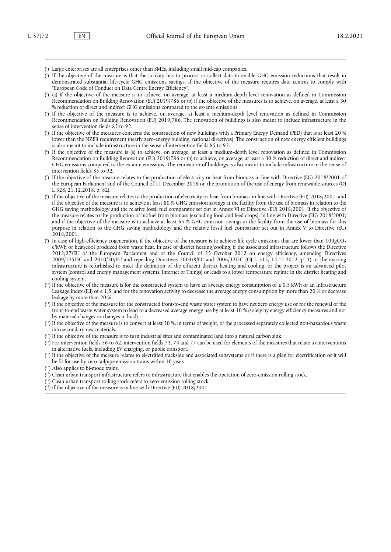- <span id="page-55-0"></span>( 1 [\)](#page-46-0) Large enterprises are all enterprises other than SMEs, including small mid-cap companies.
- <span id="page-55-1"></span>( 2 [\)](#page-47-0) If the objective of the measure is that the activity has to process or collect data to enable GHG emission reductions that result in demonstrated substantial life-cycle GHG emissions savings. If the objective of the measure requires data centres to comply with "European Code of Conduct on Data Centre Energy Efficiency".
- <span id="page-55-2"></span>(\*[\)](#page-48-0) (a) If the objective of the measure is to achieve, on average, at least a medium-depth level renovation as defined in Commission Recommendation on Building Renovation (EU) 2019/786 or (b) if the objective of the measures is to achieve, on average, at least a 30 % reduction of direct and indirect GHG emissions compared to the ex-ante emissions.
- <span id="page-55-3"></span>( 4 [\)](#page-48-1) If the objective of the measure is to achieve, on average, at least a medium-depth level renovation as defined in Commission Recommendation on Building Renovation (EU) 2019/786. The renovation of buildings is also meant to include infrastructure in the sense of intervention fields 85 to 92.
- <span id="page-55-4"></span>( 5 [\)](#page-48-2) If the objective of the measures concerns the construction of new buildings with a Primary Energy Demand (PED) that is at least 20 % lower than the NZEB requirement (nearly zero-energy building, national directives). The construction of new energy efficient buildings is also meant to include infrastructure in the sense of intervention fields 85 to 92.
- <span id="page-55-5"></span>( 6 [\)](#page-48-3) If the objective of the measure is (a) to achieve, on average, at least a medium-depth level renovation as defined in Commission Recommendation on Building Renovation (EU) 2019/786 or (b) to achieve, on average, at least a 30 % reduction of direct and indirect GHG emissions compared to the ex-ante emissions. The renovation of buildings is also meant to include infrastructure in the sense of intervention fields 85 to 92.
- <span id="page-55-6"></span>( 7 [\)](#page-48-4) If the objective of the measure relates to the production of electricity or heat from biomass in line with Directive (EU) 2018/2001 of the European Parliament and of the Council of 11 December 2018 on the promotion of the use of energy from renewable sources (OJ L 328, 21.12.2018, p. 82).
- <span id="page-55-7"></span>( 8 [\)](#page-48-5) If the objective of the measure relates to the production of electricity or heat from biomass in line with Directive (EU) 2018/2001; and if the objective of the measure is to achieve at least 80 % GHG emission savings at the facility from the use of biomass in relation to the GHG saving methodology and the relative fossil fuel comparator set out in Annex VI to Directive (EU) 2018/2001. If the objective of the measure relates to the production of biofuel from biomass (excluding food and feed crops), in line with Directive (EU) 2018/2001; and if the objective of the measure is to achieve at least 65 % GHG emission savings at the facility from the use of biomass for this purpose in relation to the GHG saving methodology and the relative fossil fuel comparator set out in Annex V to Directive (EU) 2018/2001.
- <span id="page-55-8"></span>(\*[\)](#page-48-6) In case of high-efficiency cogeneration, if the objective of the measure is to achieve life cycle emissions that are lower than 100gCO<sub>2</sub> e/kWh or heat/cool produced from waste heat. In case of district heating/cooling, if the associated infrastructure follows the Directive 2012/27/EU of the European Parliament and of the Council of 25 October 2012 on energy efficiency, amending Directives 2009/125/EC and 2010/30/EU and repealing Directives 2004/8/EC and 2006/32/EC (OJ L 315, 14.11.2012, p. 1) or the existing infrastructure is refurbished to meet the definition of the efficient district heating and cooling, or the project is an advanced pilot system (control and energy management systems, Internet of Things) or leads to a lower temperature regime in the district heating and cooling system.
- <span id="page-55-9"></span>( [10\)](#page-49-0) If the objective of the measure is for the constructed system to have an average energy consumption of ≤ 0,5 kWh or an Infrastructure Leakage Index (ILI) of  $\leq 1.5$ , and for the renovation activity to decrease the average energy consumption by more than 20 % or decrease leakage by more than 20 %.
- <span id="page-55-10"></span>( [11\)](#page-49-1) If the objective of the measure for the constructed front-to-end waste water system to have net zero energy use or for the renewal of the front-to-end waste water system to lead to a decreased average energy use by at least 10 % (solely by energy efficiency measures and not by material changes or changes in load).
- <span id="page-55-11"></span> $(1<sup>2</sup>)$  If the objective of the measure is to convert at least 50 %, in terms of weight, of the processed separately collected non-hazardous waste into secondary raw materials.
- <span id="page-55-12"></span>( [13\)](#page-49-3) If the objective of the measure is to turn industrial sites and contaminated land into a natural carbon sink.
- <span id="page-55-13"></span> $(14)$  $(14)$  For intervention fields 56 to 62, intervention fields 73, 74 and 77 can be used for elements of the measures that relate to interventions in alternative fuels, including EV charging, or public transport.
- <span id="page-55-14"></span> $(15)$  $(15)$  If the objective of the measure relates to electrified trackside and associated subsystems or if there is a plan for electrification or it will be fit for use by zero tailpipe emission trains within 10 years.
- <span id="page-55-15"></span>( [16\)](#page-51-1) Also applies to bi-mode trains.
- <span id="page-55-16"></span>( [17\)](#page-51-2) Clean urban transport infrastructure refers to infrastructure that enables the operation of zero-emission rolling stock.
- <span id="page-55-17"></span>( [18\)](#page-51-3) Clean urban transport rolling stock refers to zero-emission rolling stock.
- <span id="page-55-18"></span>( [19\)](#page-51-4) If the objective of the measure is in line with Directive (EU) 2018/2001.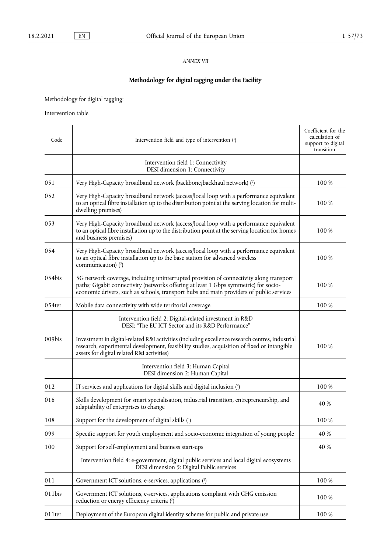# *ANNEX VII*

# **Methodology for digital tagging under the Facility**

Methodology for digital tagging:

Intervention table

<span id="page-56-6"></span><span id="page-56-5"></span><span id="page-56-4"></span><span id="page-56-3"></span><span id="page-56-2"></span><span id="page-56-1"></span><span id="page-56-0"></span>

| Code      | Intervention field and type of intervention (1)                                                                                                                                                                                                                           | Coefficient for the<br>calculation of<br>support to digital<br>transition |
|-----------|---------------------------------------------------------------------------------------------------------------------------------------------------------------------------------------------------------------------------------------------------------------------------|---------------------------------------------------------------------------|
|           | Intervention field 1: Connectivity<br>DESI dimension 1: Connectivity                                                                                                                                                                                                      |                                                                           |
| 051       | Very High-Capacity broadband network (backbone/backhaul network) (2)                                                                                                                                                                                                      | 100 %                                                                     |
| 052       | Very High-Capacity broadband network (access/local loop with a performance equivalent<br>to an optical fibre installation up to the distribution point at the serving location for multi-<br>dwelling premises)                                                           | 100 %                                                                     |
| 053       | Very High-Capacity broadband network (access/local loop with a performance equivalent<br>to an optical fibre installation up to the distribution point at the serving location for homes<br>and business premises)                                                        | 100 %                                                                     |
| 054       | Very High-Capacity broadband network (access/local loop with a performance equivalent<br>to an optical fibre installation up to the base station for advanced wireless<br>communication) (3)                                                                              | 100 %                                                                     |
| 054bis    | 5G network coverage, including uninterrupted provision of connectivity along transport<br>paths; Gigabit connectivity (networks offering at least 1 Gbps symmetric) for socio-<br>economic drivers, such as schools, transport hubs and main providers of public services | 100 %                                                                     |
| $054$ ter | Mobile data connectivity with wide territorial coverage                                                                                                                                                                                                                   | 100 %                                                                     |
|           | Intervention field 2: Digital-related investment in R&D<br>DESI: "The EU ICT Sector and its R&D Performance"                                                                                                                                                              |                                                                           |
| 009bis    | Investment in digital-related R&I activities (including excellence research centres, industrial<br>research, experimental development, feasibility studies, acquisition of fixed or intangible<br>assets for digital related R&I activities)                              | 100 %                                                                     |
|           | Intervention field 3: Human Capital<br>DESI dimension 2: Human Capital                                                                                                                                                                                                    |                                                                           |
| 012       | IT services and applications for digital skills and digital inclusion (4)                                                                                                                                                                                                 | 100 %                                                                     |
| 016       | Skills development for smart specialisation, industrial transition, entrepreneurship, and<br>adaptability of enterprises to change                                                                                                                                        | 40 %                                                                      |
| $108\,$   | Support for the development of digital skills (5)                                                                                                                                                                                                                         | 100 %                                                                     |
| 099       | Specific support for youth employment and socio-economic integration of young people                                                                                                                                                                                      | 40 %                                                                      |
| 100       | Support for self-employment and business start-ups                                                                                                                                                                                                                        | 40 %                                                                      |
|           | Intervention field 4: e-government, digital public services and local digital ecosystems<br>DESI dimension 5: Digital Public services                                                                                                                                     |                                                                           |
| 011       | Government ICT solutions, e-services, applications (6)                                                                                                                                                                                                                    | 100 %                                                                     |
| 011bis    | Government ICT solutions, e-services, applications compliant with GHG emission<br>reduction or energy efficiency criteria (7)                                                                                                                                             | 100 %                                                                     |
| 011ter    | Deployment of the European digital identity scheme for public and private use                                                                                                                                                                                             | 100 %                                                                     |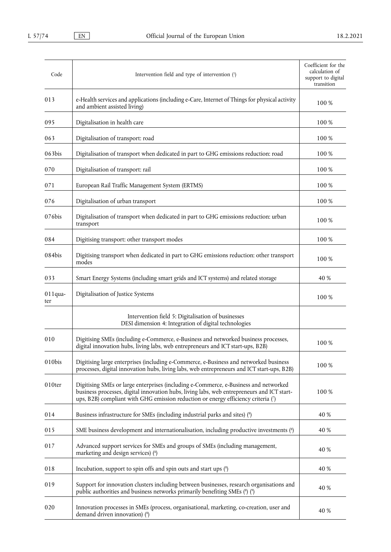<span id="page-57-1"></span><span id="page-57-0"></span>

| Code              | Intervention field and type of intervention (1)                                                                                                                                                                                                                         | Coefficient for the<br>calculation of<br>support to digital<br>transition |
|-------------------|-------------------------------------------------------------------------------------------------------------------------------------------------------------------------------------------------------------------------------------------------------------------------|---------------------------------------------------------------------------|
| 013               | e-Health services and applications (including e-Care, Internet of Things for physical activity<br>and ambient assisted living)                                                                                                                                          | 100 %                                                                     |
| 095               | Digitalisation in health care                                                                                                                                                                                                                                           | 100 %                                                                     |
| 063               | Digitalisation of transport: road                                                                                                                                                                                                                                       | 100 %                                                                     |
| 063bis            | Digitalisation of transport when dedicated in part to GHG emissions reduction: road                                                                                                                                                                                     | 100 %                                                                     |
| 070               | Digitalisation of transport: rail                                                                                                                                                                                                                                       | 100 %                                                                     |
| 071               | European Rail Traffic Management System (ERTMS)                                                                                                                                                                                                                         | 100 %                                                                     |
| 076               | Digitalisation of urban transport                                                                                                                                                                                                                                       | 100 %                                                                     |
| 076bis            | Digitalisation of transport when dedicated in part to GHG emissions reduction: urban<br>transport                                                                                                                                                                       | 100 %                                                                     |
| 084               | Digitising transport: other transport modes                                                                                                                                                                                                                             | 100 %                                                                     |
| 084bis            | Digitising transport when dedicated in part to GHG emissions reduction: other transport<br>modes                                                                                                                                                                        | 100 %                                                                     |
| 033               | Smart Energy Systems (including smart grids and ICT systems) and related storage                                                                                                                                                                                        | 40 %                                                                      |
| $011$ qua-<br>ter | Digitalisation of Justice Systems                                                                                                                                                                                                                                       | 100 %                                                                     |
|                   | Intervention field 5: Digitalisation of businesses<br>DESI dimension 4: Integration of digital technologies                                                                                                                                                             |                                                                           |
| 010               | Digitising SMEs (including e-Commerce, e-Business and networked business processes,<br>digital innovation hubs, living labs, web entrepreneurs and ICT start-ups, B2B)                                                                                                  | 100 %                                                                     |
| 010bis            | Digitising large enterprises (including e-Commerce, e-Business and networked business<br>processes, digital innovation hubs, living labs, web entrepreneurs and ICT start-ups, B2B)                                                                                     | 100 %                                                                     |
| 010ter            | Digitising SMEs or large enterprises (including e-Commerce, e-Business and networked<br>business processes, digital innovation hubs, living labs, web entrepreneurs and ICT start-<br>ups, B2B) compliant with GHG emission reduction or energy efficiency criteria (7) | 100 %                                                                     |
| 014               | Business infrastructure for SMEs (including industrial parks and sites) (8)                                                                                                                                                                                             | 40 %                                                                      |
| 015               | SME business development and internationalisation, including productive investments (8)                                                                                                                                                                                 | 40 %                                                                      |
| 017               | Advanced support services for SMEs and groups of SMEs (including management,<br>marketing and design services) (8)                                                                                                                                                      | 40 %                                                                      |
| 018               | Incubation, support to spin offs and spin outs and start ups $\binom{8}{2}$                                                                                                                                                                                             | 40 %                                                                      |
| 019               | Support for innovation clusters including between businesses, research organisations and<br>public authorities and business networks primarily benefiting SMEs (8) (9)                                                                                                  | 40 %                                                                      |
| 020               | Innovation processes in SMEs (process, organisational, marketing, co-creation, user and<br>demand driven innovation) (8)                                                                                                                                                | 40 %                                                                      |